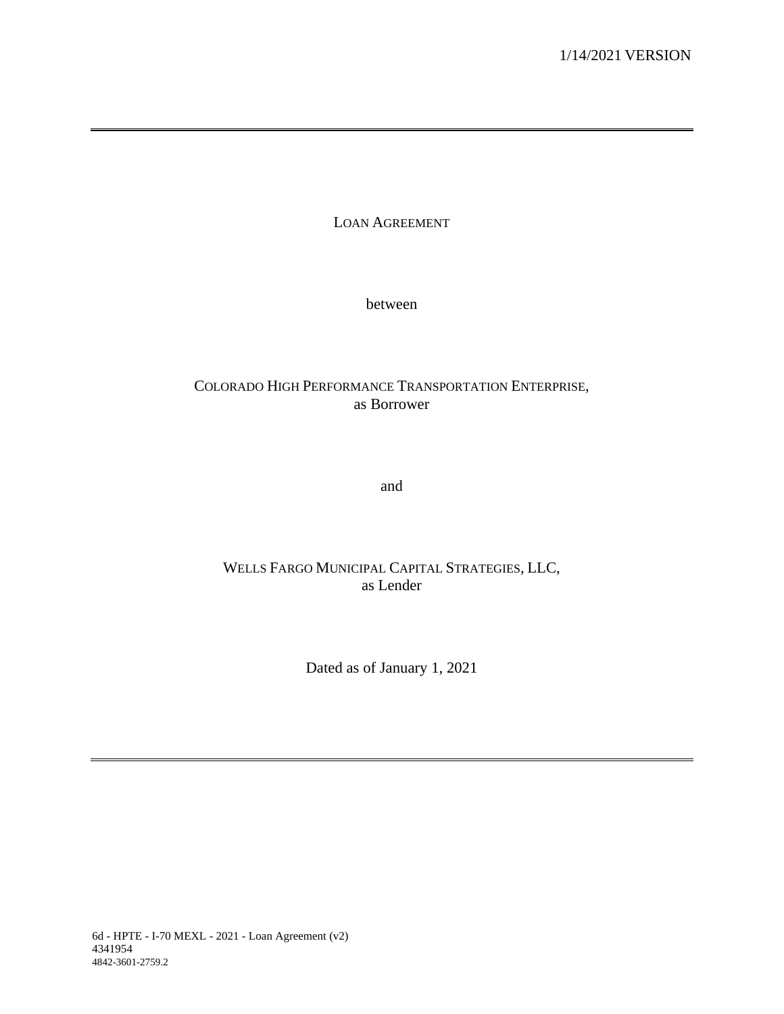LOAN AGREEMENT

between

# COLORADO HIGH PERFORMANCE TRANSPORTATION ENTERPRISE, as Borrower

and

# WELLS FARGO MUNICIPAL CAPITAL STRATEGIES, LLC, as Lender

Dated as of January 1, 2021

6d - HPTE - I-70 MEXL - 2021 - Loan Agreement (v2) 4341954 4842-3601-2759.2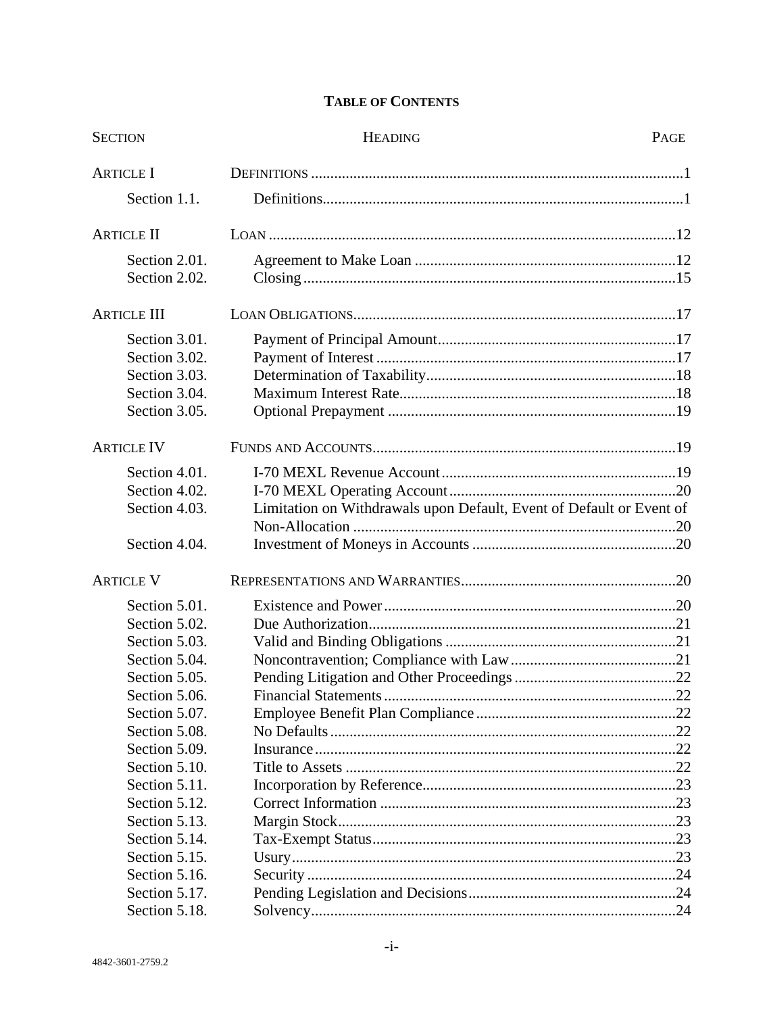# **TABLE OF CONTENTS**

| <b>HEADING</b><br><b>SECTION</b>                                                                                                                                                                                          |                                                                      | PAGE |
|---------------------------------------------------------------------------------------------------------------------------------------------------------------------------------------------------------------------------|----------------------------------------------------------------------|------|
| <b>ARTICLE I</b>                                                                                                                                                                                                          |                                                                      |      |
| Section 1.1.                                                                                                                                                                                                              |                                                                      |      |
| <b>ARTICLE II</b>                                                                                                                                                                                                         |                                                                      |      |
| Section 2.01.<br>Section 2.02.                                                                                                                                                                                            |                                                                      |      |
| <b>ARTICLE III</b>                                                                                                                                                                                                        |                                                                      |      |
| Section 3.01.<br>Section 3.02.<br>Section 3.03.<br>Section 3.04.<br>Section 3.05.                                                                                                                                         |                                                                      |      |
| <b>ARTICLE IV</b>                                                                                                                                                                                                         |                                                                      |      |
| Section 4.01.<br>Section 4.02.<br>Section 4.03.<br>Section 4.04.                                                                                                                                                          | Limitation on Withdrawals upon Default, Event of Default or Event of |      |
| <b>ARTICLE V</b>                                                                                                                                                                                                          |                                                                      |      |
| Section 5.01.<br>Section 5.02.<br>Section 5.03.<br>Section 5.04.<br>Section 5.05.<br>Section 5.06.<br>Section 5.07.<br>Section 5.08.<br>Section 5.09.<br>Section 5.10.<br>Section 5.11.<br>Section 5.12.<br>Section 5.13. |                                                                      |      |
| Section 5.14.<br>Section 5.15.<br>Section 5.16.<br>Section 5.17.<br>Section 5.18.                                                                                                                                         |                                                                      |      |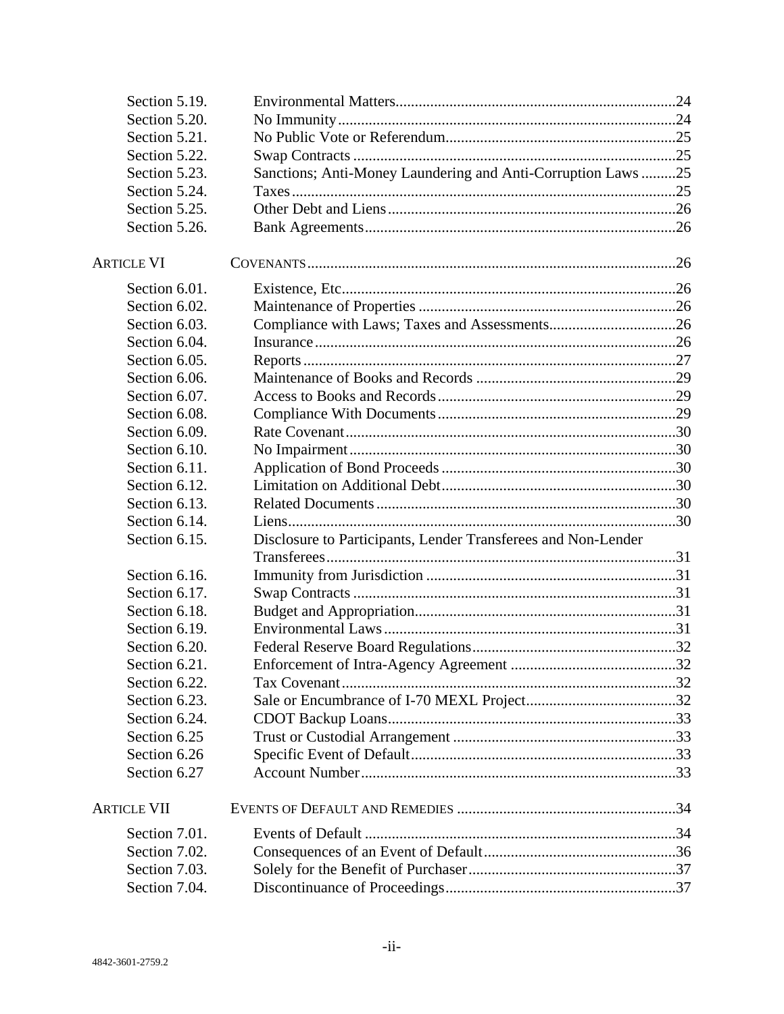| Section 5.19.      |                                                               |  |
|--------------------|---------------------------------------------------------------|--|
| Section 5.20.      |                                                               |  |
| Section 5.21.      |                                                               |  |
| Section 5.22.      |                                                               |  |
| Section 5.23.      | Sanctions; Anti-Money Laundering and Anti-Corruption Laws25   |  |
| Section 5.24.      |                                                               |  |
| Section 5.25.      |                                                               |  |
| Section 5.26.      |                                                               |  |
|                    |                                                               |  |
| <b>ARTICLE VI</b>  |                                                               |  |
| Section 6.01.      |                                                               |  |
| Section 6.02.      |                                                               |  |
| Section 6.03.      |                                                               |  |
| Section 6.04.      |                                                               |  |
| Section 6.05.      |                                                               |  |
| Section 6.06.      |                                                               |  |
| Section 6.07.      |                                                               |  |
| Section 6.08.      |                                                               |  |
| Section 6.09.      |                                                               |  |
| Section 6.10.      |                                                               |  |
| Section 6.11.      |                                                               |  |
| Section 6.12.      |                                                               |  |
| Section 6.13.      |                                                               |  |
| Section 6.14.      |                                                               |  |
| Section 6.15.      | Disclosure to Participants, Lender Transferees and Non-Lender |  |
|                    |                                                               |  |
| Section 6.16.      |                                                               |  |
| Section 6.17.      |                                                               |  |
| Section 6.18.      |                                                               |  |
| Section 6.19.      |                                                               |  |
| Section 6.20.      |                                                               |  |
| Section 6.21.      |                                                               |  |
| Section 6.22.      |                                                               |  |
| Section 6.23.      |                                                               |  |
| Section 6.24.      |                                                               |  |
| Section 6.25       |                                                               |  |
| Section 6.26       |                                                               |  |
| Section 6.27       |                                                               |  |
| <b>ARTICLE VII</b> |                                                               |  |
| Section 7.01.      |                                                               |  |
| Section 7.02.      |                                                               |  |
| Section 7.03.      |                                                               |  |
| Section 7.04.      |                                                               |  |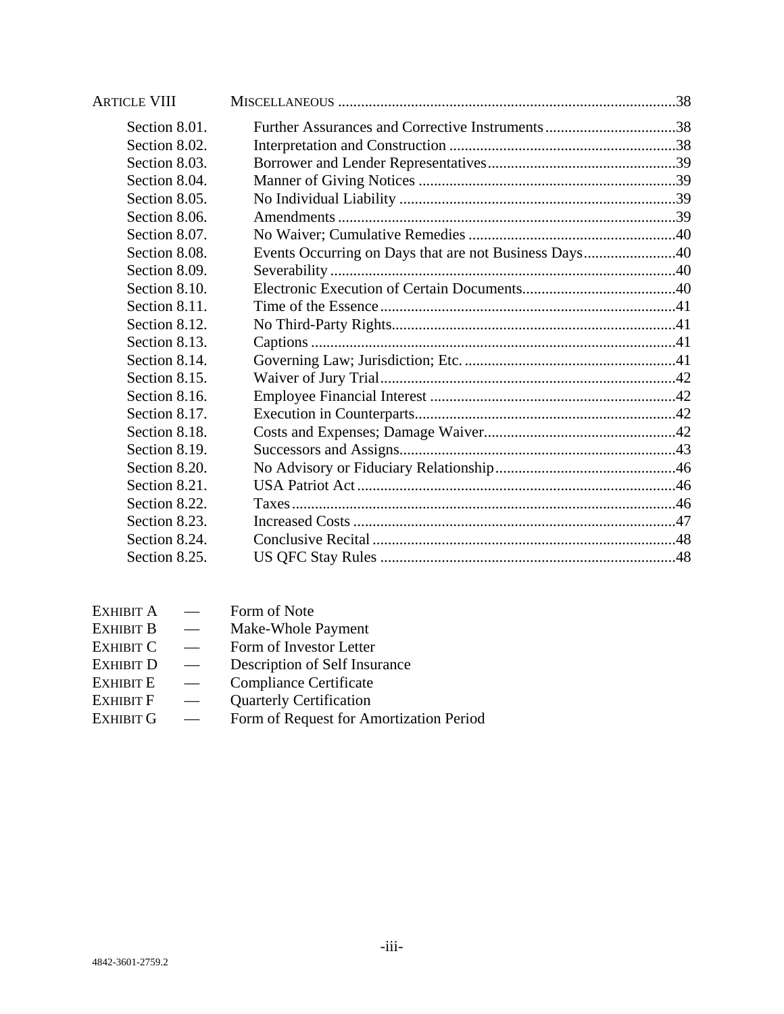| <b>ARTICLE VIII</b> |                                                       |  |
|---------------------|-------------------------------------------------------|--|
| Section 8.01.       |                                                       |  |
| Section 8.02.       |                                                       |  |
| Section 8.03.       |                                                       |  |
| Section 8.04.       |                                                       |  |
| Section 8.05.       |                                                       |  |
| Section 8.06.       |                                                       |  |
| Section 8.07.       |                                                       |  |
| Section 8.08.       | Events Occurring on Days that are not Business Days40 |  |
| Section 8.09.       |                                                       |  |
| Section 8.10.       |                                                       |  |
| Section 8.11.       |                                                       |  |
| Section 8.12.       |                                                       |  |
| Section 8.13.       |                                                       |  |
| Section 8.14.       |                                                       |  |
| Section 8.15.       |                                                       |  |
| Section 8.16.       |                                                       |  |
| Section 8.17.       |                                                       |  |
| Section 8.18.       |                                                       |  |
| Section 8.19.       |                                                       |  |
| Section 8.20.       |                                                       |  |
| Section 8.21.       |                                                       |  |
| Section 8.22.       |                                                       |  |
| Section 8.23.       |                                                       |  |
| Section 8.24.       |                                                       |  |
| Section 8.25.       |                                                       |  |

| <b>EXHIBIT A</b> | Form of Note                            |
|------------------|-----------------------------------------|
| <b>EXHIBIT B</b> | Make-Whole Payment                      |
| <b>EXHIBIT C</b> | Form of Investor Letter                 |
| <b>EXHIBIT D</b> | Description of Self Insurance           |
| <b>EXHIBIT E</b> | <b>Compliance Certificate</b>           |
| <b>EXHIBIT F</b> | <b>Quarterly Certification</b>          |
| EXHIBIT G        | Form of Request for Amortization Period |
|                  |                                         |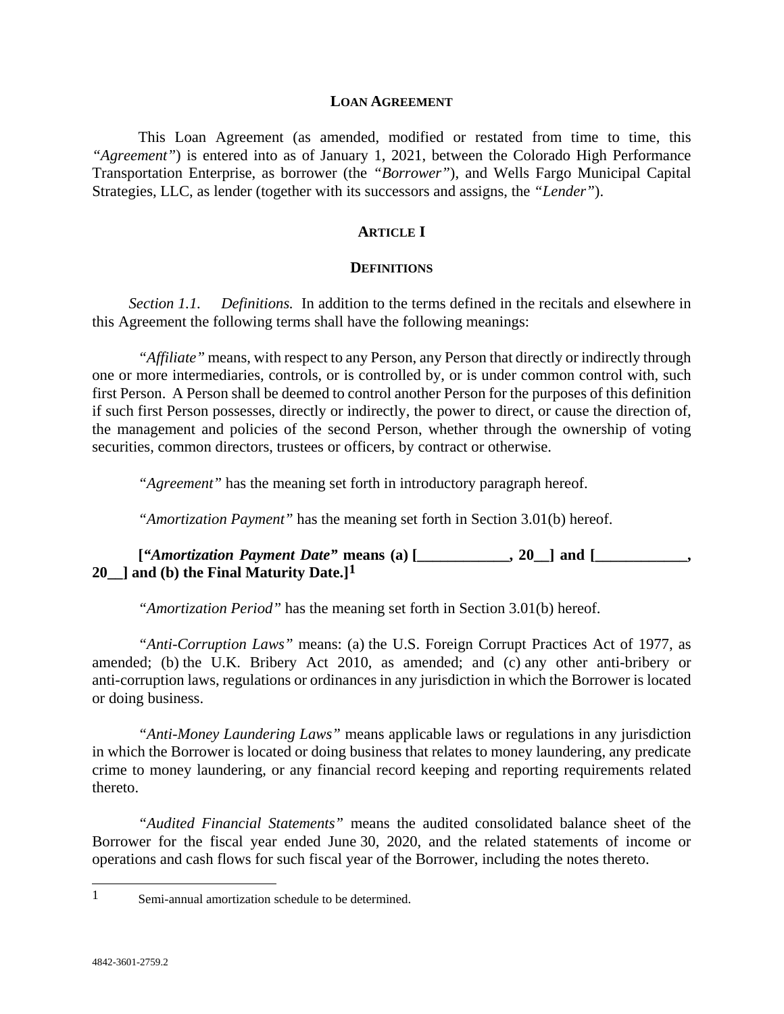#### **LOAN AGREEMENT**

This Loan Agreement (as amended, modified or restated from time to time, this *"Agreement"*) is entered into as of January 1, 2021, between the Colorado High Performance Transportation Enterprise, as borrower (the *"Borrower"*), and Wells Fargo Municipal Capital Strategies, LLC, as lender (together with its successors and assigns, the *"Lender"*).

#### **ARTICLE I**

#### **DEFINITIONS**

*Section 1.1. Definitions.* In addition to the terms defined in the recitals and elsewhere in this Agreement the following terms shall have the following meanings:

*"Affiliate"* means, with respect to any Person, any Person that directly or indirectly through one or more intermediaries, controls, or is controlled by, or is under common control with, such first Person. A Person shall be deemed to control another Person for the purposes of this definition if such first Person possesses, directly or indirectly, the power to direct, or cause the direction of, the management and policies of the second Person, whether through the ownership of voting securities, common directors, trustees or officers, by contract or otherwise.

*"Agreement"* has the meaning set forth in introductory paragraph hereof.

*"Amortization Payment"* has the meaning set forth in Section 3.01(b) hereof.

**[***"Amortization Payment Date"* **means (a) [\_\_\_\_\_\_\_\_\_\_\_\_, 20\_\_] and [\_\_\_\_\_\_\_\_\_\_\_\_, 20\_\_] and (b) the Final Maturity Date.][1](#page-4-0)**

*"Amortization Period"* has the meaning set forth in Section 3.01(b) hereof.

*"Anti-Corruption Laws"* means: (a) the U.S. Foreign Corrupt Practices Act of 1977, as amended; (b) the U.K. Bribery Act 2010, as amended; and (c) any other anti-bribery or anti-corruption laws, regulations or ordinances in any jurisdiction in which the Borrower is located or doing business.

*"Anti-Money Laundering Laws"* means applicable laws or regulations in any jurisdiction in which the Borrower is located or doing business that relates to money laundering, any predicate crime to money laundering, or any financial record keeping and reporting requirements related thereto.

*"Audited Financial Statements"* means the audited consolidated balance sheet of the Borrower for the fiscal year ended June 30, 2020, and the related statements of income or operations and cash flows for such fiscal year of the Borrower, including the notes thereto.

<span id="page-4-0"></span> <sup>1</sup> Semi-annual amortization schedule to be determined.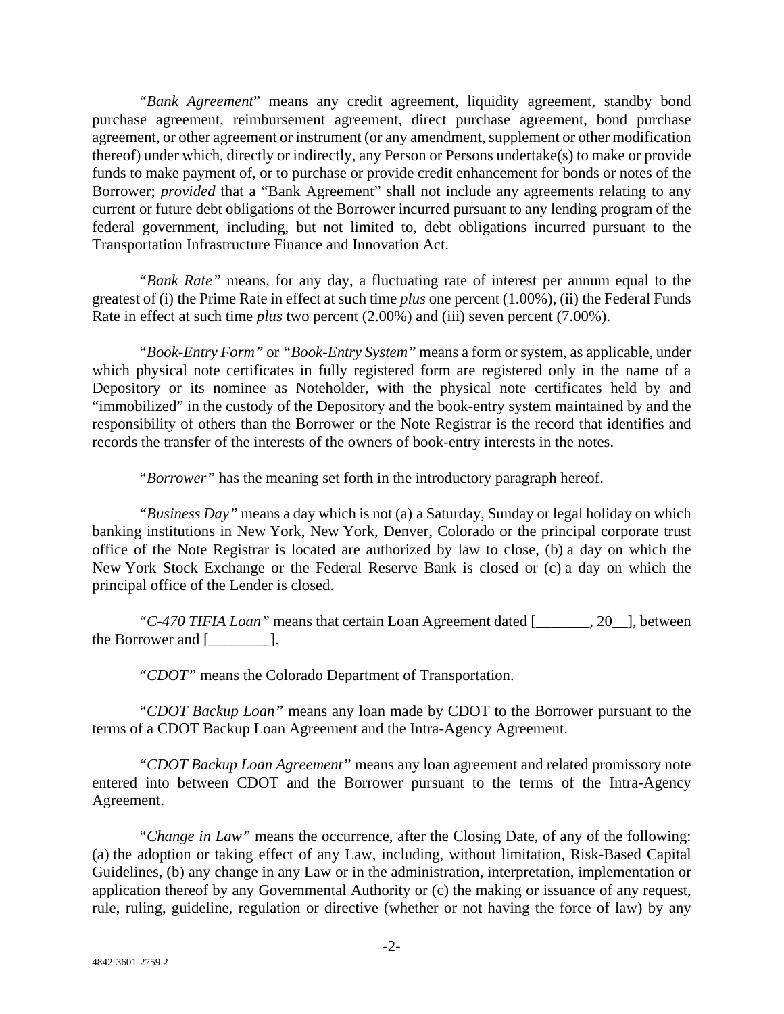*"Bank Agreement*" means any credit agreement, liquidity agreement, standby bond purchase agreement, reimbursement agreement, direct purchase agreement, bond purchase agreement, or other agreement or instrument (or any amendment, supplement or other modification thereof) under which, directly or indirectly, any Person or Persons undertake(s) to make or provide funds to make payment of, or to purchase or provide credit enhancement for bonds or notes of the Borrower; *provided* that a "Bank Agreement" shall not include any agreements relating to any current or future debt obligations of the Borrower incurred pursuant to any lending program of the federal government, including, but not limited to, debt obligations incurred pursuant to the Transportation Infrastructure Finance and Innovation Act.

*"Bank Rate"* means, for any day, a fluctuating rate of interest per annum equal to the greatest of (i) the Prime Rate in effect at such time *plus* one percent (1.00%), (ii) the Federal Funds Rate in effect at such time *plus* two percent (2.00%) and (iii) seven percent (7.00%).

*"Book-Entry Form"* or *"Book-Entry System"* means a form or system, as applicable, under which physical note certificates in fully registered form are registered only in the name of a Depository or its nominee as Noteholder, with the physical note certificates held by and "immobilized" in the custody of the Depository and the book-entry system maintained by and the responsibility of others than the Borrower or the Note Registrar is the record that identifies and records the transfer of the interests of the owners of book-entry interests in the notes.

*"Borrower"* has the meaning set forth in the introductory paragraph hereof.

*"Business Day"* means a day which is not (a) a Saturday, Sunday or legal holiday on which banking institutions in New York, New York, Denver, Colorado or the principal corporate trust office of the Note Registrar is located are authorized by law to close, (b) a day on which the New York Stock Exchange or the Federal Reserve Bank is closed or (c) a day on which the principal office of the Lender is closed.

*"C-470 TIFIA Loan"* means that certain Loan Agreement dated [\_\_\_\_\_\_\_, 20\_\_], between the Borrower and [\_\_\_\_\_\_\_\_].

*"CDOT"* means the Colorado Department of Transportation.

*"CDOT Backup Loan"* means any loan made by CDOT to the Borrower pursuant to the terms of a CDOT Backup Loan Agreement and the Intra-Agency Agreement.

*"CDOT Backup Loan Agreement"* means any loan agreement and related promissory note entered into between CDOT and the Borrower pursuant to the terms of the Intra-Agency Agreement.

*"Change in Law"* means the occurrence, after the Closing Date, of any of the following: (a) the adoption or taking effect of any Law, including, without limitation, Risk-Based Capital Guidelines, (b) any change in any Law or in the administration, interpretation, implementation or application thereof by any Governmental Authority or (c) the making or issuance of any request, rule, ruling, guideline, regulation or directive (whether or not having the force of law) by any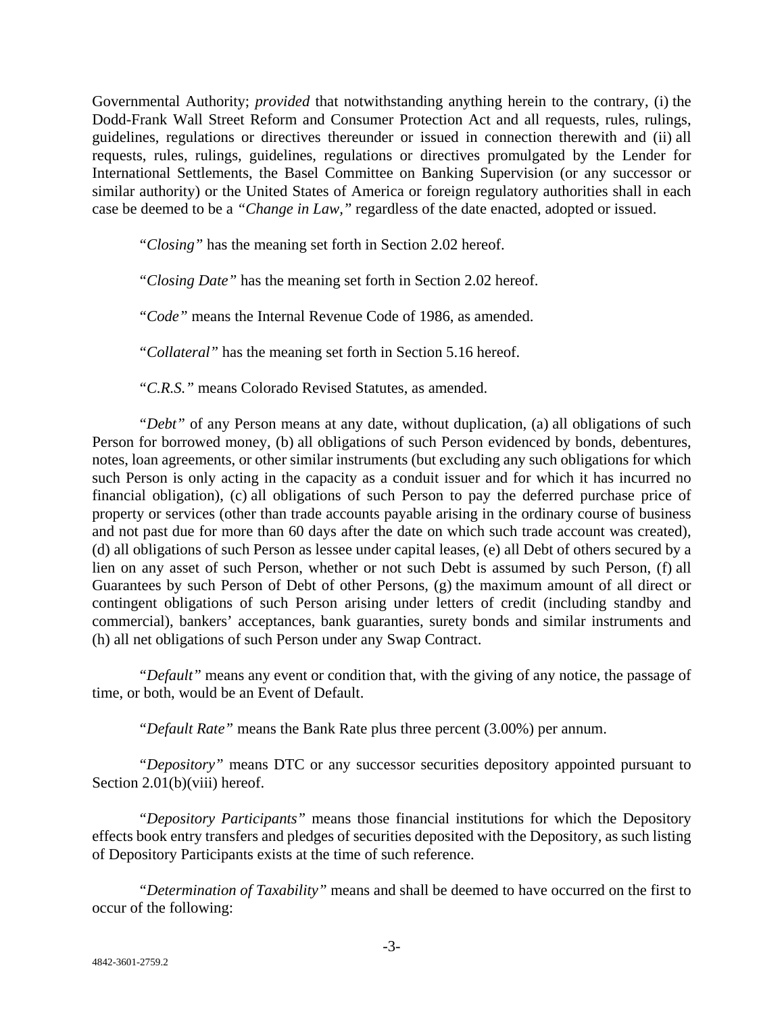Governmental Authority; *provided* that notwithstanding anything herein to the contrary, (i) the Dodd-Frank Wall Street Reform and Consumer Protection Act and all requests, rules, rulings, guidelines, regulations or directives thereunder or issued in connection therewith and (ii) all requests, rules, rulings, guidelines, regulations or directives promulgated by the Lender for International Settlements, the Basel Committee on Banking Supervision (or any successor or similar authority) or the United States of America or foreign regulatory authorities shall in each case be deemed to be a *"Change in Law,"* regardless of the date enacted, adopted or issued.

*"Closing"* has the meaning set forth in Section 2.02 hereof.

*"Closing Date"* has the meaning set forth in Section 2.02 hereof.

*"Code"* means the Internal Revenue Code of 1986, as amended.

*"Collateral"* has the meaning set forth in Section 5.16 hereof.

*"C.R.S."* means Colorado Revised Statutes, as amended.

*"Debt"* of any Person means at any date, without duplication, (a) all obligations of such Person for borrowed money, (b) all obligations of such Person evidenced by bonds, debentures, notes, loan agreements, or other similar instruments (but excluding any such obligations for which such Person is only acting in the capacity as a conduit issuer and for which it has incurred no financial obligation), (c) all obligations of such Person to pay the deferred purchase price of property or services (other than trade accounts payable arising in the ordinary course of business and not past due for more than 60 days after the date on which such trade account was created), (d) all obligations of such Person as lessee under capital leases, (e) all Debt of others secured by a lien on any asset of such Person, whether or not such Debt is assumed by such Person, (f) all Guarantees by such Person of Debt of other Persons, (g) the maximum amount of all direct or contingent obligations of such Person arising under letters of credit (including standby and commercial), bankers' acceptances, bank guaranties, surety bonds and similar instruments and (h) all net obligations of such Person under any Swap Contract.

*"Default"* means any event or condition that, with the giving of any notice, the passage of time, or both, would be an Event of Default.

*"Default Rate"* means the Bank Rate plus three percent (3.00%) per annum.

*"Depository"* means DTC or any successor securities depository appointed pursuant to Section 2.01(b)(viii) hereof.

*"Depository Participants"* means those financial institutions for which the Depository effects book entry transfers and pledges of securities deposited with the Depository, as such listing of Depository Participants exists at the time of such reference.

*"Determination of Taxability"* means and shall be deemed to have occurred on the first to occur of the following: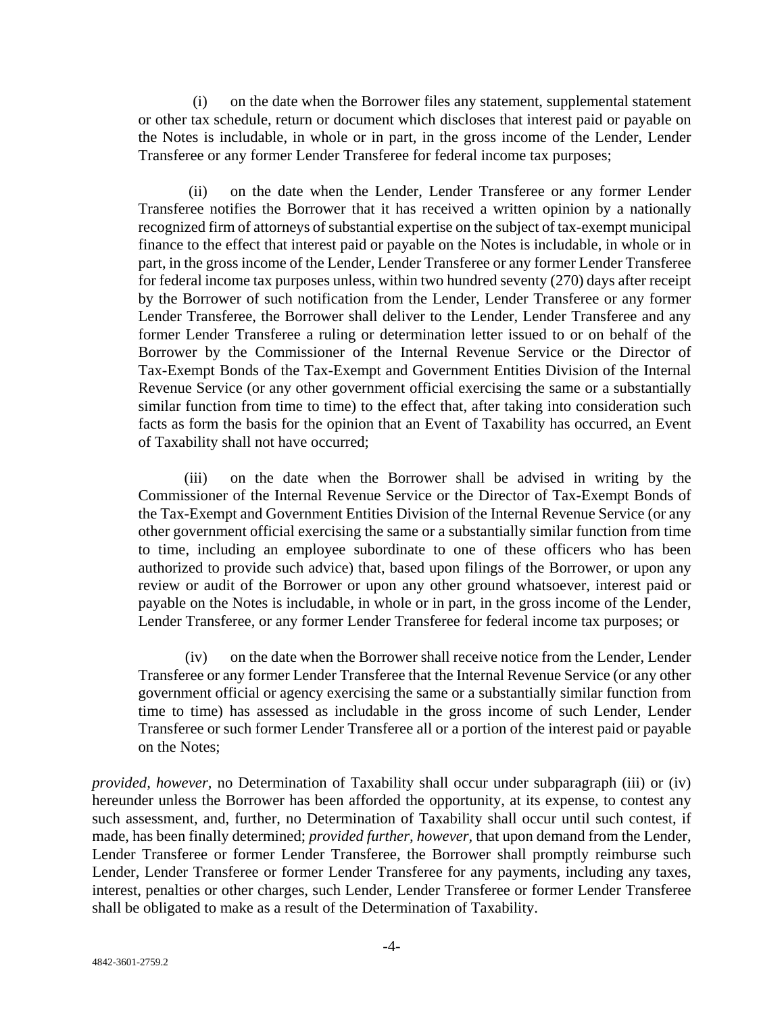(i) on the date when the Borrower files any statement, supplemental statement or other tax schedule, return or document which discloses that interest paid or payable on the Notes is includable, in whole or in part, in the gross income of the Lender, Lender Transferee or any former Lender Transferee for federal income tax purposes;

(ii) on the date when the Lender, Lender Transferee or any former Lender Transferee notifies the Borrower that it has received a written opinion by a nationally recognized firm of attorneys of substantial expertise on the subject of tax-exempt municipal finance to the effect that interest paid or payable on the Notes is includable, in whole or in part, in the gross income of the Lender, Lender Transferee or any former Lender Transferee for federal income tax purposes unless, within two hundred seventy (270) days after receipt by the Borrower of such notification from the Lender, Lender Transferee or any former Lender Transferee, the Borrower shall deliver to the Lender, Lender Transferee and any former Lender Transferee a ruling or determination letter issued to or on behalf of the Borrower by the Commissioner of the Internal Revenue Service or the Director of Tax-Exempt Bonds of the Tax-Exempt and Government Entities Division of the Internal Revenue Service (or any other government official exercising the same or a substantially similar function from time to time) to the effect that, after taking into consideration such facts as form the basis for the opinion that an Event of Taxability has occurred, an Event of Taxability shall not have occurred;

(iii) on the date when the Borrower shall be advised in writing by the Commissioner of the Internal Revenue Service or the Director of Tax-Exempt Bonds of the Tax-Exempt and Government Entities Division of the Internal Revenue Service (or any other government official exercising the same or a substantially similar function from time to time, including an employee subordinate to one of these officers who has been authorized to provide such advice) that, based upon filings of the Borrower, or upon any review or audit of the Borrower or upon any other ground whatsoever, interest paid or payable on the Notes is includable, in whole or in part, in the gross income of the Lender, Lender Transferee, or any former Lender Transferee for federal income tax purposes; or

(iv) on the date when the Borrower shall receive notice from the Lender, Lender Transferee or any former Lender Transferee that the Internal Revenue Service (or any other government official or agency exercising the same or a substantially similar function from time to time) has assessed as includable in the gross income of such Lender, Lender Transferee or such former Lender Transferee all or a portion of the interest paid or payable on the Notes;

*provided, however,* no Determination of Taxability shall occur under subparagraph (iii) or (iv) hereunder unless the Borrower has been afforded the opportunity, at its expense, to contest any such assessment, and, further, no Determination of Taxability shall occur until such contest, if made, has been finally determined; *provided further, however,* that upon demand from the Lender, Lender Transferee or former Lender Transferee, the Borrower shall promptly reimburse such Lender, Lender Transferee or former Lender Transferee for any payments, including any taxes, interest, penalties or other charges, such Lender, Lender Transferee or former Lender Transferee shall be obligated to make as a result of the Determination of Taxability.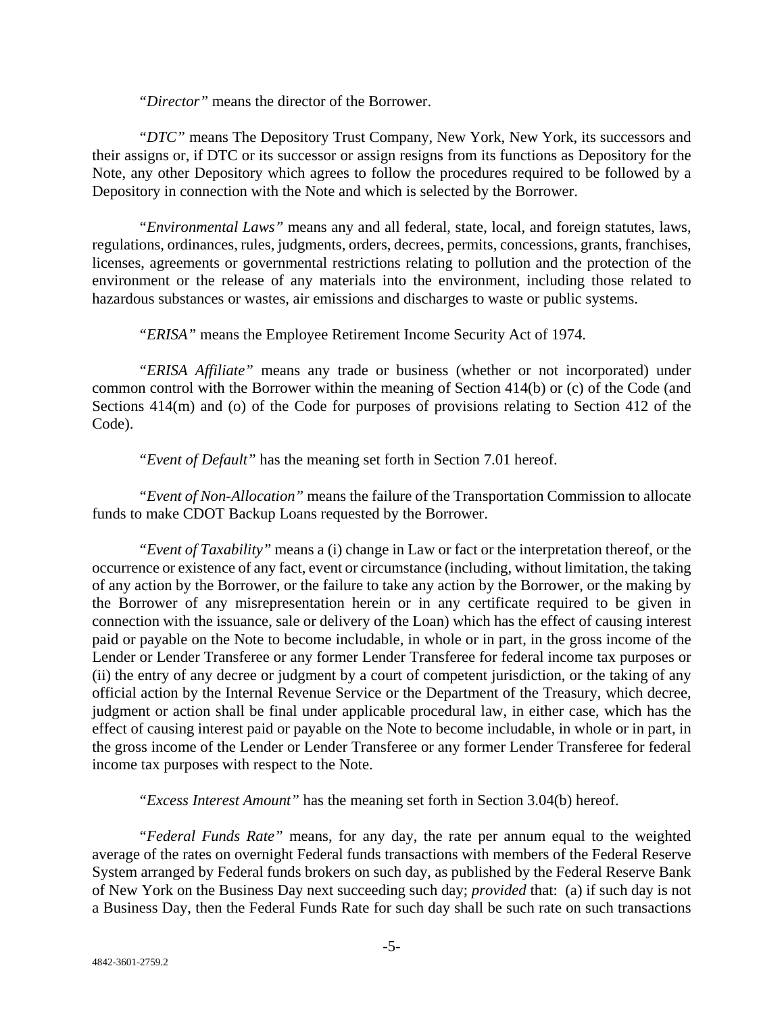*"Director"* means the director of the Borrower.

*"DTC"* means The Depository Trust Company, New York, New York, its successors and their assigns or, if DTC or its successor or assign resigns from its functions as Depository for the Note, any other Depository which agrees to follow the procedures required to be followed by a Depository in connection with the Note and which is selected by the Borrower.

*"Environmental Laws"* means any and all federal, state, local, and foreign statutes, laws, regulations, ordinances, rules, judgments, orders, decrees, permits, concessions, grants, franchises, licenses, agreements or governmental restrictions relating to pollution and the protection of the environment or the release of any materials into the environment, including those related to hazardous substances or wastes, air emissions and discharges to waste or public systems.

*"ERISA"* means the Employee Retirement Income Security Act of 1974.

*"ERISA Affiliate"* means any trade or business (whether or not incorporated) under common control with the Borrower within the meaning of Section 414(b) or (c) of the Code (and Sections 414(m) and (o) of the Code for purposes of provisions relating to Section 412 of the Code).

*"Event of Default"* has the meaning set forth in Section 7.01 hereof.

*"Event of Non-Allocation"* means the failure of the Transportation Commission to allocate funds to make CDOT Backup Loans requested by the Borrower.

*"Event of Taxability"* means a (i) change in Law or fact or the interpretation thereof, or the occurrence or existence of any fact, event or circumstance (including, without limitation, the taking of any action by the Borrower, or the failure to take any action by the Borrower, or the making by the Borrower of any misrepresentation herein or in any certificate required to be given in connection with the issuance, sale or delivery of the Loan) which has the effect of causing interest paid or payable on the Note to become includable, in whole or in part, in the gross income of the Lender or Lender Transferee or any former Lender Transferee for federal income tax purposes or (ii) the entry of any decree or judgment by a court of competent jurisdiction, or the taking of any official action by the Internal Revenue Service or the Department of the Treasury, which decree, judgment or action shall be final under applicable procedural law, in either case, which has the effect of causing interest paid or payable on the Note to become includable, in whole or in part, in the gross income of the Lender or Lender Transferee or any former Lender Transferee for federal income tax purposes with respect to the Note.

*"Excess Interest Amount"* has the meaning set forth in Section 3.04(b) hereof.

*"Federal Funds Rate"* means, for any day, the rate per annum equal to the weighted average of the rates on overnight Federal funds transactions with members of the Federal Reserve System arranged by Federal funds brokers on such day, as published by the Federal Reserve Bank of New York on the Business Day next succeeding such day; *provided* that: (a) if such day is not a Business Day, then the Federal Funds Rate for such day shall be such rate on such transactions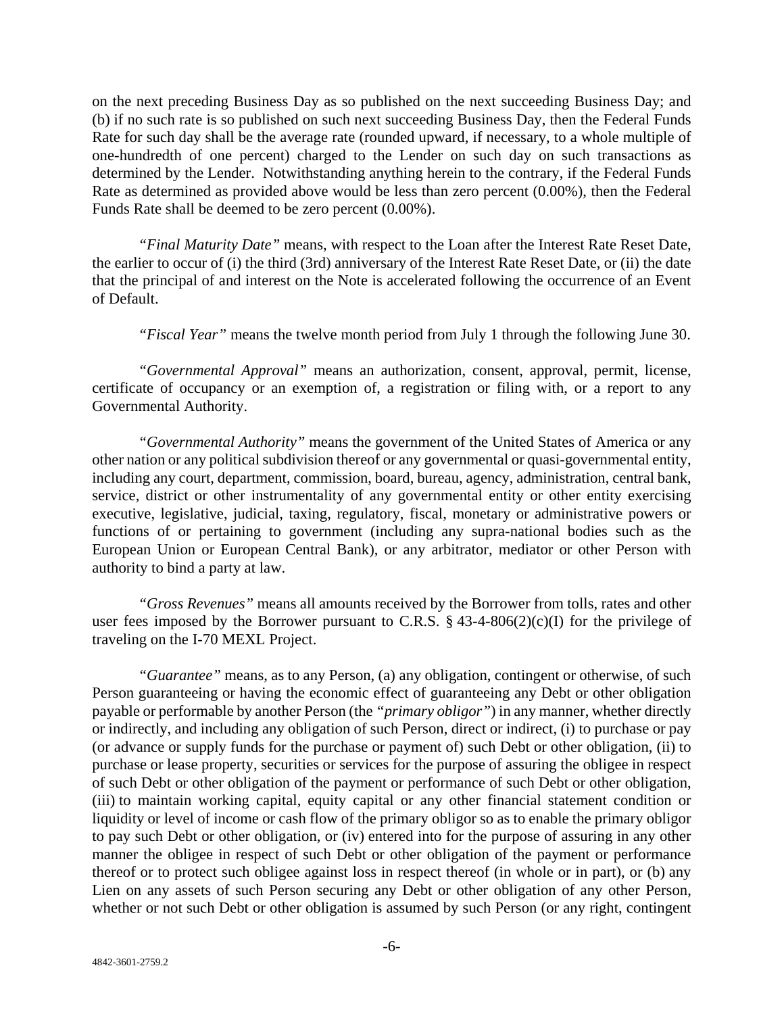on the next preceding Business Day as so published on the next succeeding Business Day; and (b) if no such rate is so published on such next succeeding Business Day, then the Federal Funds Rate for such day shall be the average rate (rounded upward, if necessary, to a whole multiple of one-hundredth of one percent) charged to the Lender on such day on such transactions as determined by the Lender. Notwithstanding anything herein to the contrary, if the Federal Funds Rate as determined as provided above would be less than zero percent (0.00%), then the Federal Funds Rate shall be deemed to be zero percent (0.00%).

*"Final Maturity Date"* means, with respect to the Loan after the Interest Rate Reset Date, the earlier to occur of (i) the third (3rd) anniversary of the Interest Rate Reset Date, or (ii) the date that the principal of and interest on the Note is accelerated following the occurrence of an Event of Default.

*"Fiscal Year"* means the twelve month period from July 1 through the following June 30.

*"Governmental Approval"* means an authorization, consent, approval, permit, license, certificate of occupancy or an exemption of, a registration or filing with, or a report to any Governmental Authority.

*"Governmental Authority"* means the government of the United States of America or any other nation or any political subdivision thereof or any governmental or quasi-governmental entity, including any court, department, commission, board, bureau, agency, administration, central bank, service, district or other instrumentality of any governmental entity or other entity exercising executive, legislative, judicial, taxing, regulatory, fiscal, monetary or administrative powers or functions of or pertaining to government (including any supra-national bodies such as the European Union or European Central Bank), or any arbitrator, mediator or other Person with authority to bind a party at law.

*"Gross Revenues"* means all amounts received by the Borrower from tolls, rates and other user fees imposed by the Borrower pursuant to C.R.S.  $\S$  43-4-806(2)(c)(I) for the privilege of traveling on the I-70 MEXL Project.

*"Guarantee"* means, as to any Person, (a) any obligation, contingent or otherwise, of such Person guaranteeing or having the economic effect of guaranteeing any Debt or other obligation payable or performable by another Person (the *"primary obligor"*) in any manner, whether directly or indirectly, and including any obligation of such Person, direct or indirect, (i) to purchase or pay (or advance or supply funds for the purchase or payment of) such Debt or other obligation, (ii) to purchase or lease property, securities or services for the purpose of assuring the obligee in respect of such Debt or other obligation of the payment or performance of such Debt or other obligation, (iii) to maintain working capital, equity capital or any other financial statement condition or liquidity or level of income or cash flow of the primary obligor so as to enable the primary obligor to pay such Debt or other obligation, or (iv) entered into for the purpose of assuring in any other manner the obligee in respect of such Debt or other obligation of the payment or performance thereof or to protect such obligee against loss in respect thereof (in whole or in part), or (b) any Lien on any assets of such Person securing any Debt or other obligation of any other Person, whether or not such Debt or other obligation is assumed by such Person (or any right, contingent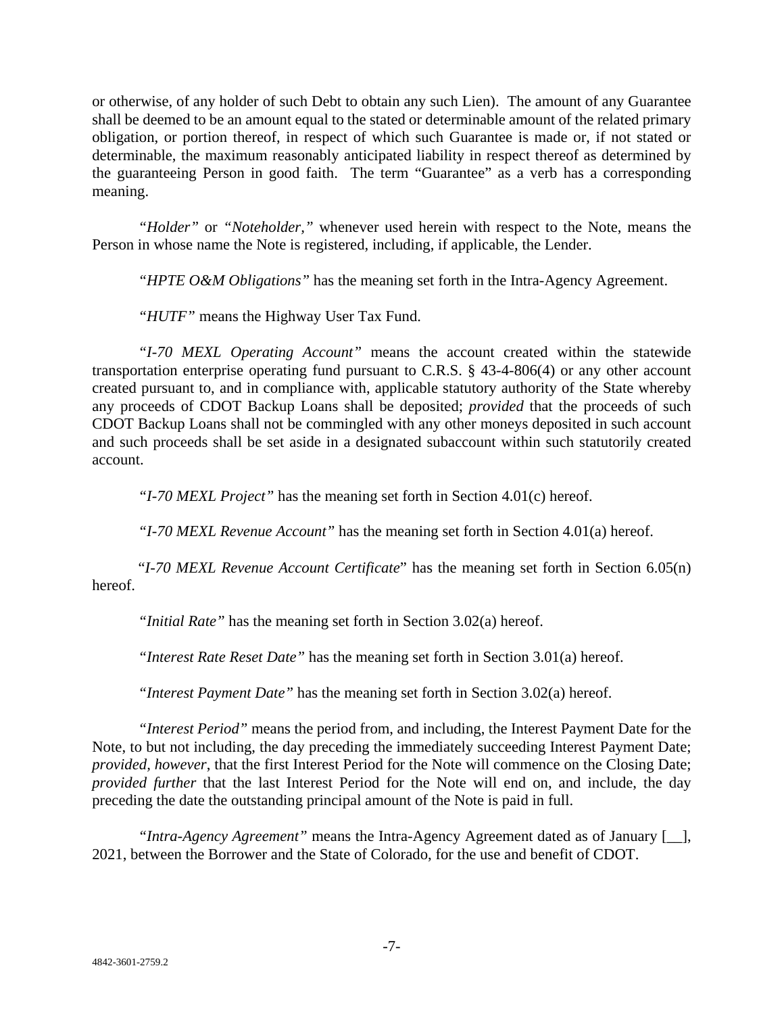or otherwise, of any holder of such Debt to obtain any such Lien). The amount of any Guarantee shall be deemed to be an amount equal to the stated or determinable amount of the related primary obligation, or portion thereof, in respect of which such Guarantee is made or, if not stated or determinable, the maximum reasonably anticipated liability in respect thereof as determined by the guaranteeing Person in good faith. The term "Guarantee" as a verb has a corresponding meaning.

*"Holder"* or *"Noteholder,"* whenever used herein with respect to the Note, means the Person in whose name the Note is registered, including, if applicable, the Lender.

*"HPTE O&M Obligations"* has the meaning set forth in the Intra-Agency Agreement.

*"HUTF"* means the Highway User Tax Fund.

*"I-70 MEXL Operating Account"* means the account created within the statewide transportation enterprise operating fund pursuant to C.R.S. § 43-4-806(4) or any other account created pursuant to, and in compliance with, applicable statutory authority of the State whereby any proceeds of CDOT Backup Loans shall be deposited; *provided* that the proceeds of such CDOT Backup Loans shall not be commingled with any other moneys deposited in such account and such proceeds shall be set aside in a designated subaccount within such statutorily created account.

*"I-70 MEXL Project"* has the meaning set forth in Section 4.01(c) hereof.

*"I-70 MEXL Revenue Account"* has the meaning set forth in Section 4.01(a) hereof.

"*I-70 MEXL Revenue Account Certificate*" has the meaning set forth in Section 6.05(n) hereof.

*"Initial Rate"* has the meaning set forth in Section 3.02(a) hereof.

*"Interest Rate Reset Date"* has the meaning set forth in Section 3.01(a) hereof.

*"Interest Payment Date"* has the meaning set forth in Section 3.02(a) hereof.

*"Interest Period"* means the period from, and including, the Interest Payment Date for the Note, to but not including, the day preceding the immediately succeeding Interest Payment Date; *provided, however*, that the first Interest Period for the Note will commence on the Closing Date; *provided further* that the last Interest Period for the Note will end on, and include, the day preceding the date the outstanding principal amount of the Note is paid in full.

*"Intra-Agency Agreement"* means the Intra-Agency Agreement dated as of January [\_\_], 2021, between the Borrower and the State of Colorado, for the use and benefit of CDOT.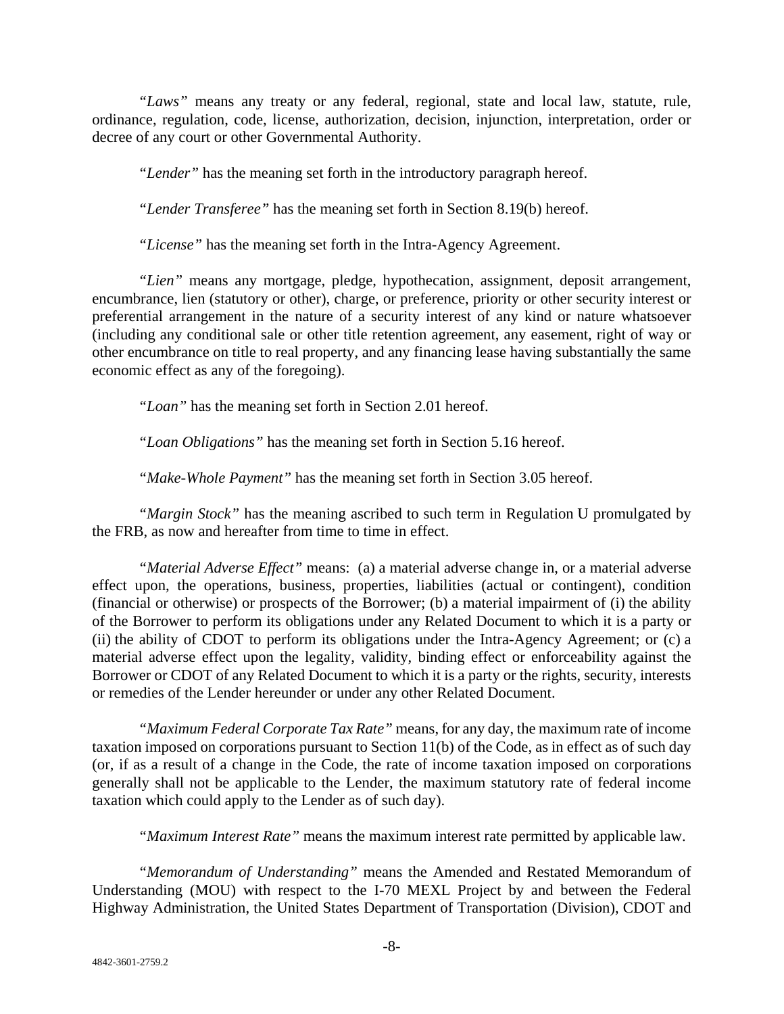*"Laws"* means any treaty or any federal, regional, state and local law, statute, rule, ordinance, regulation, code, license, authorization, decision, injunction, interpretation, order or decree of any court or other Governmental Authority.

*"Lender"* has the meaning set forth in the introductory paragraph hereof.

*"Lender Transferee"* has the meaning set forth in Section 8.19(b) hereof.

*"License"* has the meaning set forth in the Intra-Agency Agreement.

*"Lien"* means any mortgage, pledge, hypothecation, assignment, deposit arrangement, encumbrance, lien (statutory or other), charge, or preference, priority or other security interest or preferential arrangement in the nature of a security interest of any kind or nature whatsoever (including any conditional sale or other title retention agreement, any easement, right of way or other encumbrance on title to real property, and any financing lease having substantially the same economic effect as any of the foregoing).

*"Loan"* has the meaning set forth in Section 2.01 hereof.

*"Loan Obligations"* has the meaning set forth in Section 5.16 hereof.

*"Make-Whole Payment"* has the meaning set forth in Section 3.05 hereof.

*"Margin Stock"* has the meaning ascribed to such term in Regulation U promulgated by the FRB, as now and hereafter from time to time in effect.

*"Material Adverse Effect"* means: (a) a material adverse change in, or a material adverse effect upon, the operations, business, properties, liabilities (actual or contingent), condition (financial or otherwise) or prospects of the Borrower; (b) a material impairment of (i) the ability of the Borrower to perform its obligations under any Related Document to which it is a party or (ii) the ability of CDOT to perform its obligations under the Intra-Agency Agreement; or (c) a material adverse effect upon the legality, validity, binding effect or enforceability against the Borrower or CDOT of any Related Document to which it is a party or the rights, security, interests or remedies of the Lender hereunder or under any other Related Document.

*"Maximum Federal Corporate Tax Rate"* means, for any day, the maximum rate of income taxation imposed on corporations pursuant to Section 11(b) of the Code, as in effect as of such day (or, if as a result of a change in the Code, the rate of income taxation imposed on corporations generally shall not be applicable to the Lender, the maximum statutory rate of federal income taxation which could apply to the Lender as of such day).

*"Maximum Interest Rate"* means the maximum interest rate permitted by applicable law.

*"Memorandum of Understanding"* means the Amended and Restated Memorandum of Understanding (MOU) with respect to the I-70 MEXL Project by and between the Federal Highway Administration, the United States Department of Transportation (Division), CDOT and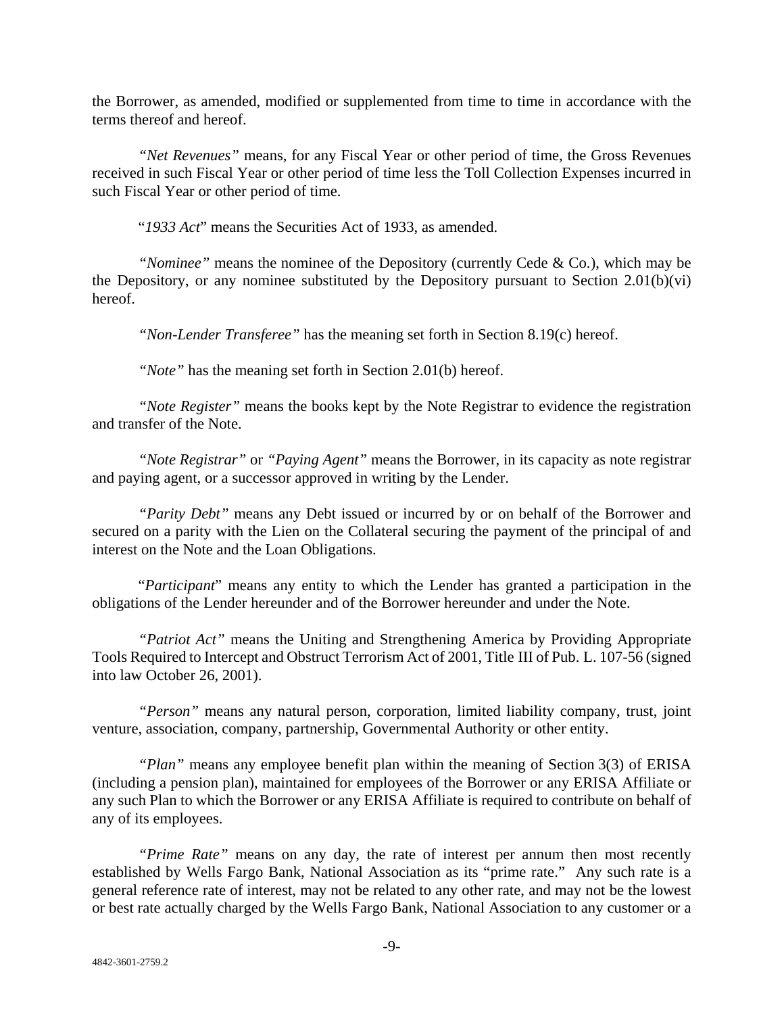the Borrower, as amended, modified or supplemented from time to time in accordance with the terms thereof and hereof.

*"Net Revenues"* means, for any Fiscal Year or other period of time, the Gross Revenues received in such Fiscal Year or other period of time less the Toll Collection Expenses incurred in such Fiscal Year or other period of time.

"*1933 Act*" means the Securities Act of 1933, as amended.

*"Nominee"* means the nominee of the Depository (currently Cede & Co.), which may be the Depository, or any nominee substituted by the Depository pursuant to Section 2.01(b)(vi) hereof.

*"Non-Lender Transferee"* has the meaning set forth in Section 8.19(c) hereof.

*"Note"* has the meaning set forth in Section 2.01(b) hereof.

*"Note Register"* means the books kept by the Note Registrar to evidence the registration and transfer of the Note.

*"Note Registrar"* or *"Paying Agent"* means the Borrower, in its capacity as note registrar and paying agent, or a successor approved in writing by the Lender.

*"Parity Debt"* means any Debt issued or incurred by or on behalf of the Borrower and secured on a parity with the Lien on the Collateral securing the payment of the principal of and interest on the Note and the Loan Obligations.

"*Participant*" means any entity to which the Lender has granted a participation in the obligations of the Lender hereunder and of the Borrower hereunder and under the Note.

*"Patriot Act"* means the Uniting and Strengthening America by Providing Appropriate Tools Required to Intercept and Obstruct Terrorism Act of 2001, Title III of Pub. L. 107-56 (signed into law October 26, 2001).

*"Person"* means any natural person, corporation, limited liability company, trust, joint venture, association, company, partnership, Governmental Authority or other entity.

*"Plan"* means any employee benefit plan within the meaning of Section 3(3) of ERISA (including a pension plan), maintained for employees of the Borrower or any ERISA Affiliate or any such Plan to which the Borrower or any ERISA Affiliate is required to contribute on behalf of any of its employees.

*"Prime Rate"* means on any day, the rate of interest per annum then most recently established by Wells Fargo Bank, National Association as its "prime rate." Any such rate is a general reference rate of interest, may not be related to any other rate, and may not be the lowest or best rate actually charged by the Wells Fargo Bank, National Association to any customer or a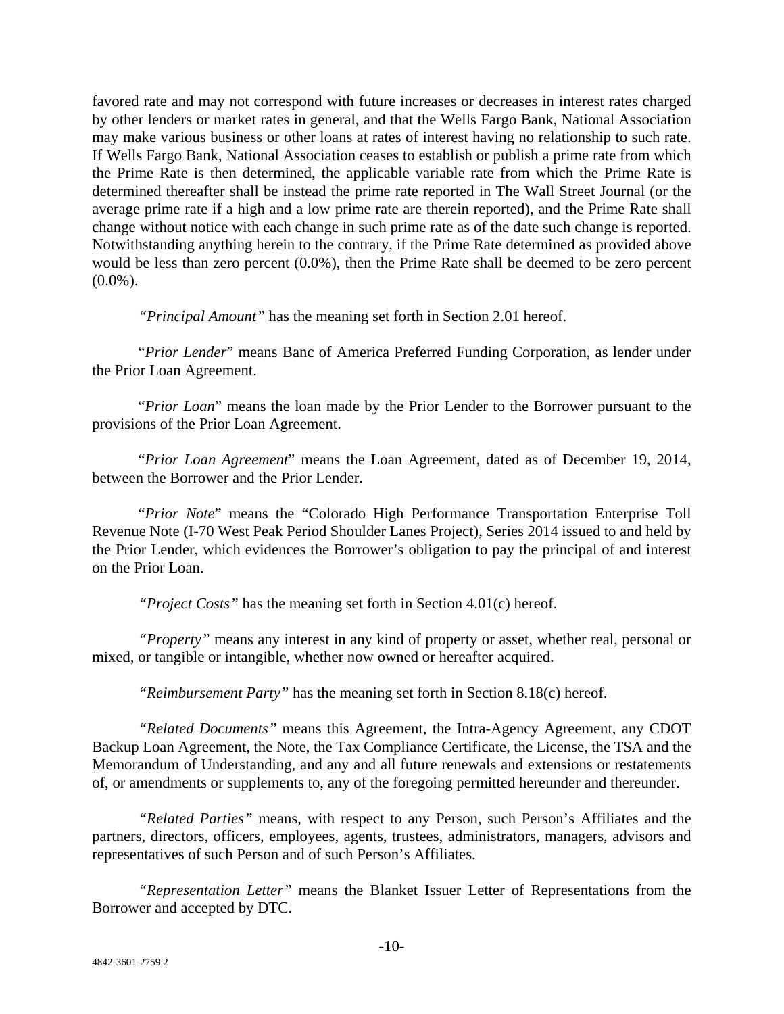favored rate and may not correspond with future increases or decreases in interest rates charged by other lenders or market rates in general, and that the Wells Fargo Bank, National Association may make various business or other loans at rates of interest having no relationship to such rate. If Wells Fargo Bank, National Association ceases to establish or publish a prime rate from which the Prime Rate is then determined, the applicable variable rate from which the Prime Rate is determined thereafter shall be instead the prime rate reported in The Wall Street Journal (or the average prime rate if a high and a low prime rate are therein reported), and the Prime Rate shall change without notice with each change in such prime rate as of the date such change is reported. Notwithstanding anything herein to the contrary, if the Prime Rate determined as provided above would be less than zero percent (0.0%), then the Prime Rate shall be deemed to be zero percent  $(0.0\%)$ .

*"Principal Amount"* has the meaning set forth in Section 2.01 hereof.

"*Prior Lender*" means Banc of America Preferred Funding Corporation, as lender under the Prior Loan Agreement.

"*Prior Loan*" means the loan made by the Prior Lender to the Borrower pursuant to the provisions of the Prior Loan Agreement.

"*Prior Loan Agreement*" means the Loan Agreement, dated as of December 19, 2014, between the Borrower and the Prior Lender.

"*Prior Note*" means the "Colorado High Performance Transportation Enterprise Toll Revenue Note (I-70 West Peak Period Shoulder Lanes Project), Series 2014 issued to and held by the Prior Lender, which evidences the Borrower's obligation to pay the principal of and interest on the Prior Loan.

*"Project Costs"* has the meaning set forth in Section 4.01(c) hereof.

*"Property"* means any interest in any kind of property or asset, whether real, personal or mixed, or tangible or intangible, whether now owned or hereafter acquired.

*"Reimbursement Party"* has the meaning set forth in Section 8.18(c) hereof.

*"Related Documents"* means this Agreement, the Intra-Agency Agreement, any CDOT Backup Loan Agreement, the Note, the Tax Compliance Certificate, the License, the TSA and the Memorandum of Understanding, and any and all future renewals and extensions or restatements of, or amendments or supplements to, any of the foregoing permitted hereunder and thereunder.

*"Related Parties"* means, with respect to any Person, such Person's Affiliates and the partners, directors, officers, employees, agents, trustees, administrators, managers, advisors and representatives of such Person and of such Person's Affiliates.

*"Representation Letter"* means the Blanket Issuer Letter of Representations from the Borrower and accepted by DTC.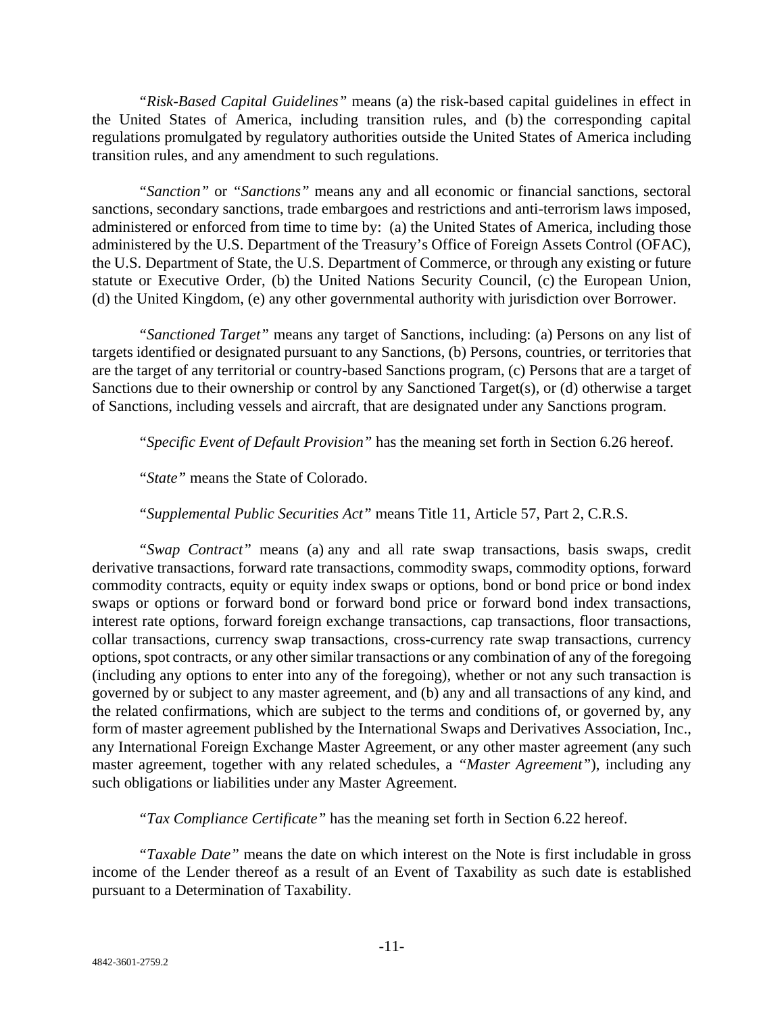*"Risk-Based Capital Guidelines"* means (a) the risk-based capital guidelines in effect in the United States of America, including transition rules, and (b) the corresponding capital regulations promulgated by regulatory authorities outside the United States of America including transition rules, and any amendment to such regulations.

*"Sanction"* or *"Sanctions"* means any and all economic or financial sanctions, sectoral sanctions, secondary sanctions, trade embargoes and restrictions and anti-terrorism laws imposed, administered or enforced from time to time by: (a) the United States of America, including those administered by the U.S. Department of the Treasury's Office of Foreign Assets Control (OFAC), the U.S. Department of State, the U.S. Department of Commerce, or through any existing or future statute or Executive Order, (b) the United Nations Security Council, (c) the European Union, (d) the United Kingdom, (e) any other governmental authority with jurisdiction over Borrower.

*"Sanctioned Target"* means any target of Sanctions, including: (a) Persons on any list of targets identified or designated pursuant to any Sanctions, (b) Persons, countries, or territories that are the target of any territorial or country-based Sanctions program, (c) Persons that are a target of Sanctions due to their ownership or control by any Sanctioned Target(s), or (d) otherwise a target of Sanctions, including vessels and aircraft, that are designated under any Sanctions program.

*"Specific Event of Default Provision"* has the meaning set forth in Section 6.26 hereof.

*"State"* means the State of Colorado.

*"Supplemental Public Securities Act"* means Title 11, Article 57, Part 2, C.R.S.

*"Swap Contract"* means (a) any and all rate swap transactions, basis swaps, credit derivative transactions, forward rate transactions, commodity swaps, commodity options, forward commodity contracts, equity or equity index swaps or options, bond or bond price or bond index swaps or options or forward bond or forward bond price or forward bond index transactions, interest rate options, forward foreign exchange transactions, cap transactions, floor transactions, collar transactions, currency swap transactions, cross-currency rate swap transactions, currency options, spot contracts, or any other similar transactions or any combination of any of the foregoing (including any options to enter into any of the foregoing), whether or not any such transaction is governed by or subject to any master agreement, and (b) any and all transactions of any kind, and the related confirmations, which are subject to the terms and conditions of, or governed by, any form of master agreement published by the International Swaps and Derivatives Association, Inc., any International Foreign Exchange Master Agreement, or any other master agreement (any such master agreement, together with any related schedules, a *"Master Agreement"*), including any such obligations or liabilities under any Master Agreement.

*"Tax Compliance Certificate"* has the meaning set forth in Section 6.22 hereof.

*"Taxable Date"* means the date on which interest on the Note is first includable in gross income of the Lender thereof as a result of an Event of Taxability as such date is established pursuant to a Determination of Taxability.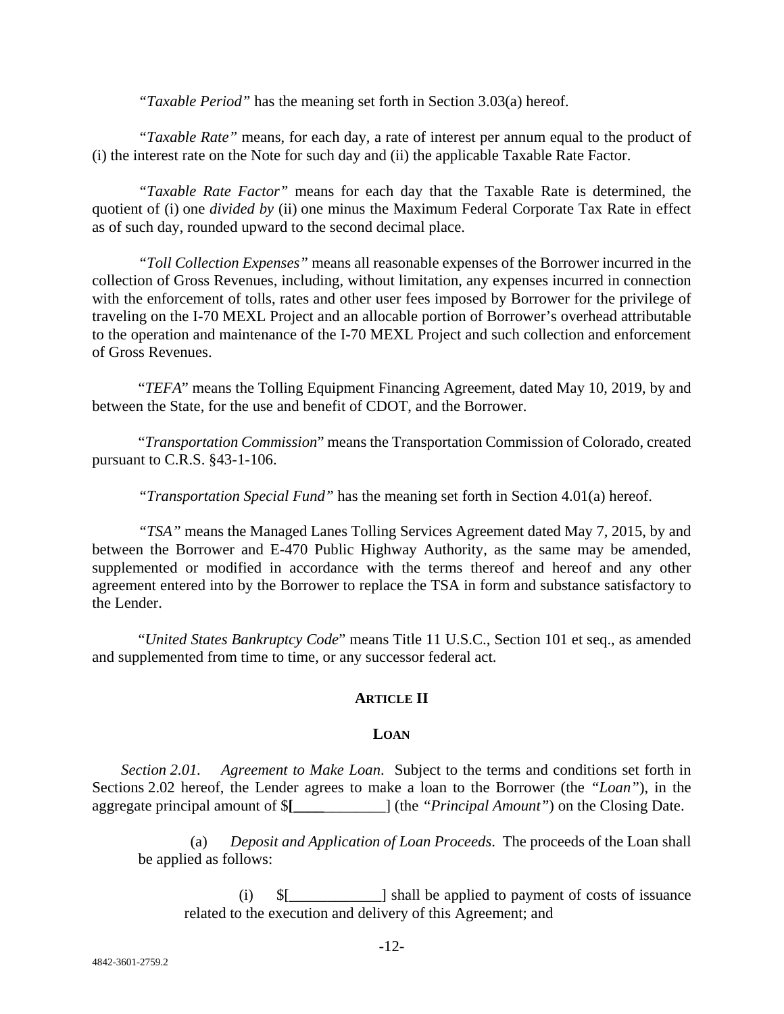*"Taxable Period"* has the meaning set forth in Section 3.03(a) hereof.

*"Taxable Rate"* means, for each day, a rate of interest per annum equal to the product of (i) the interest rate on the Note for such day and (ii) the applicable Taxable Rate Factor.

*"Taxable Rate Factor"* means for each day that the Taxable Rate is determined, the quotient of (i) one *divided by* (ii) one minus the Maximum Federal Corporate Tax Rate in effect as of such day, rounded upward to the second decimal place.

*"Toll Collection Expenses"* means all reasonable expenses of the Borrower incurred in the collection of Gross Revenues, including, without limitation, any expenses incurred in connection with the enforcement of tolls, rates and other user fees imposed by Borrower for the privilege of traveling on the I-70 MEXL Project and an allocable portion of Borrower's overhead attributable to the operation and maintenance of the I-70 MEXL Project and such collection and enforcement of Gross Revenues.

"*TEFA*" means the Tolling Equipment Financing Agreement, dated May 10, 2019, by and between the State, for the use and benefit of CDOT, and the Borrower.

"*Transportation Commission*" means the Transportation Commission of Colorado, created pursuant to C.R.S. §43-1-106.

*"Transportation Special Fund"* has the meaning set forth in Section 4.01(a) hereof.

*"TSA"* means the Managed Lanes Tolling Services Agreement dated May 7, 2015, by and between the Borrower and E-470 Public Highway Authority, as the same may be amended, supplemented or modified in accordance with the terms thereof and hereof and any other agreement entered into by the Borrower to replace the TSA in form and substance satisfactory to the Lender.

"*United States Bankruptcy Code*" means Title 11 U.S.C., Section 101 et seq., as amended and supplemented from time to time, or any successor federal act.

## **ARTICLE II**

## **LOAN**

*Section 2.01. Agreement to Make Loan*. Subject to the terms and conditions set forth in Sections 2.02 hereof, the Lender agrees to make a loan to the Borrower (the *"Loan"*), in the aggregate principal amount of \$**[\_\_\_\_**\_\_\_\_\_\_\_\_] (the *"Principal Amount"*) on the Closing Date.

(a) *Deposit and Application of Loan Proceeds*. The proceeds of the Loan shall be applied as follows:

(i) \$[\_\_\_\_\_\_\_\_\_\_\_\_] shall be applied to payment of costs of issuance related to the execution and delivery of this Agreement; and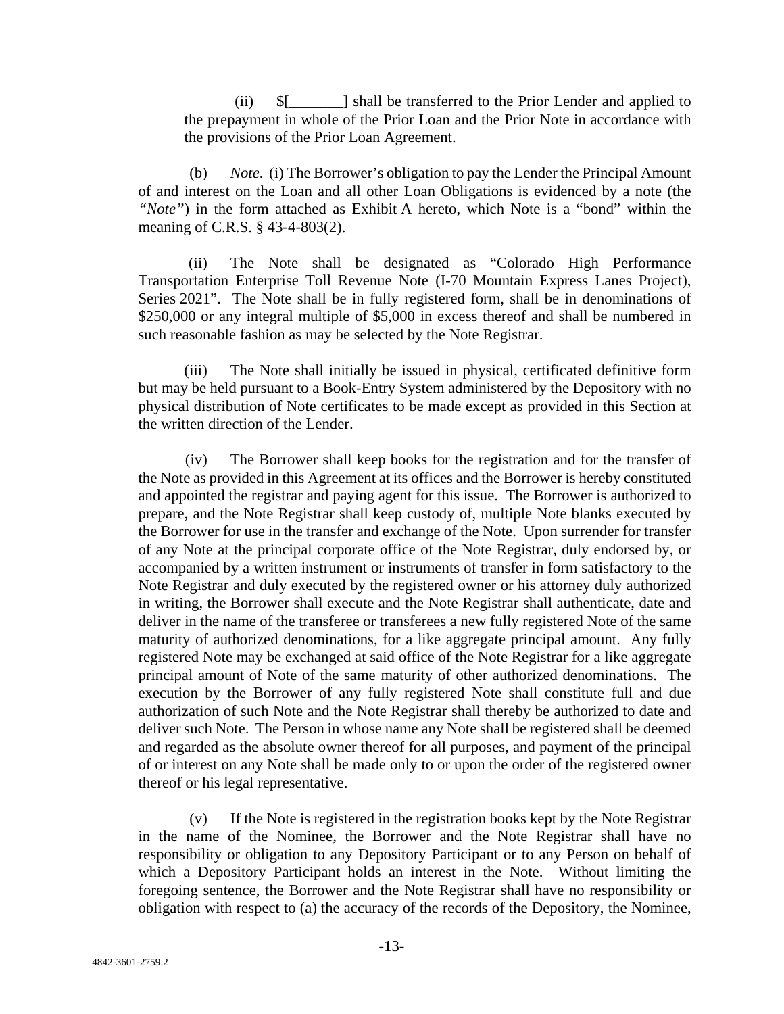(ii) \$[\_\_\_\_\_\_\_] shall be transferred to the Prior Lender and applied to the prepayment in whole of the Prior Loan and the Prior Note in accordance with the provisions of the Prior Loan Agreement.

(b) *Note*. (i) The Borrower's obligation to pay the Lender the Principal Amount of and interest on the Loan and all other Loan Obligations is evidenced by a note (the *"Note"*) in the form attached as Exhibit A hereto, which Note is a "bond" within the meaning of C.R.S. § 43-4-803(2).

(ii) The Note shall be designated as "Colorado High Performance Transportation Enterprise Toll Revenue Note (I-70 Mountain Express Lanes Project), Series 2021". The Note shall be in fully registered form, shall be in denominations of \$250,000 or any integral multiple of \$5,000 in excess thereof and shall be numbered in such reasonable fashion as may be selected by the Note Registrar.

(iii) The Note shall initially be issued in physical, certificated definitive form but may be held pursuant to a Book-Entry System administered by the Depository with no physical distribution of Note certificates to be made except as provided in this Section at the written direction of the Lender.

(iv) The Borrower shall keep books for the registration and for the transfer of the Note as provided in this Agreement at its offices and the Borrower is hereby constituted and appointed the registrar and paying agent for this issue. The Borrower is authorized to prepare, and the Note Registrar shall keep custody of, multiple Note blanks executed by the Borrower for use in the transfer and exchange of the Note. Upon surrender for transfer of any Note at the principal corporate office of the Note Registrar, duly endorsed by, or accompanied by a written instrument or instruments of transfer in form satisfactory to the Note Registrar and duly executed by the registered owner or his attorney duly authorized in writing, the Borrower shall execute and the Note Registrar shall authenticate, date and deliver in the name of the transferee or transferees a new fully registered Note of the same maturity of authorized denominations, for a like aggregate principal amount. Any fully registered Note may be exchanged at said office of the Note Registrar for a like aggregate principal amount of Note of the same maturity of other authorized denominations. The execution by the Borrower of any fully registered Note shall constitute full and due authorization of such Note and the Note Registrar shall thereby be authorized to date and deliver such Note. The Person in whose name any Note shall be registered shall be deemed and regarded as the absolute owner thereof for all purposes, and payment of the principal of or interest on any Note shall be made only to or upon the order of the registered owner thereof or his legal representative.

(v) If the Note is registered in the registration books kept by the Note Registrar in the name of the Nominee, the Borrower and the Note Registrar shall have no responsibility or obligation to any Depository Participant or to any Person on behalf of which a Depository Participant holds an interest in the Note. Without limiting the foregoing sentence, the Borrower and the Note Registrar shall have no responsibility or obligation with respect to (a) the accuracy of the records of the Depository, the Nominee,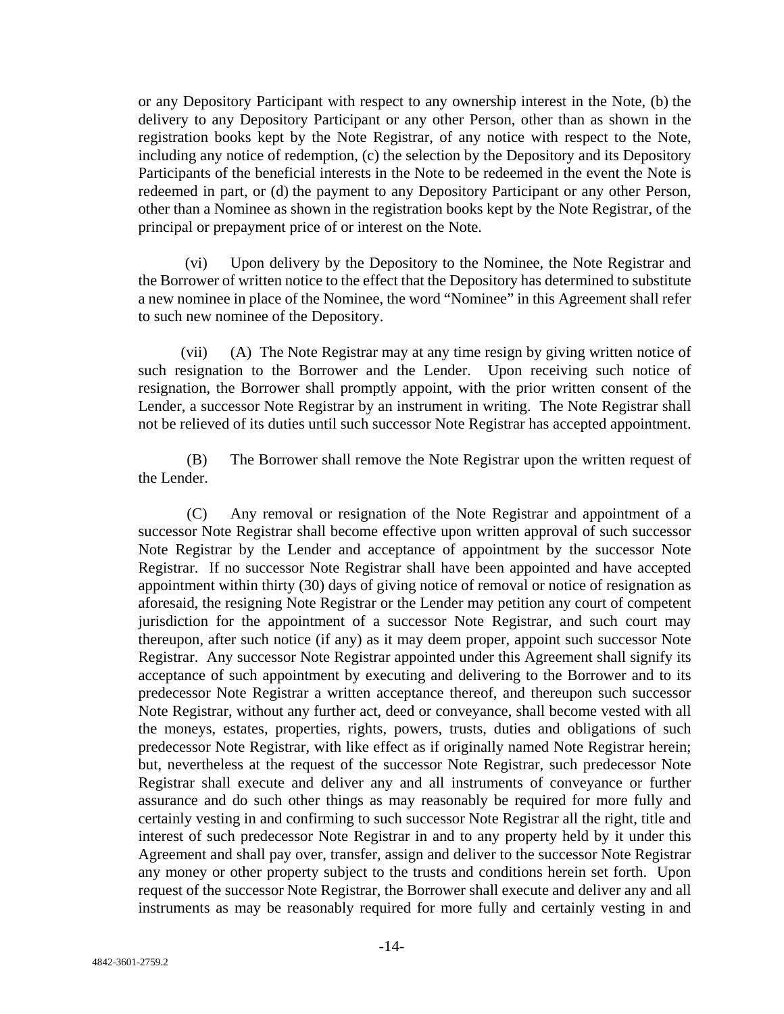or any Depository Participant with respect to any ownership interest in the Note, (b) the delivery to any Depository Participant or any other Person, other than as shown in the registration books kept by the Note Registrar, of any notice with respect to the Note, including any notice of redemption, (c) the selection by the Depository and its Depository Participants of the beneficial interests in the Note to be redeemed in the event the Note is redeemed in part, or (d) the payment to any Depository Participant or any other Person, other than a Nominee as shown in the registration books kept by the Note Registrar, of the principal or prepayment price of or interest on the Note.

(vi) Upon delivery by the Depository to the Nominee, the Note Registrar and the Borrower of written notice to the effect that the Depository has determined to substitute a new nominee in place of the Nominee, the word "Nominee" in this Agreement shall refer to such new nominee of the Depository.

(vii) (A) The Note Registrar may at any time resign by giving written notice of such resignation to the Borrower and the Lender. Upon receiving such notice of resignation, the Borrower shall promptly appoint, with the prior written consent of the Lender, a successor Note Registrar by an instrument in writing. The Note Registrar shall not be relieved of its duties until such successor Note Registrar has accepted appointment.

(B) The Borrower shall remove the Note Registrar upon the written request of the Lender.

(C) Any removal or resignation of the Note Registrar and appointment of a successor Note Registrar shall become effective upon written approval of such successor Note Registrar by the Lender and acceptance of appointment by the successor Note Registrar. If no successor Note Registrar shall have been appointed and have accepted appointment within thirty (30) days of giving notice of removal or notice of resignation as aforesaid, the resigning Note Registrar or the Lender may petition any court of competent jurisdiction for the appointment of a successor Note Registrar, and such court may thereupon, after such notice (if any) as it may deem proper, appoint such successor Note Registrar. Any successor Note Registrar appointed under this Agreement shall signify its acceptance of such appointment by executing and delivering to the Borrower and to its predecessor Note Registrar a written acceptance thereof, and thereupon such successor Note Registrar, without any further act, deed or conveyance, shall become vested with all the moneys, estates, properties, rights, powers, trusts, duties and obligations of such predecessor Note Registrar, with like effect as if originally named Note Registrar herein; but, nevertheless at the request of the successor Note Registrar, such predecessor Note Registrar shall execute and deliver any and all instruments of conveyance or further assurance and do such other things as may reasonably be required for more fully and certainly vesting in and confirming to such successor Note Registrar all the right, title and interest of such predecessor Note Registrar in and to any property held by it under this Agreement and shall pay over, transfer, assign and deliver to the successor Note Registrar any money or other property subject to the trusts and conditions herein set forth. Upon request of the successor Note Registrar, the Borrower shall execute and deliver any and all instruments as may be reasonably required for more fully and certainly vesting in and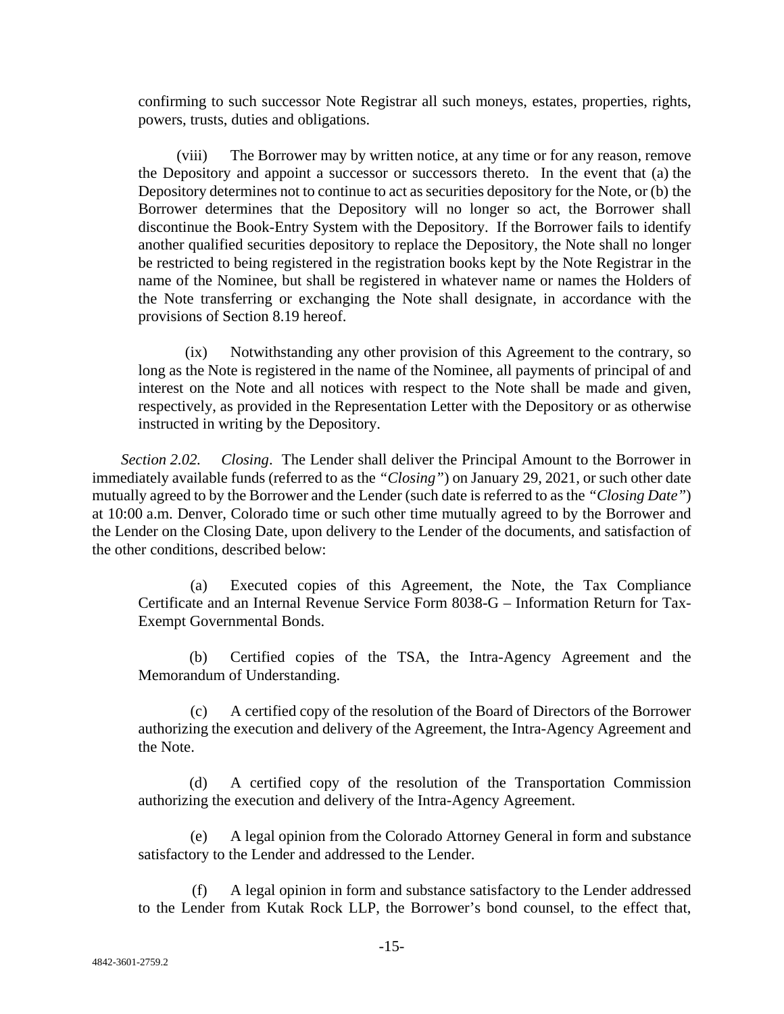confirming to such successor Note Registrar all such moneys, estates, properties, rights, powers, trusts, duties and obligations.

(viii) The Borrower may by written notice, at any time or for any reason, remove the Depository and appoint a successor or successors thereto. In the event that (a) the Depository determines not to continue to act as securities depository for the Note, or (b) the Borrower determines that the Depository will no longer so act, the Borrower shall discontinue the Book-Entry System with the Depository. If the Borrower fails to identify another qualified securities depository to replace the Depository, the Note shall no longer be restricted to being registered in the registration books kept by the Note Registrar in the name of the Nominee, but shall be registered in whatever name or names the Holders of the Note transferring or exchanging the Note shall designate, in accordance with the provisions of Section 8.19 hereof.

(ix) Notwithstanding any other provision of this Agreement to the contrary, so long as the Note is registered in the name of the Nominee, all payments of principal of and interest on the Note and all notices with respect to the Note shall be made and given, respectively, as provided in the Representation Letter with the Depository or as otherwise instructed in writing by the Depository.

*Section 2.02. Closing*. The Lender shall deliver the Principal Amount to the Borrower in immediately available funds (referred to as the *"Closing"*) on January 29, 2021, or such other date mutually agreed to by the Borrower and the Lender (such date is referred to as the *"Closing Date"*) at 10:00 a.m. Denver, Colorado time or such other time mutually agreed to by the Borrower and the Lender on the Closing Date, upon delivery to the Lender of the documents, and satisfaction of the other conditions, described below:

(a) Executed copies of this Agreement, the Note, the Tax Compliance Certificate and an Internal Revenue Service Form 8038-G – Information Return for Tax-Exempt Governmental Bonds.

(b) Certified copies of the TSA, the Intra-Agency Agreement and the Memorandum of Understanding.

(c) A certified copy of the resolution of the Board of Directors of the Borrower authorizing the execution and delivery of the Agreement, the Intra-Agency Agreement and the Note.

(d) A certified copy of the resolution of the Transportation Commission authorizing the execution and delivery of the Intra-Agency Agreement.

(e) A legal opinion from the Colorado Attorney General in form and substance satisfactory to the Lender and addressed to the Lender.

(f) A legal opinion in form and substance satisfactory to the Lender addressed to the Lender from Kutak Rock LLP, the Borrower's bond counsel, to the effect that,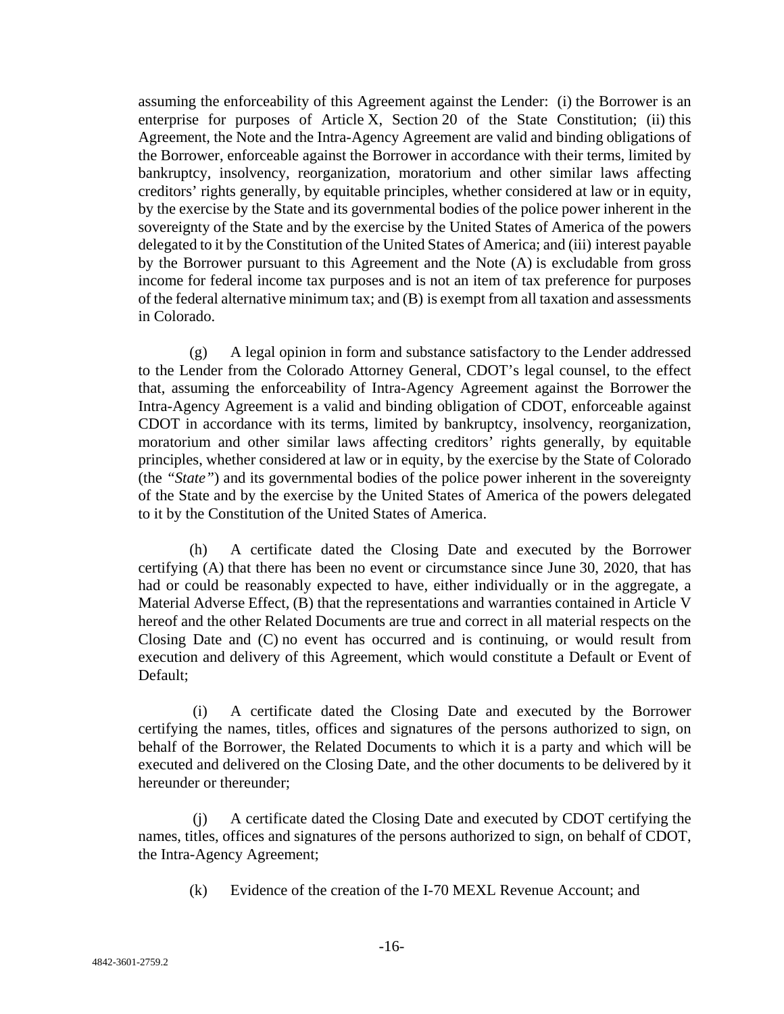assuming the enforceability of this Agreement against the Lender: (i) the Borrower is an enterprise for purposes of Article X, Section 20 of the State Constitution; (ii) this Agreement, the Note and the Intra-Agency Agreement are valid and binding obligations of the Borrower, enforceable against the Borrower in accordance with their terms, limited by bankruptcy, insolvency, reorganization, moratorium and other similar laws affecting creditors' rights generally, by equitable principles, whether considered at law or in equity, by the exercise by the State and its governmental bodies of the police power inherent in the sovereignty of the State and by the exercise by the United States of America of the powers delegated to it by the Constitution of the United States of America; and (iii) interest payable by the Borrower pursuant to this Agreement and the Note (A) is excludable from gross income for federal income tax purposes and is not an item of tax preference for purposes of the federal alternative minimum tax; and (B) is exempt from all taxation and assessments in Colorado.

(g) A legal opinion in form and substance satisfactory to the Lender addressed to the Lender from the Colorado Attorney General, CDOT's legal counsel, to the effect that, assuming the enforceability of Intra-Agency Agreement against the Borrower the Intra-Agency Agreement is a valid and binding obligation of CDOT, enforceable against CDOT in accordance with its terms, limited by bankruptcy, insolvency, reorganization, moratorium and other similar laws affecting creditors' rights generally, by equitable principles, whether considered at law or in equity, by the exercise by the State of Colorado (the *"State"*) and its governmental bodies of the police power inherent in the sovereignty of the State and by the exercise by the United States of America of the powers delegated to it by the Constitution of the United States of America.

(h) A certificate dated the Closing Date and executed by the Borrower certifying (A) that there has been no event or circumstance since June 30, 2020, that has had or could be reasonably expected to have, either individually or in the aggregate, a Material Adverse Effect, (B) that the representations and warranties contained in Article V hereof and the other Related Documents are true and correct in all material respects on the Closing Date and (C) no event has occurred and is continuing, or would result from execution and delivery of this Agreement, which would constitute a Default or Event of Default;

(i) A certificate dated the Closing Date and executed by the Borrower certifying the names, titles, offices and signatures of the persons authorized to sign, on behalf of the Borrower, the Related Documents to which it is a party and which will be executed and delivered on the Closing Date, and the other documents to be delivered by it hereunder or thereunder;

(j) A certificate dated the Closing Date and executed by CDOT certifying the names, titles, offices and signatures of the persons authorized to sign, on behalf of CDOT, the Intra-Agency Agreement;

(k) Evidence of the creation of the I-70 MEXL Revenue Account; and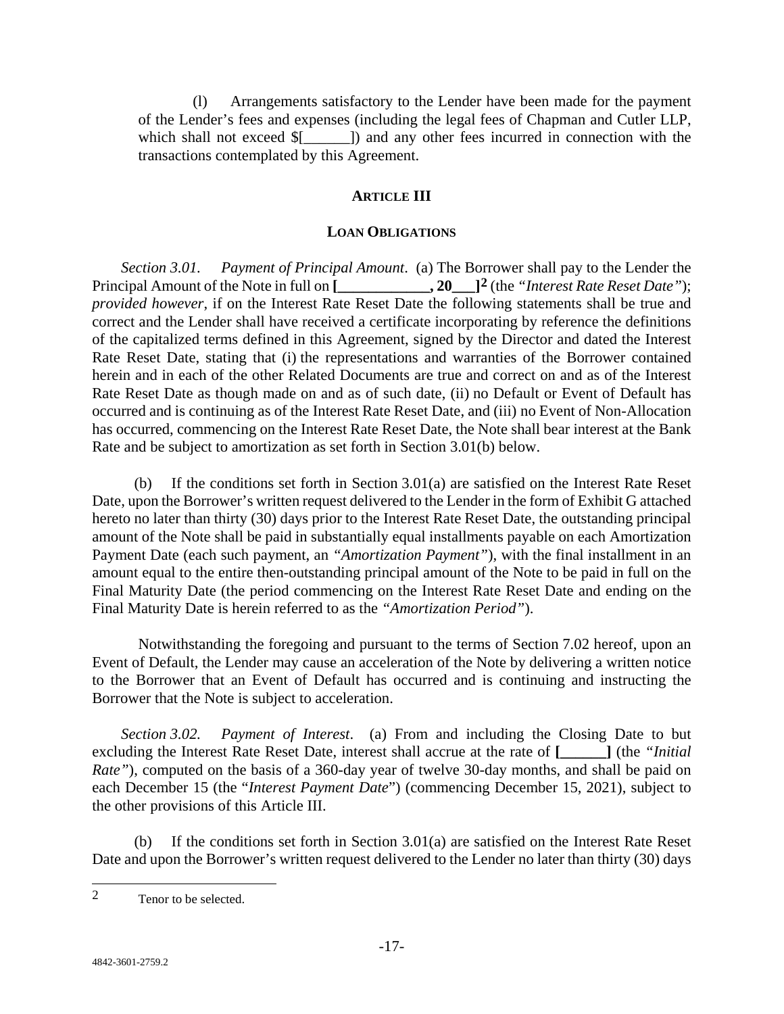(l) Arrangements satisfactory to the Lender have been made for the payment of the Lender's fees and expenses (including the legal fees of Chapman and Cutler LLP, which shall not exceed  $\S$ [ [ ]) and any other fees incurred in connection with the transactions contemplated by this Agreement.

#### **ARTICLE III**

#### **LOAN OBLIGATIONS**

*Section 3.01. Payment of Principal Amount*. (a) The Borrower shall pay to the Lender the Principal Amount of the Note in full on **[\_\_\_\_\_\_\_\_\_\_\_\_, 20\_\_\_][2](#page-20-0)** (the *"Interest Rate Reset Date"*); *provided however*, if on the Interest Rate Reset Date the following statements shall be true and correct and the Lender shall have received a certificate incorporating by reference the definitions of the capitalized terms defined in this Agreement, signed by the Director and dated the Interest Rate Reset Date, stating that (i) the representations and warranties of the Borrower contained herein and in each of the other Related Documents are true and correct on and as of the Interest Rate Reset Date as though made on and as of such date, (ii) no Default or Event of Default has occurred and is continuing as of the Interest Rate Reset Date, and (iii) no Event of Non-Allocation has occurred, commencing on the Interest Rate Reset Date, the Note shall bear interest at the Bank Rate and be subject to amortization as set forth in Section 3.01(b) below.

If the conditions set forth in Section  $3.01(a)$  are satisfied on the Interest Rate Reset Date, upon the Borrower's written request delivered to the Lender in the form of Exhibit G attached hereto no later than thirty (30) days prior to the Interest Rate Reset Date, the outstanding principal amount of the Note shall be paid in substantially equal installments payable on each Amortization Payment Date (each such payment, an *"Amortization Payment"*), with the final installment in an amount equal to the entire then-outstanding principal amount of the Note to be paid in full on the Final Maturity Date (the period commencing on the Interest Rate Reset Date and ending on the Final Maturity Date is herein referred to as the *"Amortization Period"*).

Notwithstanding the foregoing and pursuant to the terms of Section 7.02 hereof, upon an Event of Default, the Lender may cause an acceleration of the Note by delivering a written notice to the Borrower that an Event of Default has occurred and is continuing and instructing the Borrower that the Note is subject to acceleration.

*Section 3.02. Payment of Interest*. (a) From and including the Closing Date to but excluding the Interest Rate Reset Date, interest shall accrue at the rate of **[\_\_\_\_\_\_]** (the *"Initial Rate"*), computed on the basis of a 360-day year of twelve 30-day months, and shall be paid on each December 15 (the "*Interest Payment Date*") (commencing December 15, 2021), subject to the other provisions of this Article III.

(b) If the conditions set forth in Section 3.01(a) are satisfied on the Interest Rate Reset Date and upon the Borrower's written request delivered to the Lender no later than thirty (30) days

<span id="page-20-0"></span> <sup>2</sup> Tenor to be selected.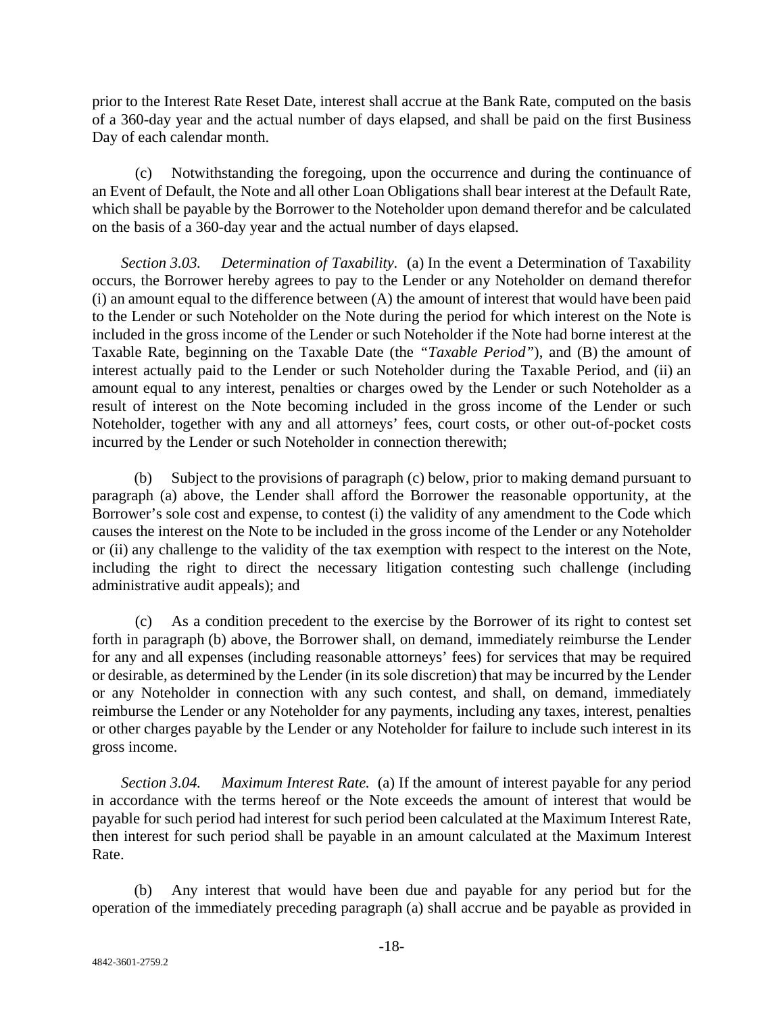prior to the Interest Rate Reset Date, interest shall accrue at the Bank Rate, computed on the basis of a 360-day year and the actual number of days elapsed, and shall be paid on the first Business Day of each calendar month.

(c) Notwithstanding the foregoing, upon the occurrence and during the continuance of an Event of Default, the Note and all other Loan Obligations shall bear interest at the Default Rate, which shall be payable by the Borrower to the Noteholder upon demand therefor and be calculated on the basis of a 360-day year and the actual number of days elapsed.

*Section 3.03. Determination of Taxability.* (a) In the event a Determination of Taxability occurs, the Borrower hereby agrees to pay to the Lender or any Noteholder on demand therefor (i) an amount equal to the difference between (A) the amount of interest that would have been paid to the Lender or such Noteholder on the Note during the period for which interest on the Note is included in the gross income of the Lender or such Noteholder if the Note had borne interest at the Taxable Rate, beginning on the Taxable Date (the *"Taxable Period"*), and (B) the amount of interest actually paid to the Lender or such Noteholder during the Taxable Period, and (ii) an amount equal to any interest, penalties or charges owed by the Lender or such Noteholder as a result of interest on the Note becoming included in the gross income of the Lender or such Noteholder, together with any and all attorneys' fees, court costs, or other out-of-pocket costs incurred by the Lender or such Noteholder in connection therewith;

(b) Subject to the provisions of paragraph (c) below, prior to making demand pursuant to paragraph (a) above, the Lender shall afford the Borrower the reasonable opportunity, at the Borrower's sole cost and expense, to contest (i) the validity of any amendment to the Code which causes the interest on the Note to be included in the gross income of the Lender or any Noteholder or (ii) any challenge to the validity of the tax exemption with respect to the interest on the Note, including the right to direct the necessary litigation contesting such challenge (including administrative audit appeals); and

(c) As a condition precedent to the exercise by the Borrower of its right to contest set forth in paragraph (b) above, the Borrower shall, on demand, immediately reimburse the Lender for any and all expenses (including reasonable attorneys' fees) for services that may be required or desirable, as determined by the Lender (in its sole discretion) that may be incurred by the Lender or any Noteholder in connection with any such contest, and shall, on demand, immediately reimburse the Lender or any Noteholder for any payments, including any taxes, interest, penalties or other charges payable by the Lender or any Noteholder for failure to include such interest in its gross income.

*Section 3.04. Maximum Interest Rate.* (a) If the amount of interest payable for any period in accordance with the terms hereof or the Note exceeds the amount of interest that would be payable for such period had interest for such period been calculated at the Maximum Interest Rate, then interest for such period shall be payable in an amount calculated at the Maximum Interest Rate.

(b) Any interest that would have been due and payable for any period but for the operation of the immediately preceding paragraph (a) shall accrue and be payable as provided in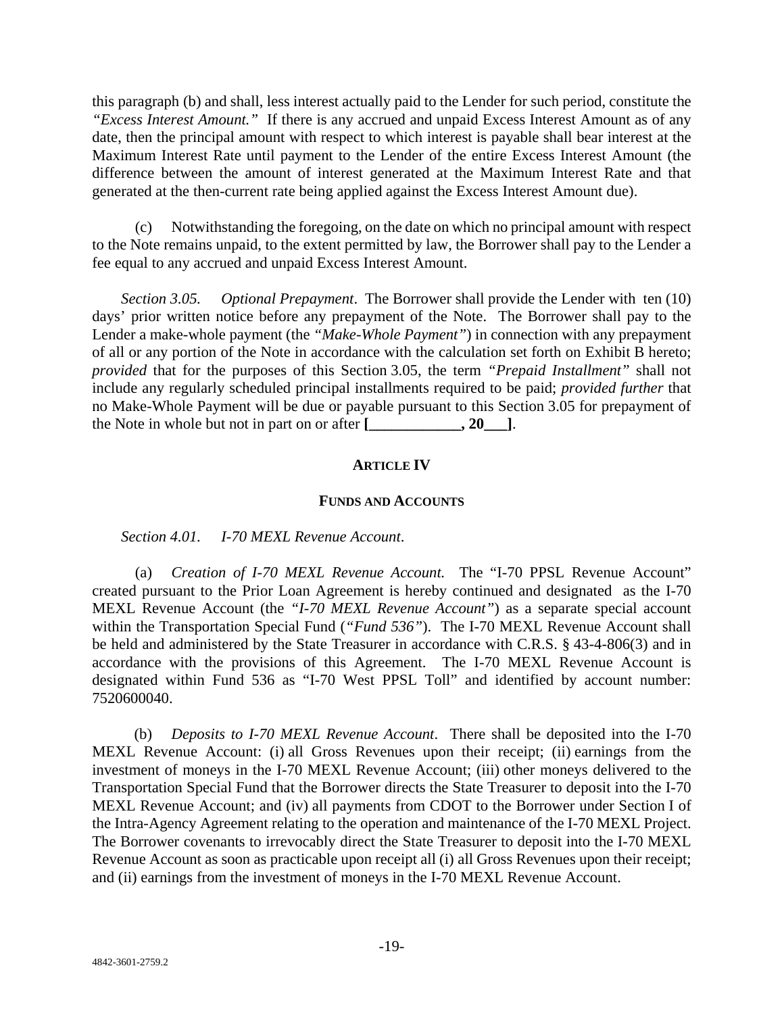this paragraph (b) and shall, less interest actually paid to the Lender for such period, constitute the *"Excess Interest Amount."* If there is any accrued and unpaid Excess Interest Amount as of any date, then the principal amount with respect to which interest is payable shall bear interest at the Maximum Interest Rate until payment to the Lender of the entire Excess Interest Amount (the difference between the amount of interest generated at the Maximum Interest Rate and that generated at the then-current rate being applied against the Excess Interest Amount due).

(c) Notwithstanding the foregoing, on the date on which no principal amount with respect to the Note remains unpaid, to the extent permitted by law, the Borrower shall pay to the Lender a fee equal to any accrued and unpaid Excess Interest Amount.

*Section 3.05. Optional Prepayment*. The Borrower shall provide the Lender with ten (10) days' prior written notice before any prepayment of the Note. The Borrower shall pay to the Lender a make-whole payment (the *"Make-Whole Payment"*) in connection with any prepayment of all or any portion of the Note in accordance with the calculation set forth on Exhibit B hereto; *provided* that for the purposes of this Section 3.05, the term *"Prepaid Installment"* shall not include any regularly scheduled principal installments required to be paid; *provided further* that no Make-Whole Payment will be due or payable pursuant to this Section 3.05 for prepayment of the Note in whole but not in part on or after **[**  $\qquad \qquad$  **.20** ].

## **ARTICLE IV**

#### **FUNDS AND ACCOUNTS**

*Section 4.01. I-70 MEXL Revenue Account*.

(a) *Creation of I-70 MEXL Revenue Account.* The "I-70 PPSL Revenue Account" created pursuant to the Prior Loan Agreement is hereby continued and designated as the I-70 MEXL Revenue Account (the *"I-70 MEXL Revenue Account"*) as a separate special account within the Transportation Special Fund (*"Fund 536"*). The I-70 MEXL Revenue Account shall be held and administered by the State Treasurer in accordance with C.R.S. § 43-4-806(3) and in accordance with the provisions of this Agreement. The I-70 MEXL Revenue Account is designated within Fund 536 as "I-70 West PPSL Toll" and identified by account number: 7520600040.

(b) *Deposits to I-70 MEXL Revenue Account*. There shall be deposited into the I-70 MEXL Revenue Account: (i) all Gross Revenues upon their receipt; (ii) earnings from the investment of moneys in the I-70 MEXL Revenue Account; (iii) other moneys delivered to the Transportation Special Fund that the Borrower directs the State Treasurer to deposit into the I-70 MEXL Revenue Account; and (iv) all payments from CDOT to the Borrower under Section I of the Intra-Agency Agreement relating to the operation and maintenance of the I-70 MEXL Project. The Borrower covenants to irrevocably direct the State Treasurer to deposit into the I-70 MEXL Revenue Account as soon as practicable upon receipt all (i) all Gross Revenues upon their receipt; and (ii) earnings from the investment of moneys in the I-70 MEXL Revenue Account.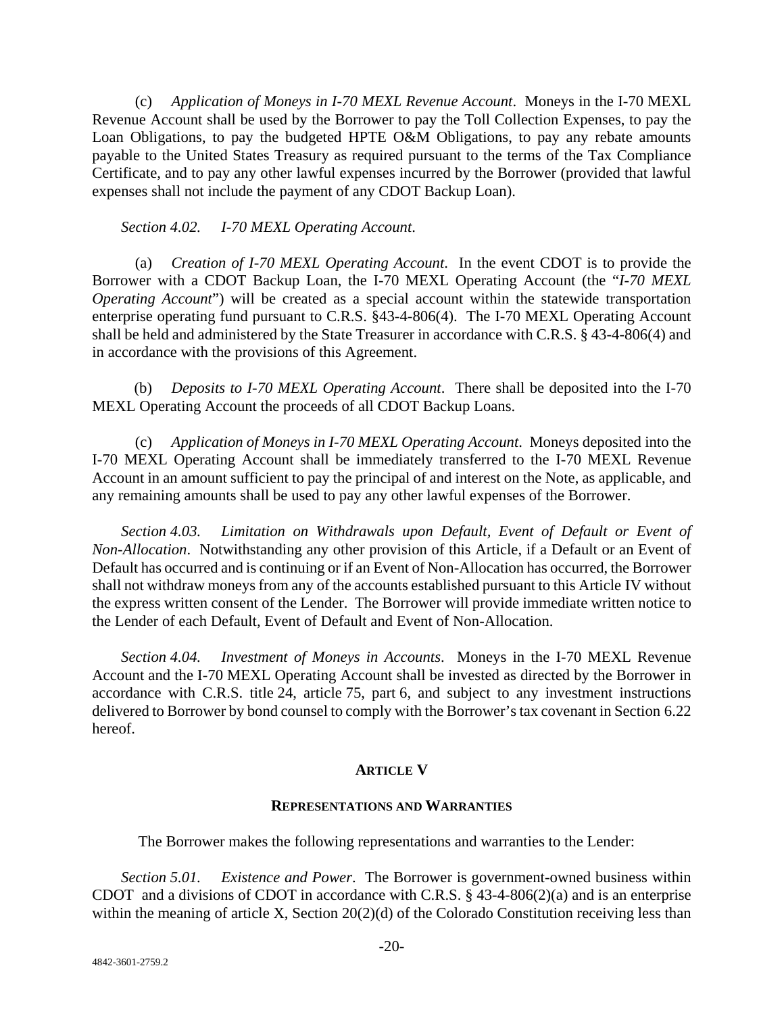(c) *Application of Moneys in I-70 MEXL Revenue Account*. Moneys in the I-70 MEXL Revenue Account shall be used by the Borrower to pay the Toll Collection Expenses, to pay the Loan Obligations, to pay the budgeted HPTE O&M Obligations, to pay any rebate amounts payable to the United States Treasury as required pursuant to the terms of the Tax Compliance Certificate, and to pay any other lawful expenses incurred by the Borrower (provided that lawful expenses shall not include the payment of any CDOT Backup Loan).

*Section 4.02. I-70 MEXL Operating Account*.

(a) *Creation of I-70 MEXL Operating Account*. In the event CDOT is to provide the Borrower with a CDOT Backup Loan, the I-70 MEXL Operating Account (the "*I-70 MEXL Operating Account*") will be created as a special account within the statewide transportation enterprise operating fund pursuant to C.R.S. §43-4-806(4). The I-70 MEXL Operating Account shall be held and administered by the State Treasurer in accordance with C.R.S. § 43-4-806(4) and in accordance with the provisions of this Agreement.

(b) *Deposits to I-70 MEXL Operating Account*. There shall be deposited into the I-70 MEXL Operating Account the proceeds of all CDOT Backup Loans.

(c) *Application of Moneys in I-70 MEXL Operating Account*. Moneys deposited into the I-70 MEXL Operating Account shall be immediately transferred to the I-70 MEXL Revenue Account in an amount sufficient to pay the principal of and interest on the Note, as applicable, and any remaining amounts shall be used to pay any other lawful expenses of the Borrower.

*Section 4.03. Limitation on Withdrawals upon Default, Event of Default or Event of Non-Allocation*. Notwithstanding any other provision of this Article, if a Default or an Event of Default has occurred and is continuing or if an Event of Non-Allocation has occurred, the Borrower shall not withdraw moneys from any of the accounts established pursuant to this Article IV without the express written consent of the Lender. The Borrower will provide immediate written notice to the Lender of each Default, Event of Default and Event of Non-Allocation.

*Section 4.04. Investment of Moneys in Accounts*. Moneys in the I-70 MEXL Revenue Account and the I-70 MEXL Operating Account shall be invested as directed by the Borrower in accordance with C.R.S. title 24, article 75, part 6, and subject to any investment instructions delivered to Borrower by bond counsel to comply with the Borrower's tax covenant in Section 6.22 hereof.

## **ARTICLE V**

#### **REPRESENTATIONS AND WARRANTIES**

The Borrower makes the following representations and warranties to the Lender:

*Section 5.01. Existence and Power*. The Borrower is government-owned business within CDOT and a divisions of CDOT in accordance with C.R.S.  $\S$  43-4-806(2)(a) and is an enterprise within the meaning of article X, Section 20(2)(d) of the Colorado Constitution receiving less than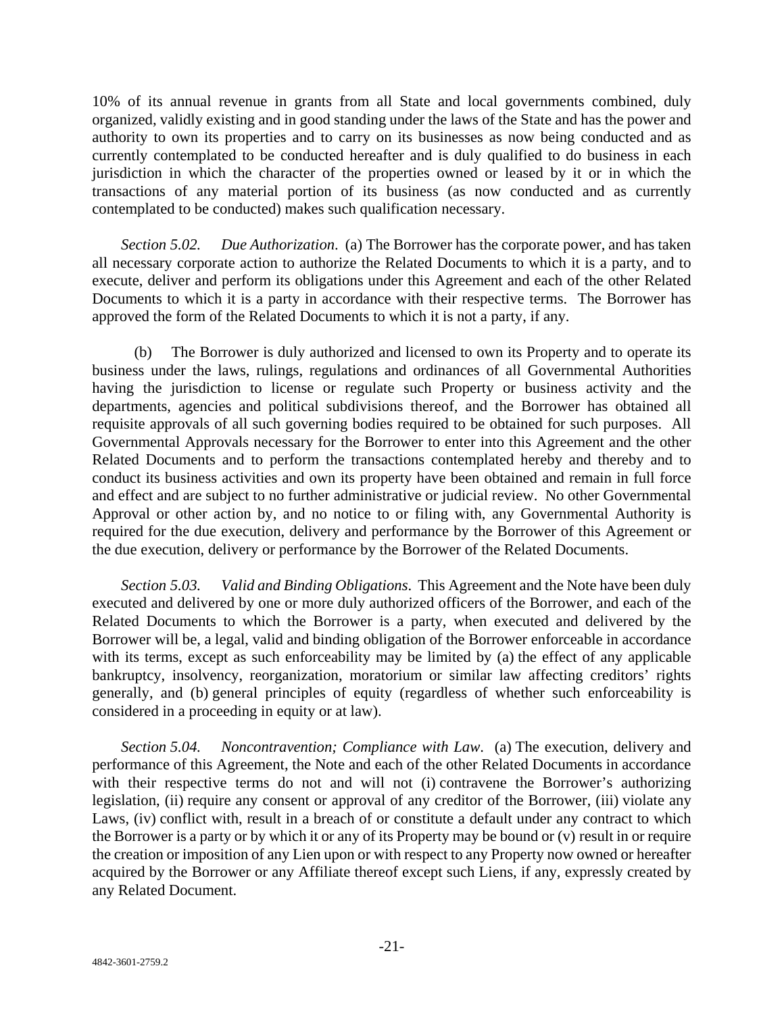10% of its annual revenue in grants from all State and local governments combined, duly organized, validly existing and in good standing under the laws of the State and has the power and authority to own its properties and to carry on its businesses as now being conducted and as currently contemplated to be conducted hereafter and is duly qualified to do business in each jurisdiction in which the character of the properties owned or leased by it or in which the transactions of any material portion of its business (as now conducted and as currently contemplated to be conducted) makes such qualification necessary.

*Section 5.02. Due Authorization*. (a) The Borrower has the corporate power, and has taken all necessary corporate action to authorize the Related Documents to which it is a party, and to execute, deliver and perform its obligations under this Agreement and each of the other Related Documents to which it is a party in accordance with their respective terms. The Borrower has approved the form of the Related Documents to which it is not a party, if any.

(b) The Borrower is duly authorized and licensed to own its Property and to operate its business under the laws, rulings, regulations and ordinances of all Governmental Authorities having the jurisdiction to license or regulate such Property or business activity and the departments, agencies and political subdivisions thereof, and the Borrower has obtained all requisite approvals of all such governing bodies required to be obtained for such purposes. All Governmental Approvals necessary for the Borrower to enter into this Agreement and the other Related Documents and to perform the transactions contemplated hereby and thereby and to conduct its business activities and own its property have been obtained and remain in full force and effect and are subject to no further administrative or judicial review. No other Governmental Approval or other action by, and no notice to or filing with, any Governmental Authority is required for the due execution, delivery and performance by the Borrower of this Agreement or the due execution, delivery or performance by the Borrower of the Related Documents.

*Section 5.03. Valid and Binding Obligations*. This Agreement and the Note have been duly executed and delivered by one or more duly authorized officers of the Borrower, and each of the Related Documents to which the Borrower is a party, when executed and delivered by the Borrower will be, a legal, valid and binding obligation of the Borrower enforceable in accordance with its terms, except as such enforceability may be limited by (a) the effect of any applicable bankruptcy, insolvency, reorganization, moratorium or similar law affecting creditors' rights generally, and (b) general principles of equity (regardless of whether such enforceability is considered in a proceeding in equity or at law).

*Section 5.04. Noncontravention; Compliance with Law*. (a) The execution, delivery and performance of this Agreement, the Note and each of the other Related Documents in accordance with their respective terms do not and will not (i) contravene the Borrower's authorizing legislation, (ii) require any consent or approval of any creditor of the Borrower, (iii) violate any Laws, (iv) conflict with, result in a breach of or constitute a default under any contract to which the Borrower is a party or by which it or any of its Property may be bound or (v) result in or require the creation or imposition of any Lien upon or with respect to any Property now owned or hereafter acquired by the Borrower or any Affiliate thereof except such Liens, if any, expressly created by any Related Document.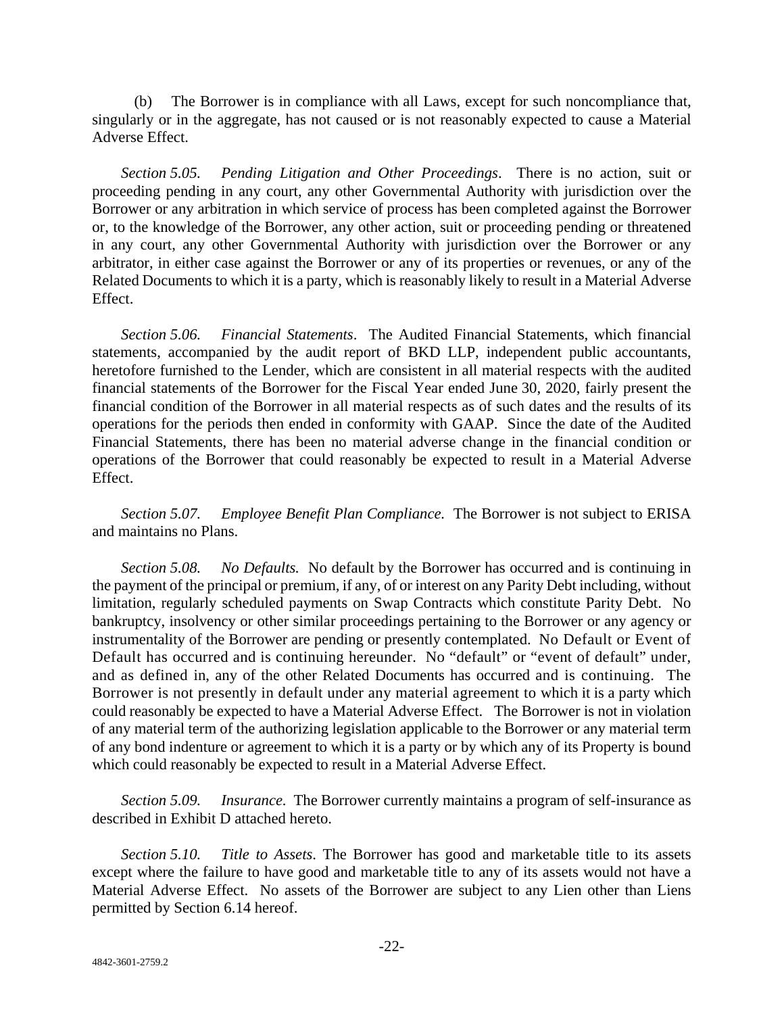(b) The Borrower is in compliance with all Laws, except for such noncompliance that, singularly or in the aggregate, has not caused or is not reasonably expected to cause a Material Adverse Effect.

*Section 5.05. Pending Litigation and Other Proceedings*. There is no action, suit or proceeding pending in any court, any other Governmental Authority with jurisdiction over the Borrower or any arbitration in which service of process has been completed against the Borrower or, to the knowledge of the Borrower, any other action, suit or proceeding pending or threatened in any court, any other Governmental Authority with jurisdiction over the Borrower or any arbitrator, in either case against the Borrower or any of its properties or revenues, or any of the Related Documents to which it is a party, which is reasonably likely to result in a Material Adverse Effect.

*Section 5.06. Financial Statements*. The Audited Financial Statements, which financial statements, accompanied by the audit report of BKD LLP, independent public accountants, heretofore furnished to the Lender, which are consistent in all material respects with the audited financial statements of the Borrower for the Fiscal Year ended June 30, 2020, fairly present the financial condition of the Borrower in all material respects as of such dates and the results of its operations for the periods then ended in conformity with GAAP. Since the date of the Audited Financial Statements, there has been no material adverse change in the financial condition or operations of the Borrower that could reasonably be expected to result in a Material Adverse Effect.

*Section 5.07. Employee Benefit Plan Compliance.* The Borrower is not subject to ERISA and maintains no Plans.

*Section 5.08. No Defaults.* No default by the Borrower has occurred and is continuing in the payment of the principal or premium, if any, of or interest on any Parity Debt including, without limitation, regularly scheduled payments on Swap Contracts which constitute Parity Debt. No bankruptcy, insolvency or other similar proceedings pertaining to the Borrower or any agency or instrumentality of the Borrower are pending or presently contemplated. No Default or Event of Default has occurred and is continuing hereunder. No "default" or "event of default" under, and as defined in, any of the other Related Documents has occurred and is continuing. The Borrower is not presently in default under any material agreement to which it is a party which could reasonably be expected to have a Material Adverse Effect. The Borrower is not in violation of any material term of the authorizing legislation applicable to the Borrower or any material term of any bond indenture or agreement to which it is a party or by which any of its Property is bound which could reasonably be expected to result in a Material Adverse Effect.

*Section 5.09. Insurance.* The Borrower currently maintains a program of self-insurance as described in Exhibit D attached hereto.

*Section 5.10. Title to Assets*. The Borrower has good and marketable title to its assets except where the failure to have good and marketable title to any of its assets would not have a Material Adverse Effect. No assets of the Borrower are subject to any Lien other than Liens permitted by Section 6.14 hereof.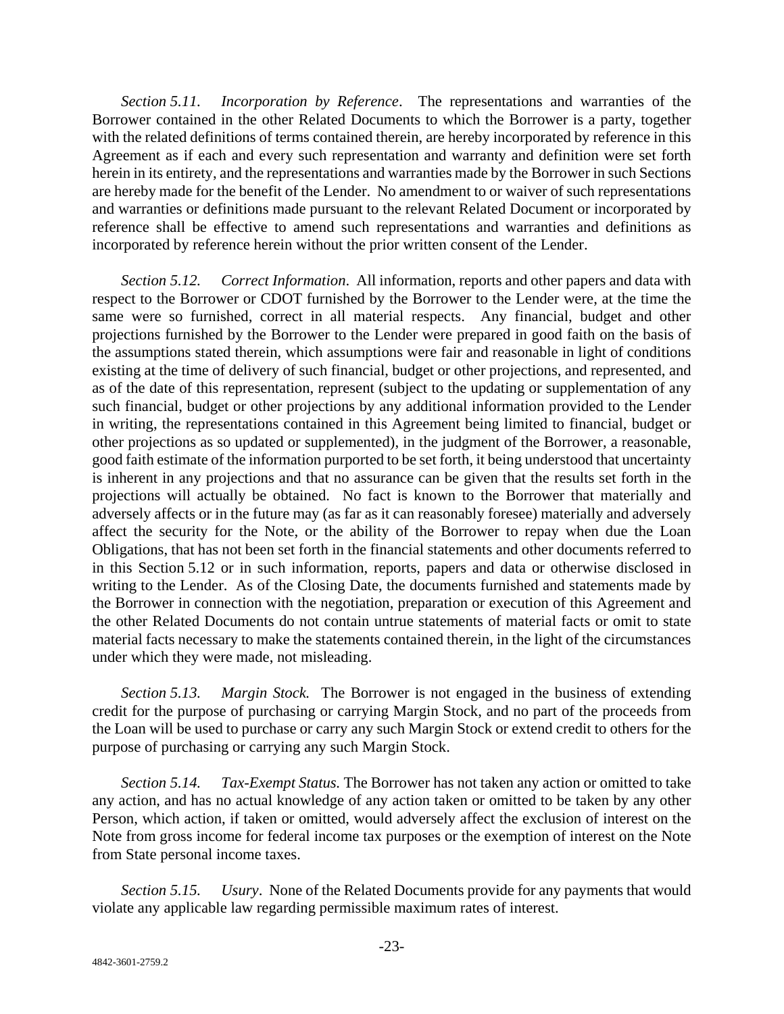*Section 5.11. Incorporation by Reference*. The representations and warranties of the Borrower contained in the other Related Documents to which the Borrower is a party, together with the related definitions of terms contained therein, are hereby incorporated by reference in this Agreement as if each and every such representation and warranty and definition were set forth herein in its entirety, and the representations and warranties made by the Borrower in such Sections are hereby made for the benefit of the Lender. No amendment to or waiver of such representations and warranties or definitions made pursuant to the relevant Related Document or incorporated by reference shall be effective to amend such representations and warranties and definitions as incorporated by reference herein without the prior written consent of the Lender.

*Section 5.12. Correct Information*. All information, reports and other papers and data with respect to the Borrower or CDOT furnished by the Borrower to the Lender were, at the time the same were so furnished, correct in all material respects. Any financial, budget and other projections furnished by the Borrower to the Lender were prepared in good faith on the basis of the assumptions stated therein, which assumptions were fair and reasonable in light of conditions existing at the time of delivery of such financial, budget or other projections, and represented, and as of the date of this representation, represent (subject to the updating or supplementation of any such financial, budget or other projections by any additional information provided to the Lender in writing, the representations contained in this Agreement being limited to financial, budget or other projections as so updated or supplemented), in the judgment of the Borrower, a reasonable, good faith estimate of the information purported to be set forth, it being understood that uncertainty is inherent in any projections and that no assurance can be given that the results set forth in the projections will actually be obtained. No fact is known to the Borrower that materially and adversely affects or in the future may (as far as it can reasonably foresee) materially and adversely affect the security for the Note, or the ability of the Borrower to repay when due the Loan Obligations, that has not been set forth in the financial statements and other documents referred to in this Section 5.12 or in such information, reports, papers and data or otherwise disclosed in writing to the Lender. As of the Closing Date, the documents furnished and statements made by the Borrower in connection with the negotiation, preparation or execution of this Agreement and the other Related Documents do not contain untrue statements of material facts or omit to state material facts necessary to make the statements contained therein, in the light of the circumstances under which they were made, not misleading.

*Section 5.13. Margin Stock.* The Borrower is not engaged in the business of extending credit for the purpose of purchasing or carrying Margin Stock, and no part of the proceeds from the Loan will be used to purchase or carry any such Margin Stock or extend credit to others for the purpose of purchasing or carrying any such Margin Stock.

*Section 5.14. Tax-Exempt Status.* The Borrower has not taken any action or omitted to take any action, and has no actual knowledge of any action taken or omitted to be taken by any other Person, which action, if taken or omitted, would adversely affect the exclusion of interest on the Note from gross income for federal income tax purposes or the exemption of interest on the Note from State personal income taxes.

*Section 5.15. Usury*. None of the Related Documents provide for any payments that would violate any applicable law regarding permissible maximum rates of interest.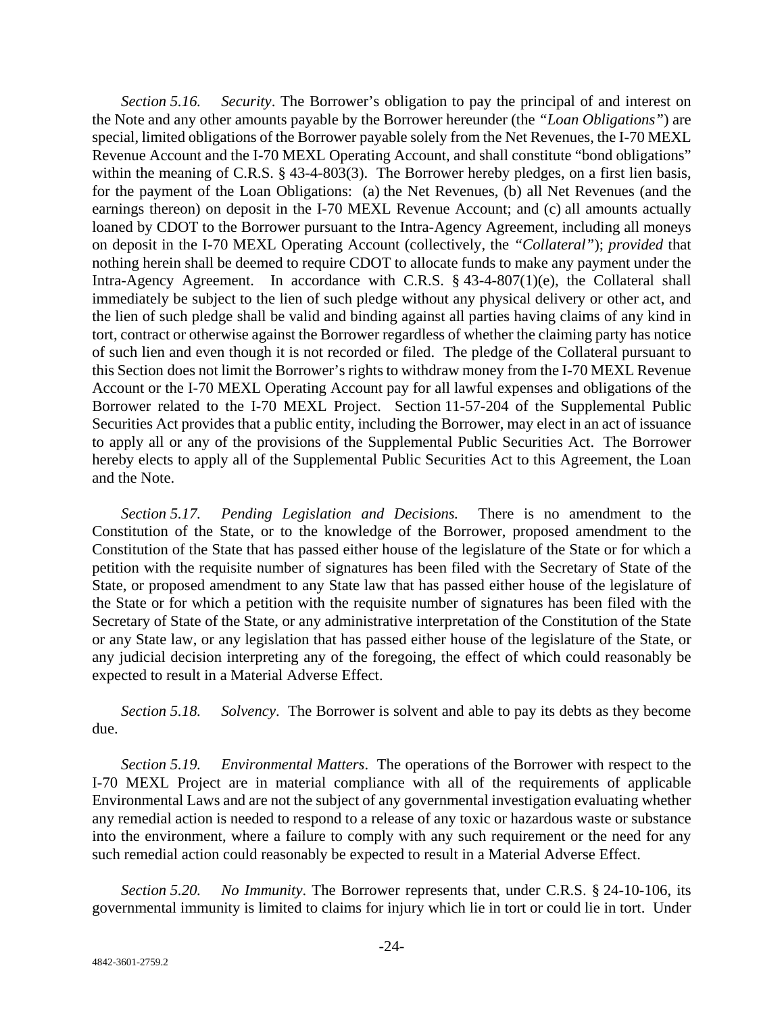*Section 5.16. Security*. The Borrower's obligation to pay the principal of and interest on the Note and any other amounts payable by the Borrower hereunder (the *"Loan Obligations"*) are special, limited obligations of the Borrower payable solely from the Net Revenues, the I-70 MEXL Revenue Account and the I-70 MEXL Operating Account, and shall constitute "bond obligations" within the meaning of C.R.S. § 43-4-803(3). The Borrower hereby pledges, on a first lien basis, for the payment of the Loan Obligations: (a) the Net Revenues, (b) all Net Revenues (and the earnings thereon) on deposit in the I-70 MEXL Revenue Account; and (c) all amounts actually loaned by CDOT to the Borrower pursuant to the Intra-Agency Agreement, including all moneys on deposit in the I-70 MEXL Operating Account (collectively, the *"Collateral"*); *provided* that nothing herein shall be deemed to require CDOT to allocate funds to make any payment under the Intra-Agency Agreement. In accordance with C.R.S. § 43-4-807(1)(e), the Collateral shall immediately be subject to the lien of such pledge without any physical delivery or other act, and the lien of such pledge shall be valid and binding against all parties having claims of any kind in tort, contract or otherwise against the Borrower regardless of whether the claiming party has notice of such lien and even though it is not recorded or filed. The pledge of the Collateral pursuant to this Section does not limit the Borrower's rights to withdraw money from the I-70 MEXL Revenue Account or the I-70 MEXL Operating Account pay for all lawful expenses and obligations of the Borrower related to the I-70 MEXL Project. Section 11-57-204 of the Supplemental Public Securities Act provides that a public entity, including the Borrower, may elect in an act of issuance to apply all or any of the provisions of the Supplemental Public Securities Act. The Borrower hereby elects to apply all of the Supplemental Public Securities Act to this Agreement, the Loan and the Note.

*Section 5.17. Pending Legislation and Decisions.* There is no amendment to the Constitution of the State, or to the knowledge of the Borrower, proposed amendment to the Constitution of the State that has passed either house of the legislature of the State or for which a petition with the requisite number of signatures has been filed with the Secretary of State of the State, or proposed amendment to any State law that has passed either house of the legislature of the State or for which a petition with the requisite number of signatures has been filed with the Secretary of State of the State, or any administrative interpretation of the Constitution of the State or any State law, or any legislation that has passed either house of the legislature of the State, or any judicial decision interpreting any of the foregoing, the effect of which could reasonably be expected to result in a Material Adverse Effect.

*Section 5.18. Solvency*. The Borrower is solvent and able to pay its debts as they become due.

*Section 5.19. Environmental Matters*. The operations of the Borrower with respect to the I-70 MEXL Project are in material compliance with all of the requirements of applicable Environmental Laws and are not the subject of any governmental investigation evaluating whether any remedial action is needed to respond to a release of any toxic or hazardous waste or substance into the environment, where a failure to comply with any such requirement or the need for any such remedial action could reasonably be expected to result in a Material Adverse Effect.

*Section 5.20. No Immunity*. The Borrower represents that, under C.R.S. § 24-10-106, its governmental immunity is limited to claims for injury which lie in tort or could lie in tort. Under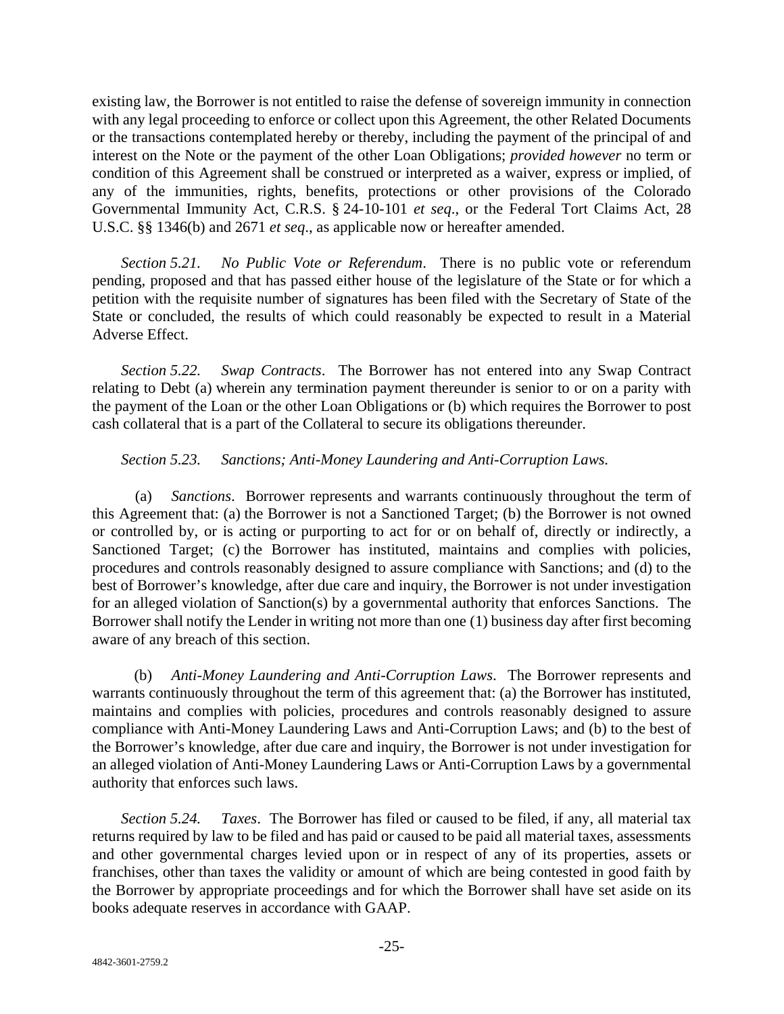existing law, the Borrower is not entitled to raise the defense of sovereign immunity in connection with any legal proceeding to enforce or collect upon this Agreement, the other Related Documents or the transactions contemplated hereby or thereby, including the payment of the principal of and interest on the Note or the payment of the other Loan Obligations; *provided however* no term or condition of this Agreement shall be construed or interpreted as a waiver, express or implied, of any of the immunities, rights, benefits, protections or other provisions of the Colorado Governmental Immunity Act, C.R.S. § 24-10-101 *et seq*., or the Federal Tort Claims Act, 28 U.S.C. §§ 1346(b) and 2671 *et seq*., as applicable now or hereafter amended.

*Section 5.21. No Public Vote or Referendum*. There is no public vote or referendum pending, proposed and that has passed either house of the legislature of the State or for which a petition with the requisite number of signatures has been filed with the Secretary of State of the State or concluded, the results of which could reasonably be expected to result in a Material Adverse Effect.

*Section 5.22. Swap Contracts*. The Borrower has not entered into any Swap Contract relating to Debt (a) wherein any termination payment thereunder is senior to or on a parity with the payment of the Loan or the other Loan Obligations or (b) which requires the Borrower to post cash collateral that is a part of the Collateral to secure its obligations thereunder.

## *Section 5.23. Sanctions; Anti-Money Laundering and Anti-Corruption Laws.*

(a) *Sanctions*. Borrower represents and warrants continuously throughout the term of this Agreement that: (a) the Borrower is not a Sanctioned Target; (b) the Borrower is not owned or controlled by, or is acting or purporting to act for or on behalf of, directly or indirectly, a Sanctioned Target; (c) the Borrower has instituted, maintains and complies with policies, procedures and controls reasonably designed to assure compliance with Sanctions; and (d) to the best of Borrower's knowledge, after due care and inquiry, the Borrower is not under investigation for an alleged violation of Sanction(s) by a governmental authority that enforces Sanctions. The Borrower shall notify the Lender in writing not more than one (1) business day after first becoming aware of any breach of this section.

(b) *Anti-Money Laundering and Anti-Corruption Laws*. The Borrower represents and warrants continuously throughout the term of this agreement that: (a) the Borrower has instituted, maintains and complies with policies, procedures and controls reasonably designed to assure compliance with Anti-Money Laundering Laws and Anti-Corruption Laws; and (b) to the best of the Borrower's knowledge, after due care and inquiry, the Borrower is not under investigation for an alleged violation of Anti-Money Laundering Laws or Anti-Corruption Laws by a governmental authority that enforces such laws.

*Section 5.24. Taxes*. The Borrower has filed or caused to be filed, if any, all material tax returns required by law to be filed and has paid or caused to be paid all material taxes, assessments and other governmental charges levied upon or in respect of any of its properties, assets or franchises, other than taxes the validity or amount of which are being contested in good faith by the Borrower by appropriate proceedings and for which the Borrower shall have set aside on its books adequate reserves in accordance with GAAP.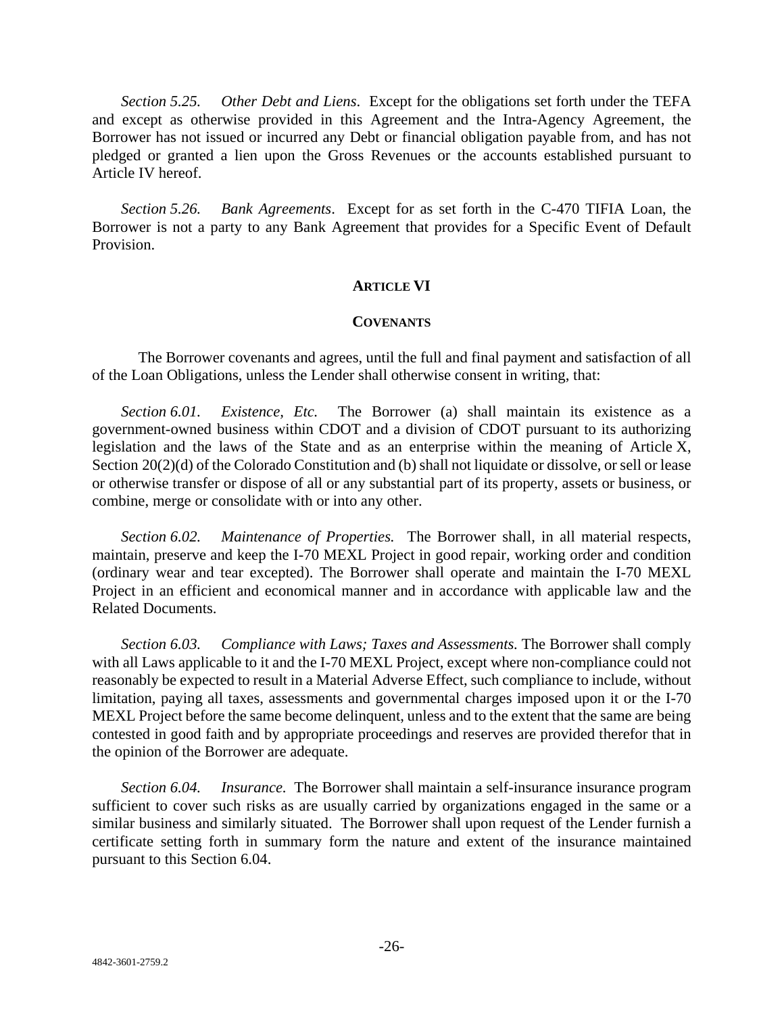*Section 5.25. Other Debt and Liens*. Except for the obligations set forth under the TEFA and except as otherwise provided in this Agreement and the Intra-Agency Agreement, the Borrower has not issued or incurred any Debt or financial obligation payable from, and has not pledged or granted a lien upon the Gross Revenues or the accounts established pursuant to Article IV hereof.

*Section 5.26. Bank Agreements*. Except for as set forth in the C-470 TIFIA Loan, the Borrower is not a party to any Bank Agreement that provides for a Specific Event of Default Provision.

#### **ARTICLE VI**

#### **COVENANTS**

The Borrower covenants and agrees, until the full and final payment and satisfaction of all of the Loan Obligations, unless the Lender shall otherwise consent in writing, that:

*Section 6.01. Existence, Etc.* The Borrower (a) shall maintain its existence as a government-owned business within CDOT and a division of CDOT pursuant to its authorizing legislation and the laws of the State and as an enterprise within the meaning of Article X, Section 20(2)(d) of the Colorado Constitution and (b) shall not liquidate or dissolve, or sell or lease or otherwise transfer or dispose of all or any substantial part of its property, assets or business, or combine, merge or consolidate with or into any other.

*Section 6.02. Maintenance of Properties.* The Borrower shall, in all material respects, maintain, preserve and keep the I-70 MEXL Project in good repair, working order and condition (ordinary wear and tear excepted). The Borrower shall operate and maintain the I-70 MEXL Project in an efficient and economical manner and in accordance with applicable law and the Related Documents.

*Section 6.03. Compliance with Laws; Taxes and Assessments.* The Borrower shall comply with all Laws applicable to it and the I-70 MEXL Project, except where non-compliance could not reasonably be expected to result in a Material Adverse Effect, such compliance to include, without limitation, paying all taxes, assessments and governmental charges imposed upon it or the I-70 MEXL Project before the same become delinquent, unless and to the extent that the same are being contested in good faith and by appropriate proceedings and reserves are provided therefor that in the opinion of the Borrower are adequate.

*Section 6.04. Insurance.* The Borrower shall maintain a self-insurance insurance program sufficient to cover such risks as are usually carried by organizations engaged in the same or a similar business and similarly situated. The Borrower shall upon request of the Lender furnish a certificate setting forth in summary form the nature and extent of the insurance maintained pursuant to this Section 6.04.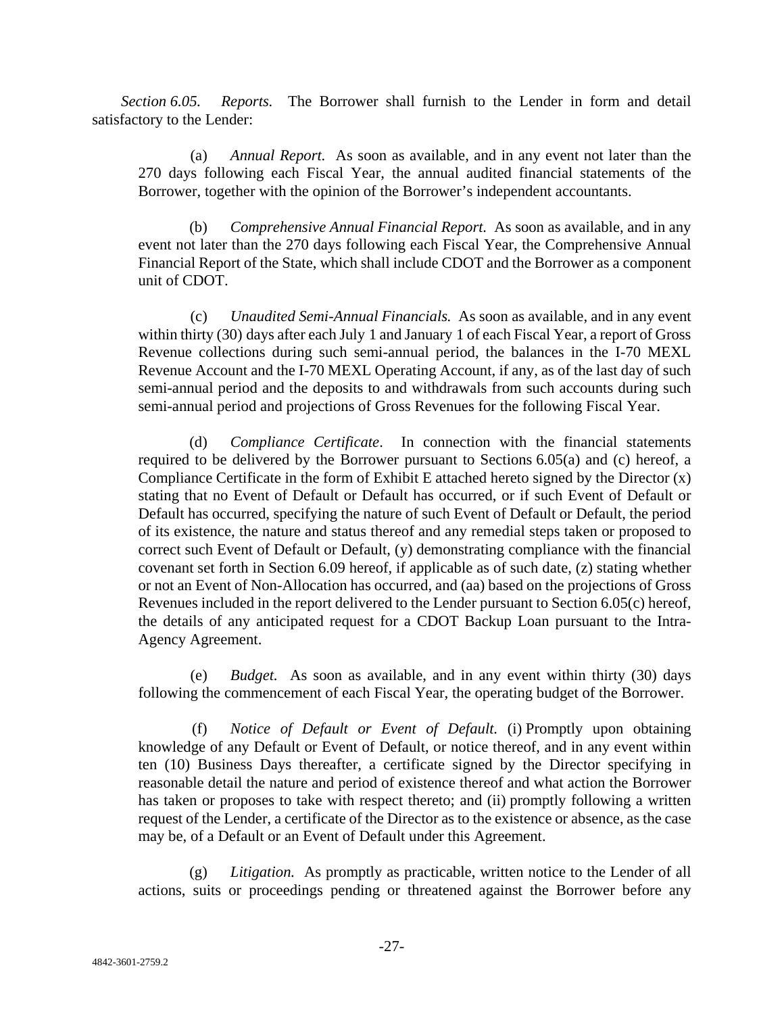*Section 6.05. Reports.* The Borrower shall furnish to the Lender in form and detail satisfactory to the Lender:

(a) *Annual Report.* As soon as available, and in any event not later than the 270 days following each Fiscal Year, the annual audited financial statements of the Borrower, together with the opinion of the Borrower's independent accountants.

(b) *Comprehensive Annual Financial Report.* As soon as available, and in any event not later than the 270 days following each Fiscal Year, the Comprehensive Annual Financial Report of the State, which shall include CDOT and the Borrower as a component unit of CDOT.

(c) *Unaudited Semi-Annual Financials.* As soon as available, and in any event within thirty (30) days after each July 1 and January 1 of each Fiscal Year, a report of Gross Revenue collections during such semi-annual period, the balances in the I-70 MEXL Revenue Account and the I-70 MEXL Operating Account, if any, as of the last day of such semi-annual period and the deposits to and withdrawals from such accounts during such semi-annual period and projections of Gross Revenues for the following Fiscal Year.

(d) *Compliance Certificate*. In connection with the financial statements required to be delivered by the Borrower pursuant to Sections 6.05(a) and (c) hereof, a Compliance Certificate in the form of Exhibit E attached hereto signed by the Director (x) stating that no Event of Default or Default has occurred, or if such Event of Default or Default has occurred, specifying the nature of such Event of Default or Default, the period of its existence, the nature and status thereof and any remedial steps taken or proposed to correct such Event of Default or Default, (y) demonstrating compliance with the financial covenant set forth in Section 6.09 hereof, if applicable as of such date, (z) stating whether or not an Event of Non-Allocation has occurred, and (aa) based on the projections of Gross Revenues included in the report delivered to the Lender pursuant to Section 6.05(c) hereof, the details of any anticipated request for a CDOT Backup Loan pursuant to the Intra-Agency Agreement.

(e) *Budget.* As soon as available, and in any event within thirty (30) days following the commencement of each Fiscal Year, the operating budget of the Borrower.

(f) *Notice of Default or Event of Default.* (i) Promptly upon obtaining knowledge of any Default or Event of Default, or notice thereof, and in any event within ten (10) Business Days thereafter, a certificate signed by the Director specifying in reasonable detail the nature and period of existence thereof and what action the Borrower has taken or proposes to take with respect thereto; and (ii) promptly following a written request of the Lender, a certificate of the Director as to the existence or absence, as the case may be, of a Default or an Event of Default under this Agreement.

(g) *Litigation.* As promptly as practicable, written notice to the Lender of all actions, suits or proceedings pending or threatened against the Borrower before any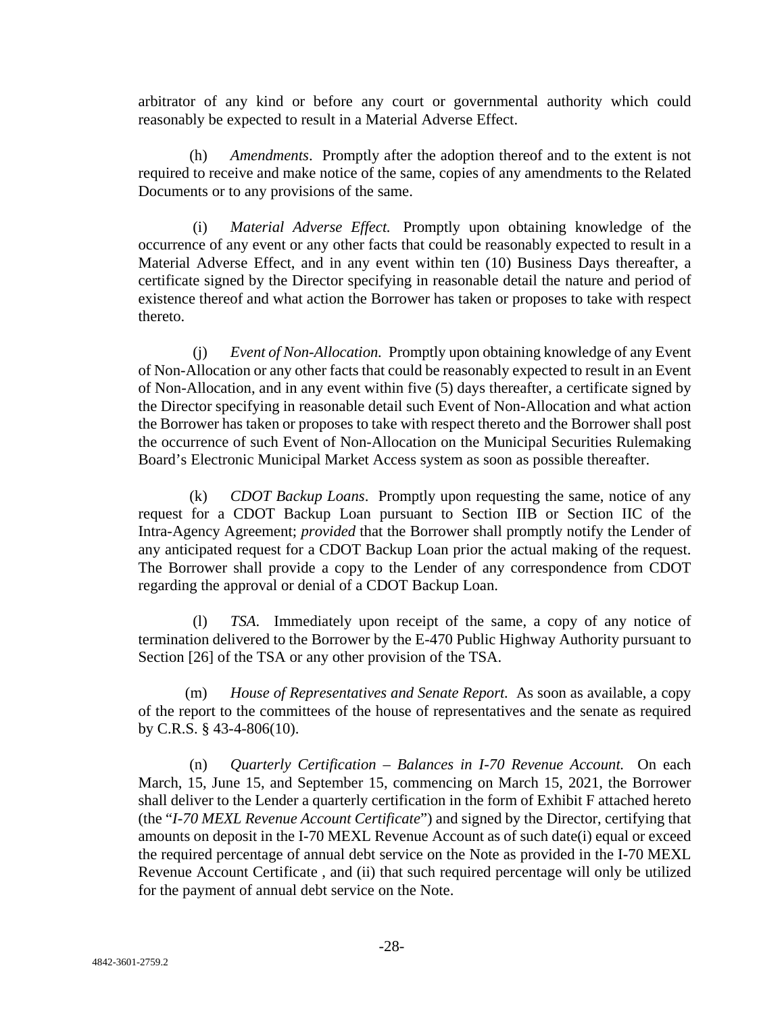arbitrator of any kind or before any court or governmental authority which could reasonably be expected to result in a Material Adverse Effect.

(h) *Amendments*. Promptly after the adoption thereof and to the extent is not required to receive and make notice of the same, copies of any amendments to the Related Documents or to any provisions of the same.

(i) *Material Adverse Effect.* Promptly upon obtaining knowledge of the occurrence of any event or any other facts that could be reasonably expected to result in a Material Adverse Effect, and in any event within ten (10) Business Days thereafter, a certificate signed by the Director specifying in reasonable detail the nature and period of existence thereof and what action the Borrower has taken or proposes to take with respect thereto.

(j) *Event of Non-Allocation.* Promptly upon obtaining knowledge of any Event of Non-Allocation or any other facts that could be reasonably expected to result in an Event of Non-Allocation, and in any event within five (5) days thereafter, a certificate signed by the Director specifying in reasonable detail such Event of Non-Allocation and what action the Borrower has taken or proposes to take with respect thereto and the Borrower shall post the occurrence of such Event of Non-Allocation on the Municipal Securities Rulemaking Board's Electronic Municipal Market Access system as soon as possible thereafter.

(k) *CDOT Backup Loans*. Promptly upon requesting the same, notice of any request for a CDOT Backup Loan pursuant to Section IIB or Section IIC of the Intra-Agency Agreement; *provided* that the Borrower shall promptly notify the Lender of any anticipated request for a CDOT Backup Loan prior the actual making of the request. The Borrower shall provide a copy to the Lender of any correspondence from CDOT regarding the approval or denial of a CDOT Backup Loan.

(l) *TSA*. Immediately upon receipt of the same, a copy of any notice of termination delivered to the Borrower by the E-470 Public Highway Authority pursuant to Section [26] of the TSA or any other provision of the TSA.

(m) *House of Representatives and Senate Report.* As soon as available, a copy of the report to the committees of the house of representatives and the senate as required by C.R.S. § 43-4-806(10).

(n) *Quarterly Certification – Balances in I-70 Revenue Account.* On each March, 15, June 15, and September 15, commencing on March 15, 2021, the Borrower shall deliver to the Lender a quarterly certification in the form of Exhibit F attached hereto (the "*I-70 MEXL Revenue Account Certificate*") and signed by the Director, certifying that amounts on deposit in the I-70 MEXL Revenue Account as of such date(i) equal or exceed the required percentage of annual debt service on the Note as provided in the I-70 MEXL Revenue Account Certificate , and (ii) that such required percentage will only be utilized for the payment of annual debt service on the Note.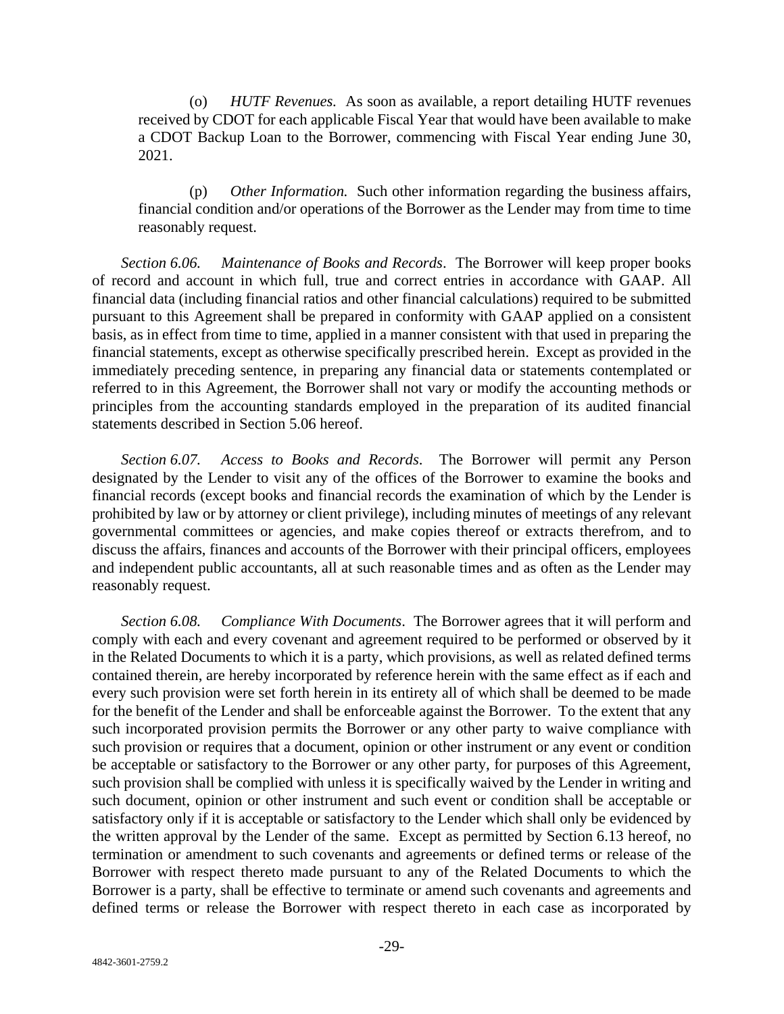(o) *HUTF Revenues.* As soon as available, a report detailing HUTF revenues received by CDOT for each applicable Fiscal Year that would have been available to make a CDOT Backup Loan to the Borrower, commencing with Fiscal Year ending June 30, 2021.

(p) *Other Information.* Such other information regarding the business affairs, financial condition and/or operations of the Borrower as the Lender may from time to time reasonably request.

*Section 6.06. Maintenance of Books and Records*. The Borrower will keep proper books of record and account in which full, true and correct entries in accordance with GAAP. All financial data (including financial ratios and other financial calculations) required to be submitted pursuant to this Agreement shall be prepared in conformity with GAAP applied on a consistent basis, as in effect from time to time, applied in a manner consistent with that used in preparing the financial statements, except as otherwise specifically prescribed herein. Except as provided in the immediately preceding sentence, in preparing any financial data or statements contemplated or referred to in this Agreement, the Borrower shall not vary or modify the accounting methods or principles from the accounting standards employed in the preparation of its audited financial statements described in Section 5.06 hereof.

*Section 6.07. Access to Books and Records*. The Borrower will permit any Person designated by the Lender to visit any of the offices of the Borrower to examine the books and financial records (except books and financial records the examination of which by the Lender is prohibited by law or by attorney or client privilege), including minutes of meetings of any relevant governmental committees or agencies, and make copies thereof or extracts therefrom, and to discuss the affairs, finances and accounts of the Borrower with their principal officers, employees and independent public accountants, all at such reasonable times and as often as the Lender may reasonably request.

*Section 6.08. Compliance With Documents*. The Borrower agrees that it will perform and comply with each and every covenant and agreement required to be performed or observed by it in the Related Documents to which it is a party, which provisions, as well as related defined terms contained therein, are hereby incorporated by reference herein with the same effect as if each and every such provision were set forth herein in its entirety all of which shall be deemed to be made for the benefit of the Lender and shall be enforceable against the Borrower. To the extent that any such incorporated provision permits the Borrower or any other party to waive compliance with such provision or requires that a document, opinion or other instrument or any event or condition be acceptable or satisfactory to the Borrower or any other party, for purposes of this Agreement, such provision shall be complied with unless it is specifically waived by the Lender in writing and such document, opinion or other instrument and such event or condition shall be acceptable or satisfactory only if it is acceptable or satisfactory to the Lender which shall only be evidenced by the written approval by the Lender of the same. Except as permitted by Section 6.13 hereof, no termination or amendment to such covenants and agreements or defined terms or release of the Borrower with respect thereto made pursuant to any of the Related Documents to which the Borrower is a party, shall be effective to terminate or amend such covenants and agreements and defined terms or release the Borrower with respect thereto in each case as incorporated by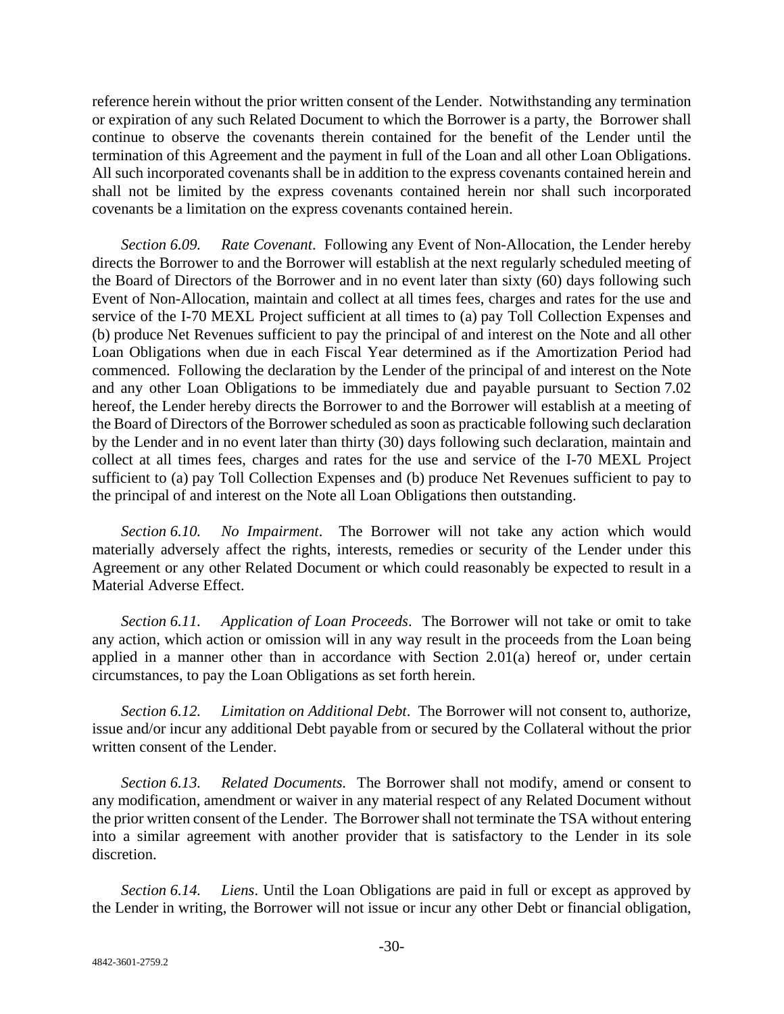reference herein without the prior written consent of the Lender. Notwithstanding any termination or expiration of any such Related Document to which the Borrower is a party, the Borrower shall continue to observe the covenants therein contained for the benefit of the Lender until the termination of this Agreement and the payment in full of the Loan and all other Loan Obligations. All such incorporated covenants shall be in addition to the express covenants contained herein and shall not be limited by the express covenants contained herein nor shall such incorporated covenants be a limitation on the express covenants contained herein.

*Section 6.09. Rate Covenant*. Following any Event of Non-Allocation, the Lender hereby directs the Borrower to and the Borrower will establish at the next regularly scheduled meeting of the Board of Directors of the Borrower and in no event later than sixty (60) days following such Event of Non-Allocation, maintain and collect at all times fees, charges and rates for the use and service of the I-70 MEXL Project sufficient at all times to (a) pay Toll Collection Expenses and (b) produce Net Revenues sufficient to pay the principal of and interest on the Note and all other Loan Obligations when due in each Fiscal Year determined as if the Amortization Period had commenced. Following the declaration by the Lender of the principal of and interest on the Note and any other Loan Obligations to be immediately due and payable pursuant to Section 7.02 hereof, the Lender hereby directs the Borrower to and the Borrower will establish at a meeting of the Board of Directors of the Borrower scheduled as soon as practicable following such declaration by the Lender and in no event later than thirty (30) days following such declaration, maintain and collect at all times fees, charges and rates for the use and service of the I-70 MEXL Project sufficient to (a) pay Toll Collection Expenses and (b) produce Net Revenues sufficient to pay to the principal of and interest on the Note all Loan Obligations then outstanding.

*Section 6.10. No Impairment*. The Borrower will not take any action which would materially adversely affect the rights, interests, remedies or security of the Lender under this Agreement or any other Related Document or which could reasonably be expected to result in a Material Adverse Effect.

*Section 6.11. Application of Loan Proceeds*. The Borrower will not take or omit to take any action, which action or omission will in any way result in the proceeds from the Loan being applied in a manner other than in accordance with Section 2.01(a) hereof or, under certain circumstances, to pay the Loan Obligations as set forth herein.

*Section 6.12. Limitation on Additional Debt*. The Borrower will not consent to, authorize, issue and/or incur any additional Debt payable from or secured by the Collateral without the prior written consent of the Lender.

*Section 6.13. Related Documents.* The Borrower shall not modify, amend or consent to any modification, amendment or waiver in any material respect of any Related Document without the prior written consent of the Lender. The Borrower shall not terminate the TSA without entering into a similar agreement with another provider that is satisfactory to the Lender in its sole discretion.

*Section 6.14. Liens*. Until the Loan Obligations are paid in full or except as approved by the Lender in writing, the Borrower will not issue or incur any other Debt or financial obligation,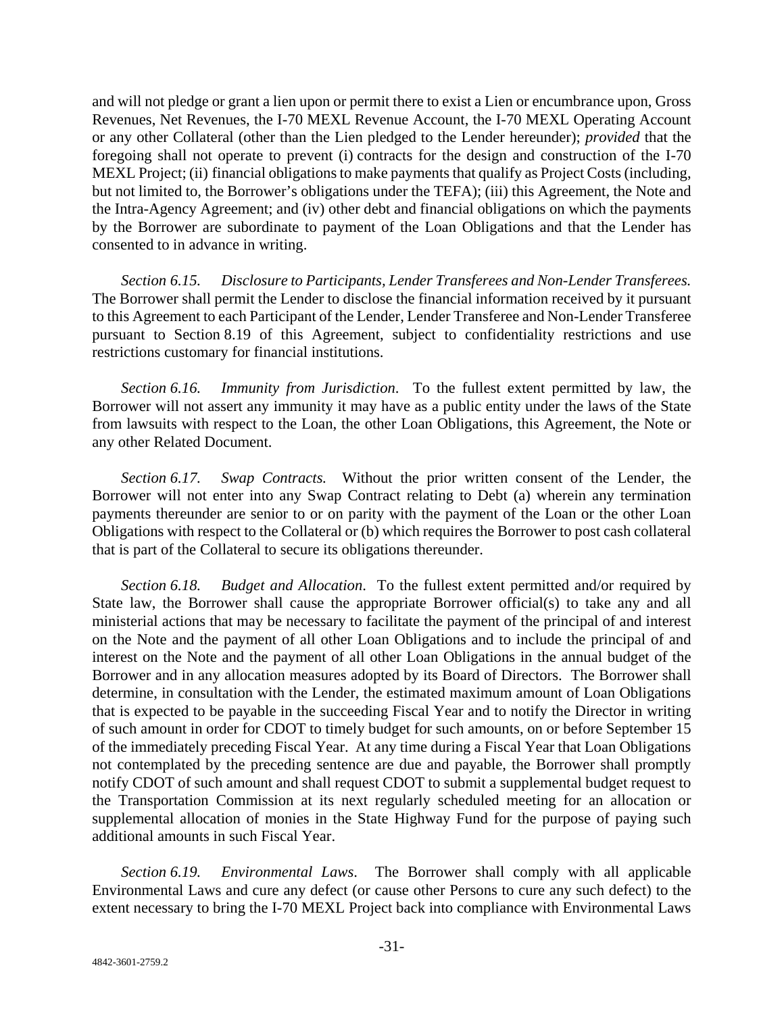and will not pledge or grant a lien upon or permit there to exist a Lien or encumbrance upon, Gross Revenues, Net Revenues, the I-70 MEXL Revenue Account, the I-70 MEXL Operating Account or any other Collateral (other than the Lien pledged to the Lender hereunder); *provided* that the foregoing shall not operate to prevent (i) contracts for the design and construction of the I-70 MEXL Project; (ii) financial obligations to make payments that qualify as Project Costs (including, but not limited to, the Borrower's obligations under the TEFA); (iii) this Agreement, the Note and the Intra-Agency Agreement; and (iv) other debt and financial obligations on which the payments by the Borrower are subordinate to payment of the Loan Obligations and that the Lender has consented to in advance in writing.

*Section 6.15. Disclosure to Participants, Lender Transferees and Non-Lender Transferees.* The Borrower shall permit the Lender to disclose the financial information received by it pursuant to this Agreement to each Participant of the Lender, Lender Transferee and Non-Lender Transferee pursuant to Section 8.19 of this Agreement, subject to confidentiality restrictions and use restrictions customary for financial institutions.

*Section 6.16. Immunity from Jurisdiction*. To the fullest extent permitted by law, the Borrower will not assert any immunity it may have as a public entity under the laws of the State from lawsuits with respect to the Loan, the other Loan Obligations, this Agreement, the Note or any other Related Document.

*Section 6.17. Swap Contracts.* Without the prior written consent of the Lender, the Borrower will not enter into any Swap Contract relating to Debt (a) wherein any termination payments thereunder are senior to or on parity with the payment of the Loan or the other Loan Obligations with respect to the Collateral or (b) which requires the Borrower to post cash collateral that is part of the Collateral to secure its obligations thereunder.

*Section 6.18. Budget and Allocation*. To the fullest extent permitted and/or required by State law, the Borrower shall cause the appropriate Borrower official(s) to take any and all ministerial actions that may be necessary to facilitate the payment of the principal of and interest on the Note and the payment of all other Loan Obligations and to include the principal of and interest on the Note and the payment of all other Loan Obligations in the annual budget of the Borrower and in any allocation measures adopted by its Board of Directors. The Borrower shall determine, in consultation with the Lender, the estimated maximum amount of Loan Obligations that is expected to be payable in the succeeding Fiscal Year and to notify the Director in writing of such amount in order for CDOT to timely budget for such amounts, on or before September 15 of the immediately preceding Fiscal Year. At any time during a Fiscal Year that Loan Obligations not contemplated by the preceding sentence are due and payable, the Borrower shall promptly notify CDOT of such amount and shall request CDOT to submit a supplemental budget request to the Transportation Commission at its next regularly scheduled meeting for an allocation or supplemental allocation of monies in the State Highway Fund for the purpose of paying such additional amounts in such Fiscal Year.

*Section 6.19. Environmental Laws*. The Borrower shall comply with all applicable Environmental Laws and cure any defect (or cause other Persons to cure any such defect) to the extent necessary to bring the I-70 MEXL Project back into compliance with Environmental Laws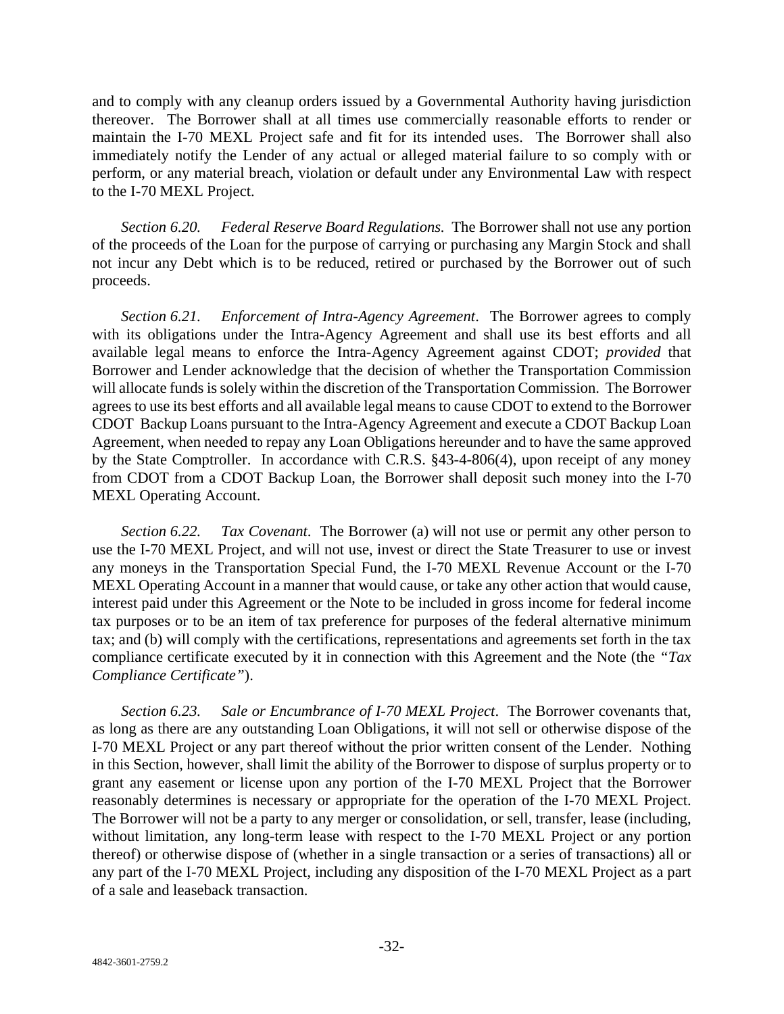and to comply with any cleanup orders issued by a Governmental Authority having jurisdiction thereover. The Borrower shall at all times use commercially reasonable efforts to render or maintain the I-70 MEXL Project safe and fit for its intended uses. The Borrower shall also immediately notify the Lender of any actual or alleged material failure to so comply with or perform, or any material breach, violation or default under any Environmental Law with respect to the I-70 MEXL Project.

*Section 6.20. Federal Reserve Board Regulations.* The Borrower shall not use any portion of the proceeds of the Loan for the purpose of carrying or purchasing any Margin Stock and shall not incur any Debt which is to be reduced, retired or purchased by the Borrower out of such proceeds.

*Section 6.21. Enforcement of Intra-Agency Agreement*. The Borrower agrees to comply with its obligations under the Intra-Agency Agreement and shall use its best efforts and all available legal means to enforce the Intra-Agency Agreement against CDOT; *provided* that Borrower and Lender acknowledge that the decision of whether the Transportation Commission will allocate funds is solely within the discretion of the Transportation Commission. The Borrower agrees to use its best efforts and all available legal means to cause CDOT to extend to the Borrower CDOT Backup Loans pursuant to the Intra-Agency Agreement and execute a CDOT Backup Loan Agreement, when needed to repay any Loan Obligations hereunder and to have the same approved by the State Comptroller. In accordance with C.R.S. §43-4-806(4), upon receipt of any money from CDOT from a CDOT Backup Loan, the Borrower shall deposit such money into the I-70 MEXL Operating Account.

*Section 6.22. Tax Covenant*. The Borrower (a) will not use or permit any other person to use the I-70 MEXL Project, and will not use, invest or direct the State Treasurer to use or invest any moneys in the Transportation Special Fund, the I-70 MEXL Revenue Account or the I-70 MEXL Operating Account in a manner that would cause, or take any other action that would cause, interest paid under this Agreement or the Note to be included in gross income for federal income tax purposes or to be an item of tax preference for purposes of the federal alternative minimum tax; and (b) will comply with the certifications, representations and agreements set forth in the tax compliance certificate executed by it in connection with this Agreement and the Note (the *"Tax Compliance Certificate"*).

*Section 6.23. Sale or Encumbrance of I-70 MEXL Project*. The Borrower covenants that, as long as there are any outstanding Loan Obligations, it will not sell or otherwise dispose of the I-70 MEXL Project or any part thereof without the prior written consent of the Lender. Nothing in this Section, however, shall limit the ability of the Borrower to dispose of surplus property or to grant any easement or license upon any portion of the I-70 MEXL Project that the Borrower reasonably determines is necessary or appropriate for the operation of the I-70 MEXL Project. The Borrower will not be a party to any merger or consolidation, or sell, transfer, lease (including, without limitation, any long-term lease with respect to the I-70 MEXL Project or any portion thereof) or otherwise dispose of (whether in a single transaction or a series of transactions) all or any part of the I-70 MEXL Project, including any disposition of the I-70 MEXL Project as a part of a sale and leaseback transaction.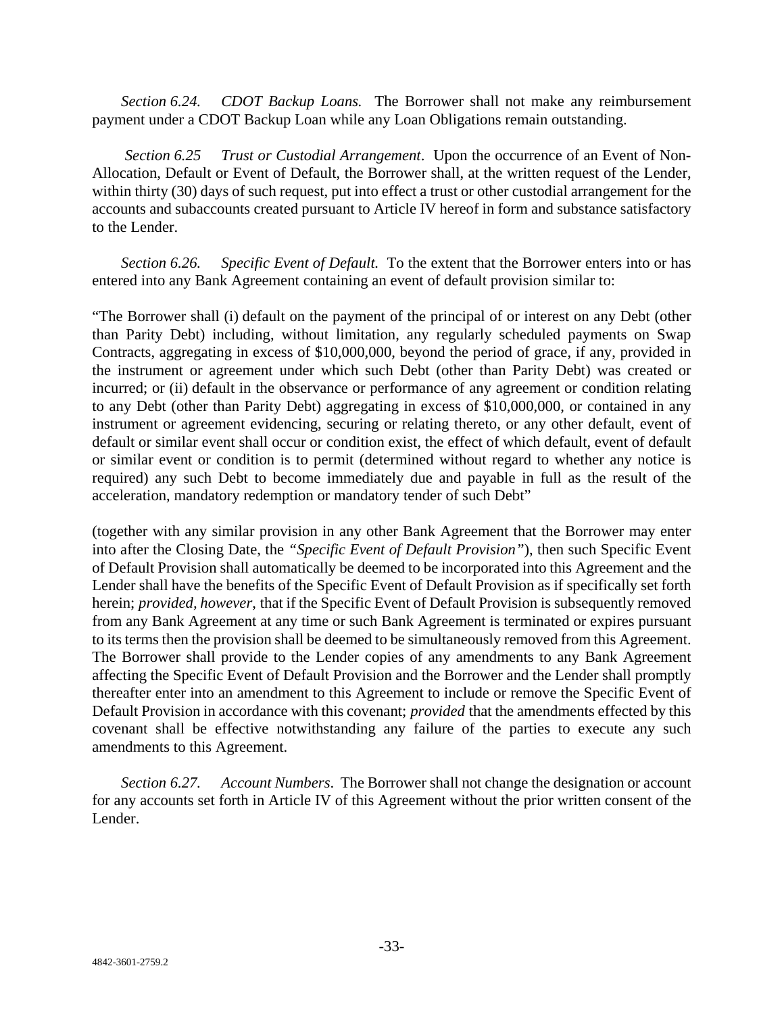*Section 6.24. CDOT Backup Loans.* The Borrower shall not make any reimbursement payment under a CDOT Backup Loan while any Loan Obligations remain outstanding.

*Section 6.25 Trust or Custodial Arrangement*. Upon the occurrence of an Event of Non-Allocation, Default or Event of Default, the Borrower shall, at the written request of the Lender, within thirty (30) days of such request, put into effect a trust or other custodial arrangement for the accounts and subaccounts created pursuant to Article IV hereof in form and substance satisfactory to the Lender.

*Section 6.26. Specific Event of Default.* To the extent that the Borrower enters into or has entered into any Bank Agreement containing an event of default provision similar to:

"The Borrower shall (i) default on the payment of the principal of or interest on any Debt (other than Parity Debt) including, without limitation, any regularly scheduled payments on Swap Contracts, aggregating in excess of \$10,000,000, beyond the period of grace, if any, provided in the instrument or agreement under which such Debt (other than Parity Debt) was created or incurred; or (ii) default in the observance or performance of any agreement or condition relating to any Debt (other than Parity Debt) aggregating in excess of \$10,000,000, or contained in any instrument or agreement evidencing, securing or relating thereto, or any other default, event of default or similar event shall occur or condition exist, the effect of which default, event of default or similar event or condition is to permit (determined without regard to whether any notice is required) any such Debt to become immediately due and payable in full as the result of the acceleration, mandatory redemption or mandatory tender of such Debt"

(together with any similar provision in any other Bank Agreement that the Borrower may enter into after the Closing Date, the *"Specific Event of Default Provision"*), then such Specific Event of Default Provision shall automatically be deemed to be incorporated into this Agreement and the Lender shall have the benefits of the Specific Event of Default Provision as if specifically set forth herein; *provided, however*, that if the Specific Event of Default Provision is subsequently removed from any Bank Agreement at any time or such Bank Agreement is terminated or expires pursuant to its terms then the provision shall be deemed to be simultaneously removed from this Agreement. The Borrower shall provide to the Lender copies of any amendments to any Bank Agreement affecting the Specific Event of Default Provision and the Borrower and the Lender shall promptly thereafter enter into an amendment to this Agreement to include or remove the Specific Event of Default Provision in accordance with this covenant; *provided* that the amendments effected by this covenant shall be effective notwithstanding any failure of the parties to execute any such amendments to this Agreement.

*Section 6.27. Account Numbers*. The Borrower shall not change the designation or account for any accounts set forth in Article IV of this Agreement without the prior written consent of the Lender.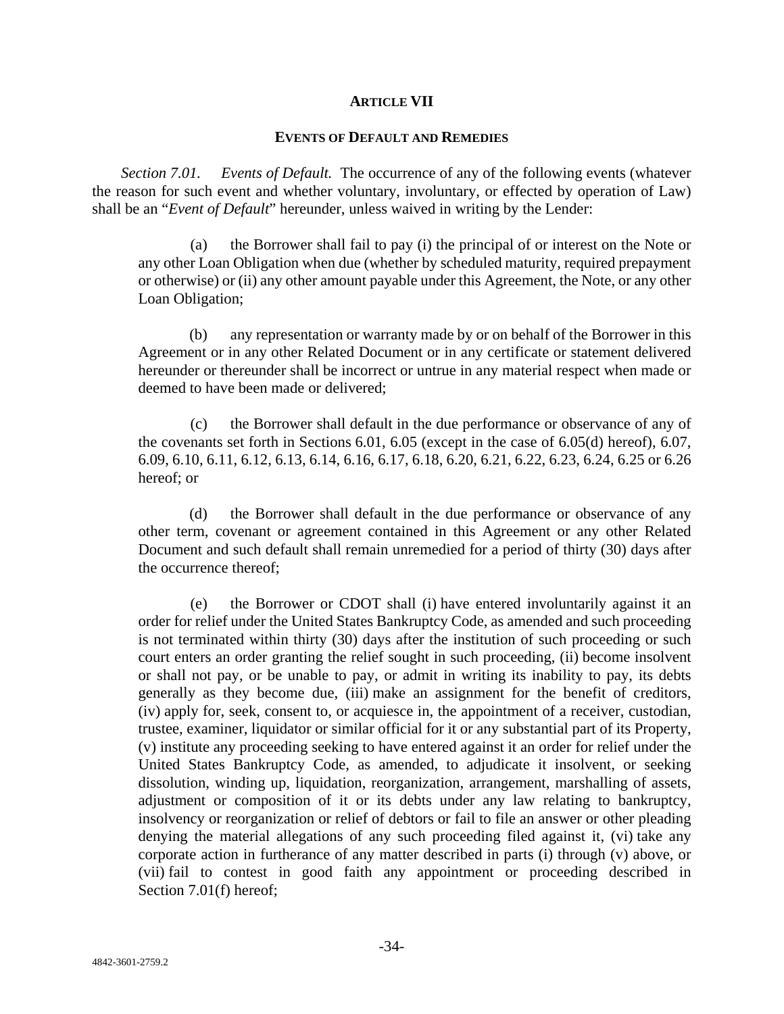#### **ARTICLE VII**

#### **EVENTS OF DEFAULT AND REMEDIES**

*Section 7.01. Events of Default.* The occurrence of any of the following events (whatever the reason for such event and whether voluntary, involuntary, or effected by operation of Law) shall be an "*Event of Default*" hereunder, unless waived in writing by the Lender:

(a) the Borrower shall fail to pay (i) the principal of or interest on the Note or any other Loan Obligation when due (whether by scheduled maturity, required prepayment or otherwise) or (ii) any other amount payable under this Agreement, the Note, or any other Loan Obligation;

(b) any representation or warranty made by or on behalf of the Borrower in this Agreement or in any other Related Document or in any certificate or statement delivered hereunder or thereunder shall be incorrect or untrue in any material respect when made or deemed to have been made or delivered;

(c) the Borrower shall default in the due performance or observance of any of the covenants set forth in Sections 6.01, 6.05 (except in the case of 6.05(d) hereof), 6.07, 6.09, 6.10, 6.11, 6.12, 6.13, 6.14, 6.16, 6.17, 6.18, 6.20, 6.21, 6.22, 6.23, 6.24, 6.25 or 6.26 hereof; or

(d) the Borrower shall default in the due performance or observance of any other term, covenant or agreement contained in this Agreement or any other Related Document and such default shall remain unremedied for a period of thirty (30) days after the occurrence thereof;

(e) the Borrower or CDOT shall (i) have entered involuntarily against it an order for relief under the United States Bankruptcy Code, as amended and such proceeding is not terminated within thirty (30) days after the institution of such proceeding or such court enters an order granting the relief sought in such proceeding, (ii) become insolvent or shall not pay, or be unable to pay, or admit in writing its inability to pay, its debts generally as they become due, (iii) make an assignment for the benefit of creditors, (iv) apply for, seek, consent to, or acquiesce in, the appointment of a receiver, custodian, trustee, examiner, liquidator or similar official for it or any substantial part of its Property, (v) institute any proceeding seeking to have entered against it an order for relief under the United States Bankruptcy Code, as amended, to adjudicate it insolvent, or seeking dissolution, winding up, liquidation, reorganization, arrangement, marshalling of assets, adjustment or composition of it or its debts under any law relating to bankruptcy, insolvency or reorganization or relief of debtors or fail to file an answer or other pleading denying the material allegations of any such proceeding filed against it, (vi) take any corporate action in furtherance of any matter described in parts (i) through (v) above, or (vii) fail to contest in good faith any appointment or proceeding described in Section 7.01(f) hereof;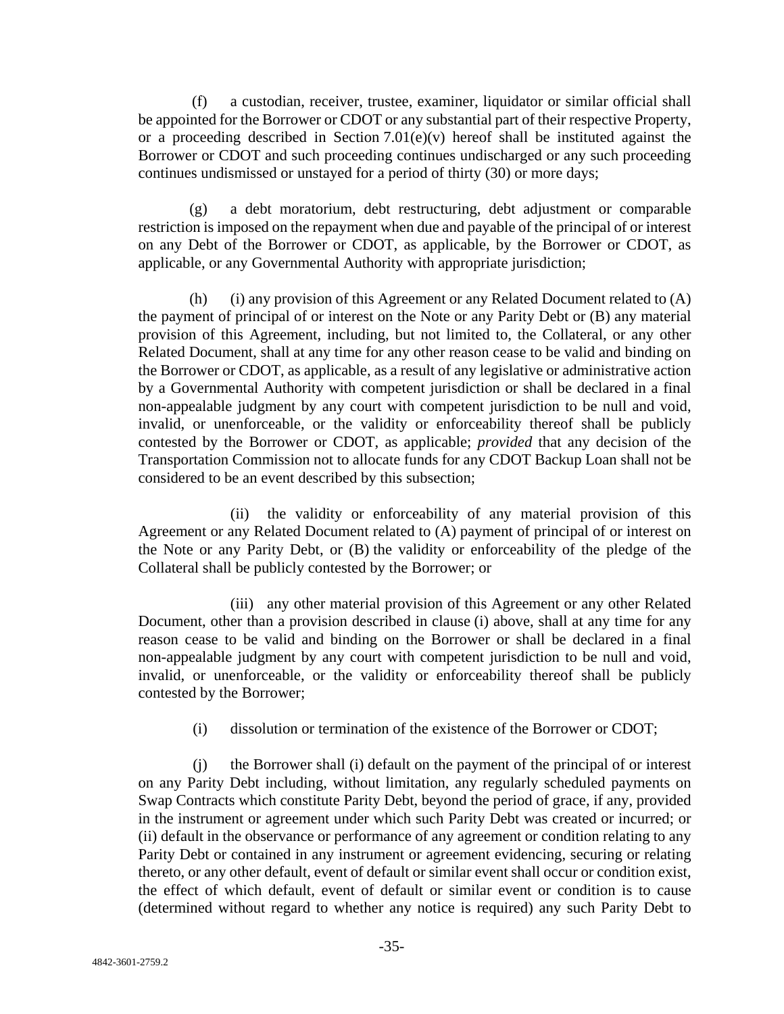(f) a custodian, receiver, trustee, examiner, liquidator or similar official shall be appointed for the Borrower or CDOT or any substantial part of their respective Property, or a proceeding described in Section  $7.01(e)(v)$  hereof shall be instituted against the Borrower or CDOT and such proceeding continues undischarged or any such proceeding continues undismissed or unstayed for a period of thirty (30) or more days;

a debt moratorium, debt restructuring, debt adjustment or comparable restriction is imposed on the repayment when due and payable of the principal of or interest on any Debt of the Borrower or CDOT, as applicable, by the Borrower or CDOT, as applicable, or any Governmental Authority with appropriate jurisdiction;

(h) (i) any provision of this Agreement or any Related Document related to (A) the payment of principal of or interest on the Note or any Parity Debt or (B) any material provision of this Agreement, including, but not limited to, the Collateral, or any other Related Document, shall at any time for any other reason cease to be valid and binding on the Borrower or CDOT, as applicable, as a result of any legislative or administrative action by a Governmental Authority with competent jurisdiction or shall be declared in a final non-appealable judgment by any court with competent jurisdiction to be null and void, invalid, or unenforceable, or the validity or enforceability thereof shall be publicly contested by the Borrower or CDOT, as applicable; *provided* that any decision of the Transportation Commission not to allocate funds for any CDOT Backup Loan shall not be considered to be an event described by this subsection;

(ii) the validity or enforceability of any material provision of this Agreement or any Related Document related to (A) payment of principal of or interest on the Note or any Parity Debt, or (B) the validity or enforceability of the pledge of the Collateral shall be publicly contested by the Borrower; or

(iii) any other material provision of this Agreement or any other Related Document, other than a provision described in clause (i) above, shall at any time for any reason cease to be valid and binding on the Borrower or shall be declared in a final non-appealable judgment by any court with competent jurisdiction to be null and void, invalid, or unenforceable, or the validity or enforceability thereof shall be publicly contested by the Borrower;

(i) dissolution or termination of the existence of the Borrower or CDOT;

(j) the Borrower shall (i) default on the payment of the principal of or interest on any Parity Debt including, without limitation, any regularly scheduled payments on Swap Contracts which constitute Parity Debt, beyond the period of grace, if any, provided in the instrument or agreement under which such Parity Debt was created or incurred; or (ii) default in the observance or performance of any agreement or condition relating to any Parity Debt or contained in any instrument or agreement evidencing, securing or relating thereto, or any other default, event of default or similar event shall occur or condition exist, the effect of which default, event of default or similar event or condition is to cause (determined without regard to whether any notice is required) any such Parity Debt to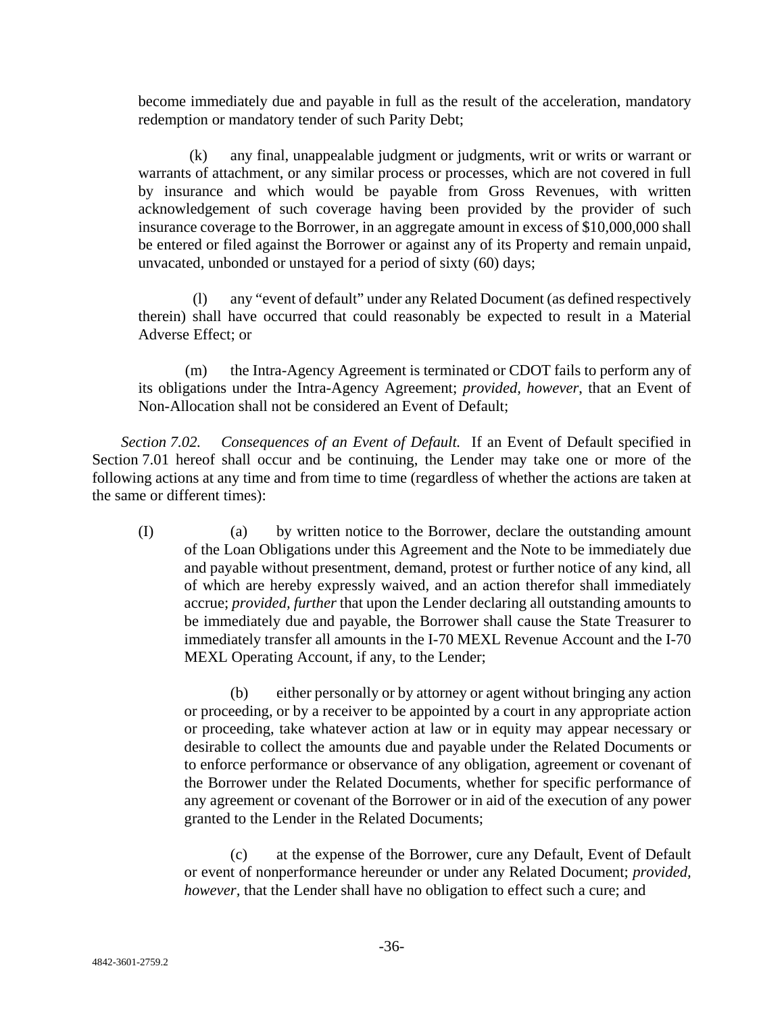become immediately due and payable in full as the result of the acceleration, mandatory redemption or mandatory tender of such Parity Debt;

(k) any final, unappealable judgment or judgments, writ or writs or warrant or warrants of attachment, or any similar process or processes, which are not covered in full by insurance and which would be payable from Gross Revenues, with written acknowledgement of such coverage having been provided by the provider of such insurance coverage to the Borrower, in an aggregate amount in excess of \$10,000,000 shall be entered or filed against the Borrower or against any of its Property and remain unpaid, unvacated, unbonded or unstayed for a period of sixty (60) days;

(l) any "event of default" under any Related Document (as defined respectively therein) shall have occurred that could reasonably be expected to result in a Material Adverse Effect; or

(m) the Intra-Agency Agreement is terminated or CDOT fails to perform any of its obligations under the Intra-Agency Agreement; *provided, however*, that an Event of Non-Allocation shall not be considered an Event of Default;

*Section 7.02. Consequences of an Event of Default.* If an Event of Default specified in Section 7.01 hereof shall occur and be continuing, the Lender may take one or more of the following actions at any time and from time to time (regardless of whether the actions are taken at the same or different times):

(I) (a) by written notice to the Borrower, declare the outstanding amount of the Loan Obligations under this Agreement and the Note to be immediately due and payable without presentment, demand, protest or further notice of any kind, all of which are hereby expressly waived, and an action therefor shall immediately accrue; *provided, further* that upon the Lender declaring all outstanding amounts to be immediately due and payable, the Borrower shall cause the State Treasurer to immediately transfer all amounts in the I-70 MEXL Revenue Account and the I-70 MEXL Operating Account, if any, to the Lender;

(b) either personally or by attorney or agent without bringing any action or proceeding, or by a receiver to be appointed by a court in any appropriate action or proceeding, take whatever action at law or in equity may appear necessary or desirable to collect the amounts due and payable under the Related Documents or to enforce performance or observance of any obligation, agreement or covenant of the Borrower under the Related Documents, whether for specific performance of any agreement or covenant of the Borrower or in aid of the execution of any power granted to the Lender in the Related Documents;

(c) at the expense of the Borrower, cure any Default, Event of Default or event of nonperformance hereunder or under any Related Document; *provided, however,* that the Lender shall have no obligation to effect such a cure; and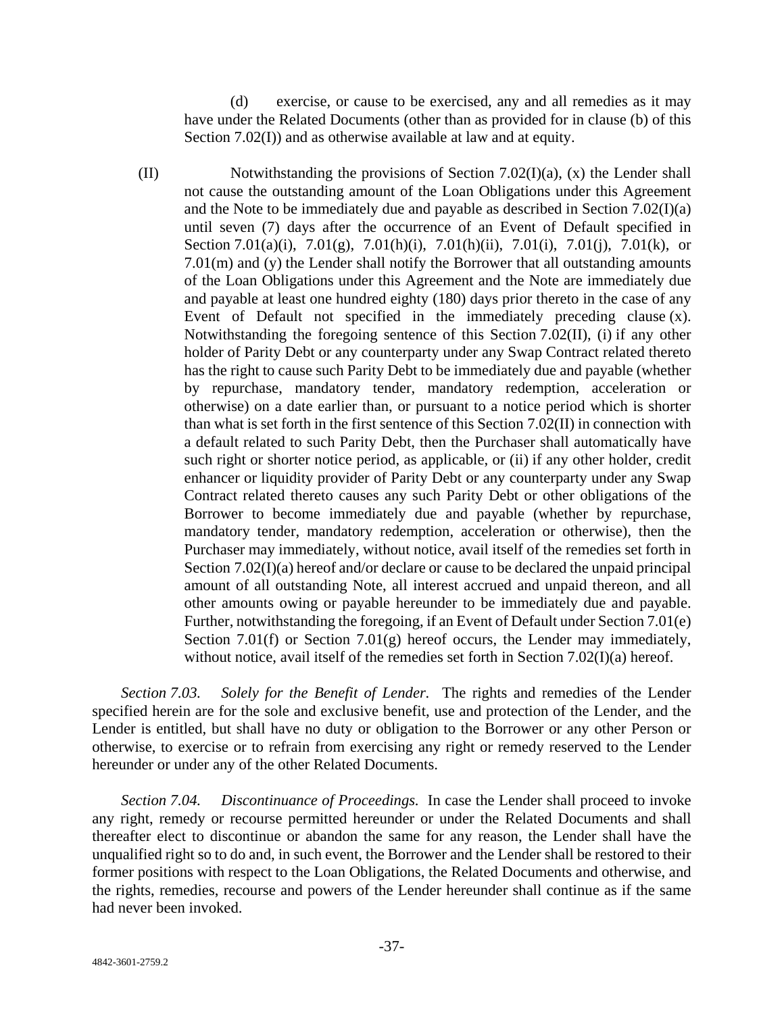(d) exercise, or cause to be exercised, any and all remedies as it may have under the Related Documents (other than as provided for in clause (b) of this Section 7.02(I)) and as otherwise available at law and at equity.

(II) Notwithstanding the provisions of Section 7.02(I)(a), (x) the Lender shall not cause the outstanding amount of the Loan Obligations under this Agreement and the Note to be immediately due and payable as described in Section 7.02(I)(a) until seven (7) days after the occurrence of an Event of Default specified in Section 7.01(a)(i), 7.01(g), 7.01(h)(i), 7.01(h)(ii), 7.01(i), 7.01(j), 7.01(k), or 7.01(m) and (y) the Lender shall notify the Borrower that all outstanding amounts of the Loan Obligations under this Agreement and the Note are immediately due and payable at least one hundred eighty (180) days prior thereto in the case of any Event of Default not specified in the immediately preceding clause (x). Notwithstanding the foregoing sentence of this Section 7.02(II), (i) if any other holder of Parity Debt or any counterparty under any Swap Contract related thereto has the right to cause such Parity Debt to be immediately due and payable (whether by repurchase, mandatory tender, mandatory redemption, acceleration or otherwise) on a date earlier than, or pursuant to a notice period which is shorter than what is set forth in the first sentence of this Section 7.02(II) in connection with a default related to such Parity Debt, then the Purchaser shall automatically have such right or shorter notice period, as applicable, or (ii) if any other holder, credit enhancer or liquidity provider of Parity Debt or any counterparty under any Swap Contract related thereto causes any such Parity Debt or other obligations of the Borrower to become immediately due and payable (whether by repurchase, mandatory tender, mandatory redemption, acceleration or otherwise), then the Purchaser may immediately, without notice, avail itself of the remedies set forth in Section 7.02(I)(a) hereof and/or declare or cause to be declared the unpaid principal amount of all outstanding Note, all interest accrued and unpaid thereon, and all other amounts owing or payable hereunder to be immediately due and payable. Further, notwithstanding the foregoing, if an Event of Default under Section 7.01(e) Section 7.01(f) or Section 7.01(g) hereof occurs, the Lender may immediately, without notice, avail itself of the remedies set forth in Section 7.02(I)(a) hereof.

*Section 7.03. Solely for the Benefit of Lender.* The rights and remedies of the Lender specified herein are for the sole and exclusive benefit, use and protection of the Lender, and the Lender is entitled, but shall have no duty or obligation to the Borrower or any other Person or otherwise, to exercise or to refrain from exercising any right or remedy reserved to the Lender hereunder or under any of the other Related Documents.

*Section 7.04. Discontinuance of Proceedings.* In case the Lender shall proceed to invoke any right, remedy or recourse permitted hereunder or under the Related Documents and shall thereafter elect to discontinue or abandon the same for any reason, the Lender shall have the unqualified right so to do and, in such event, the Borrower and the Lender shall be restored to their former positions with respect to the Loan Obligations, the Related Documents and otherwise, and the rights, remedies, recourse and powers of the Lender hereunder shall continue as if the same had never been invoked.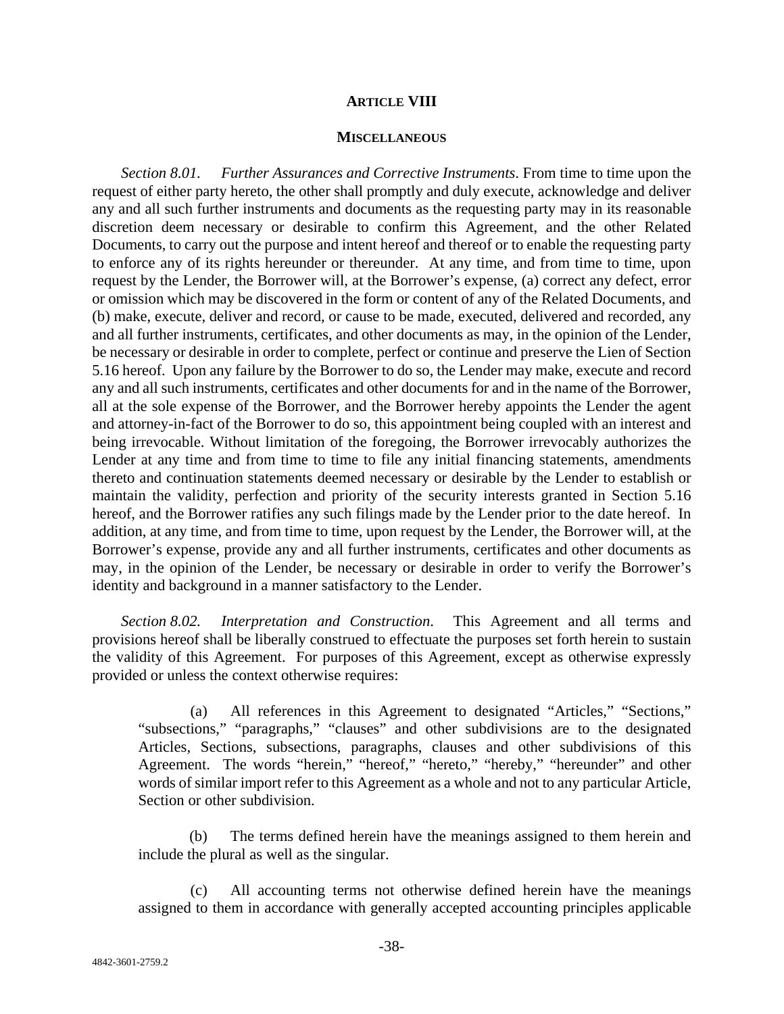#### **ARTICLE VIII**

#### **MISCELLANEOUS**

*Section 8.01. Further Assurances and Corrective Instruments*. From time to time upon the request of either party hereto, the other shall promptly and duly execute, acknowledge and deliver any and all such further instruments and documents as the requesting party may in its reasonable discretion deem necessary or desirable to confirm this Agreement, and the other Related Documents, to carry out the purpose and intent hereof and thereof or to enable the requesting party to enforce any of its rights hereunder or thereunder. At any time, and from time to time, upon request by the Lender, the Borrower will, at the Borrower's expense, (a) correct any defect, error or omission which may be discovered in the form or content of any of the Related Documents, and (b) make, execute, deliver and record, or cause to be made, executed, delivered and recorded, any and all further instruments, certificates, and other documents as may, in the opinion of the Lender, be necessary or desirable in order to complete, perfect or continue and preserve the Lien of Section 5.16 hereof. Upon any failure by the Borrower to do so, the Lender may make, execute and record any and all such instruments, certificates and other documents for and in the name of the Borrower, all at the sole expense of the Borrower, and the Borrower hereby appoints the Lender the agent and attorney-in-fact of the Borrower to do so, this appointment being coupled with an interest and being irrevocable. Without limitation of the foregoing, the Borrower irrevocably authorizes the Lender at any time and from time to time to file any initial financing statements, amendments thereto and continuation statements deemed necessary or desirable by the Lender to establish or maintain the validity, perfection and priority of the security interests granted in Section 5.16 hereof, and the Borrower ratifies any such filings made by the Lender prior to the date hereof.In addition, at any time, and from time to time, upon request by the Lender, the Borrower will, at the Borrower's expense, provide any and all further instruments, certificates and other documents as may, in the opinion of the Lender, be necessary or desirable in order to verify the Borrower's identity and background in a manner satisfactory to the Lender.

*Section 8.02. Interpretation and Construction*. This Agreement and all terms and provisions hereof shall be liberally construed to effectuate the purposes set forth herein to sustain the validity of this Agreement. For purposes of this Agreement, except as otherwise expressly provided or unless the context otherwise requires:

(a) All references in this Agreement to designated "Articles," "Sections," "subsections," "paragraphs," "clauses" and other subdivisions are to the designated Articles, Sections, subsections, paragraphs, clauses and other subdivisions of this Agreement. The words "herein," "hereof," "hereto," "hereby," "hereunder" and other words of similar import refer to this Agreement as a whole and not to any particular Article, Section or other subdivision.

(b) The terms defined herein have the meanings assigned to them herein and include the plural as well as the singular.

(c) All accounting terms not otherwise defined herein have the meanings assigned to them in accordance with generally accepted accounting principles applicable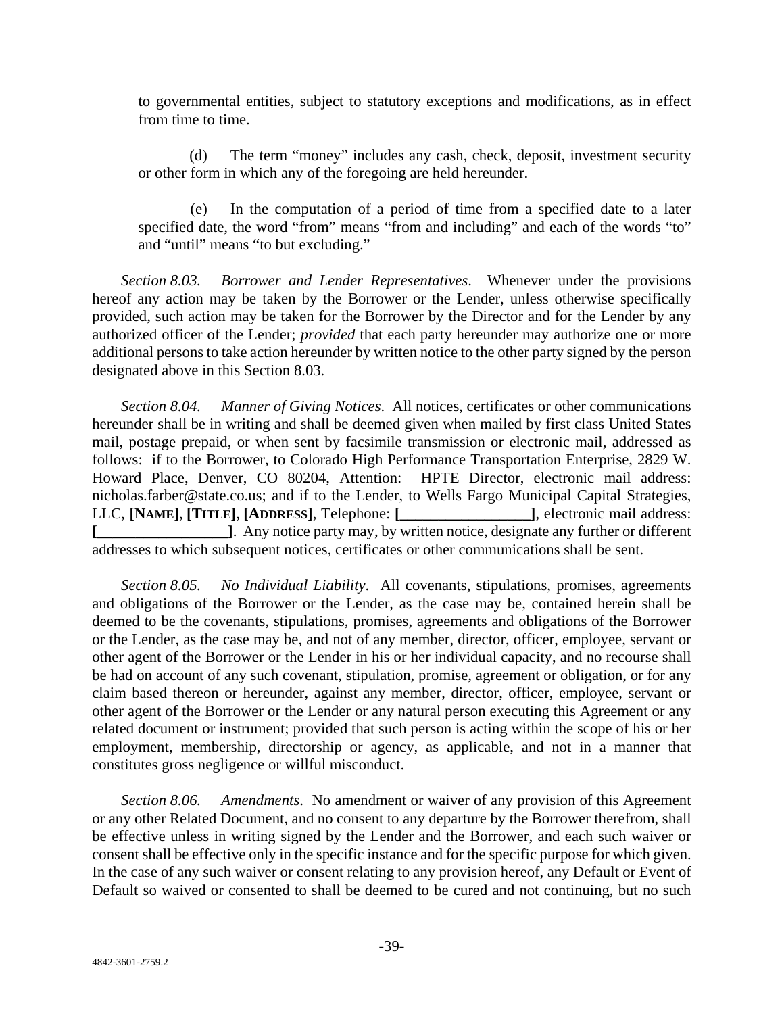to governmental entities, subject to statutory exceptions and modifications, as in effect from time to time.

(d) The term "money" includes any cash, check, deposit, investment security or other form in which any of the foregoing are held hereunder.

In the computation of a period of time from a specified date to a later specified date, the word "from" means "from and including" and each of the words "to" and "until" means "to but excluding."

*Section 8.03. Borrower and Lender Representatives*. Whenever under the provisions hereof any action may be taken by the Borrower or the Lender, unless otherwise specifically provided, such action may be taken for the Borrower by the Director and for the Lender by any authorized officer of the Lender; *provided* that each party hereunder may authorize one or more additional persons to take action hereunder by written notice to the other party signed by the person designated above in this Section 8.03.

*Section 8.04. Manner of Giving Notices*. All notices, certificates or other communications hereunder shall be in writing and shall be deemed given when mailed by first class United States mail, postage prepaid, or when sent by facsimile transmission or electronic mail, addressed as follows: if to the Borrower, to Colorado High Performance Transportation Enterprise, 2829 W. Howard Place, Denver, CO 80204, Attention: HPTE Director, electronic mail address: nicholas.farber@state.co.us; and if to the Lender, to Wells Fargo Municipal Capital Strategies, LLC, **[NAME]**, **[TITLE]**, **[ADDRESS]**, Telephone: **[\_\_\_\_\_\_\_\_\_\_\_\_\_\_\_\_\_]**, electronic mail address: **[\_\_\_\_\_\_\_\_\_\_\_\_\_\_\_\_\_]**. Any notice party may, by written notice, designate any further or different addresses to which subsequent notices, certificates or other communications shall be sent.

*Section 8.05. No Individual Liability*. All covenants, stipulations, promises, agreements and obligations of the Borrower or the Lender, as the case may be, contained herein shall be deemed to be the covenants, stipulations, promises, agreements and obligations of the Borrower or the Lender, as the case may be, and not of any member, director, officer, employee, servant or other agent of the Borrower or the Lender in his or her individual capacity, and no recourse shall be had on account of any such covenant, stipulation, promise, agreement or obligation, or for any claim based thereon or hereunder, against any member, director, officer, employee, servant or other agent of the Borrower or the Lender or any natural person executing this Agreement or any related document or instrument; provided that such person is acting within the scope of his or her employment, membership, directorship or agency, as applicable, and not in a manner that constitutes gross negligence or willful misconduct.

*Section 8.06. Amendments*. No amendment or waiver of any provision of this Agreement or any other Related Document, and no consent to any departure by the Borrower therefrom, shall be effective unless in writing signed by the Lender and the Borrower, and each such waiver or consent shall be effective only in the specific instance and for the specific purpose for which given. In the case of any such waiver or consent relating to any provision hereof, any Default or Event of Default so waived or consented to shall be deemed to be cured and not continuing, but no such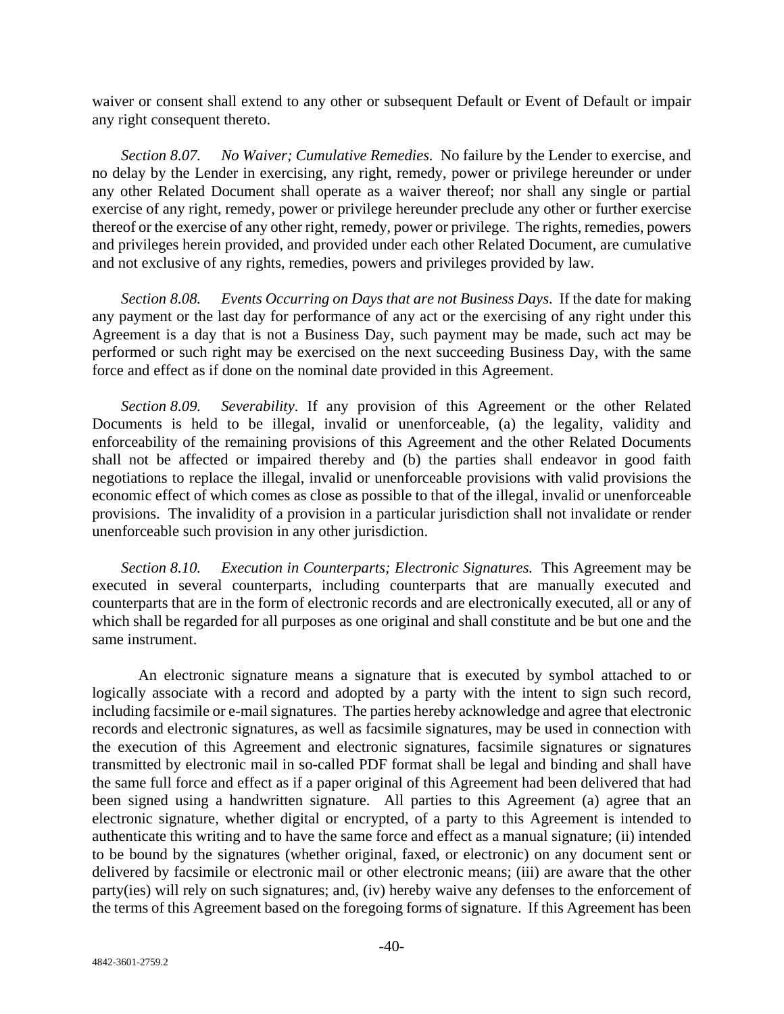waiver or consent shall extend to any other or subsequent Default or Event of Default or impair any right consequent thereto.

*Section 8.07. No Waiver; Cumulative Remedies.* No failure by the Lender to exercise, and no delay by the Lender in exercising, any right, remedy, power or privilege hereunder or under any other Related Document shall operate as a waiver thereof; nor shall any single or partial exercise of any right, remedy, power or privilege hereunder preclude any other or further exercise thereof or the exercise of any other right, remedy, power or privilege. The rights, remedies, powers and privileges herein provided, and provided under each other Related Document, are cumulative and not exclusive of any rights, remedies, powers and privileges provided by law.

*Section 8.08. Events Occurring on Days that are not Business Days*. If the date for making any payment or the last day for performance of any act or the exercising of any right under this Agreement is a day that is not a Business Day, such payment may be made, such act may be performed or such right may be exercised on the next succeeding Business Day, with the same force and effect as if done on the nominal date provided in this Agreement.

*Section 8.09. Severability*. If any provision of this Agreement or the other Related Documents is held to be illegal, invalid or unenforceable, (a) the legality, validity and enforceability of the remaining provisions of this Agreement and the other Related Documents shall not be affected or impaired thereby and (b) the parties shall endeavor in good faith negotiations to replace the illegal, invalid or unenforceable provisions with valid provisions the economic effect of which comes as close as possible to that of the illegal, invalid or unenforceable provisions. The invalidity of a provision in a particular jurisdiction shall not invalidate or render unenforceable such provision in any other jurisdiction.

*Section 8.10. Execution in Counterparts; Electronic Signatures.* This Agreement may be executed in several counterparts, including counterparts that are manually executed and counterparts that are in the form of electronic records and are electronically executed, all or any of which shall be regarded for all purposes as one original and shall constitute and be but one and the same instrument.

An electronic signature means a signature that is executed by symbol attached to or logically associate with a record and adopted by a party with the intent to sign such record, including facsimile or e-mail signatures. The parties hereby acknowledge and agree that electronic records and electronic signatures, as well as facsimile signatures, may be used in connection with the execution of this Agreement and electronic signatures, facsimile signatures or signatures transmitted by electronic mail in so-called PDF format shall be legal and binding and shall have the same full force and effect as if a paper original of this Agreement had been delivered that had been signed using a handwritten signature. All parties to this Agreement (a) agree that an electronic signature, whether digital or encrypted, of a party to this Agreement is intended to authenticate this writing and to have the same force and effect as a manual signature; (ii) intended to be bound by the signatures (whether original, faxed, or electronic) on any document sent or delivered by facsimile or electronic mail or other electronic means; (iii) are aware that the other party(ies) will rely on such signatures; and, (iv) hereby waive any defenses to the enforcement of the terms of this Agreement based on the foregoing forms of signature. If this Agreement has been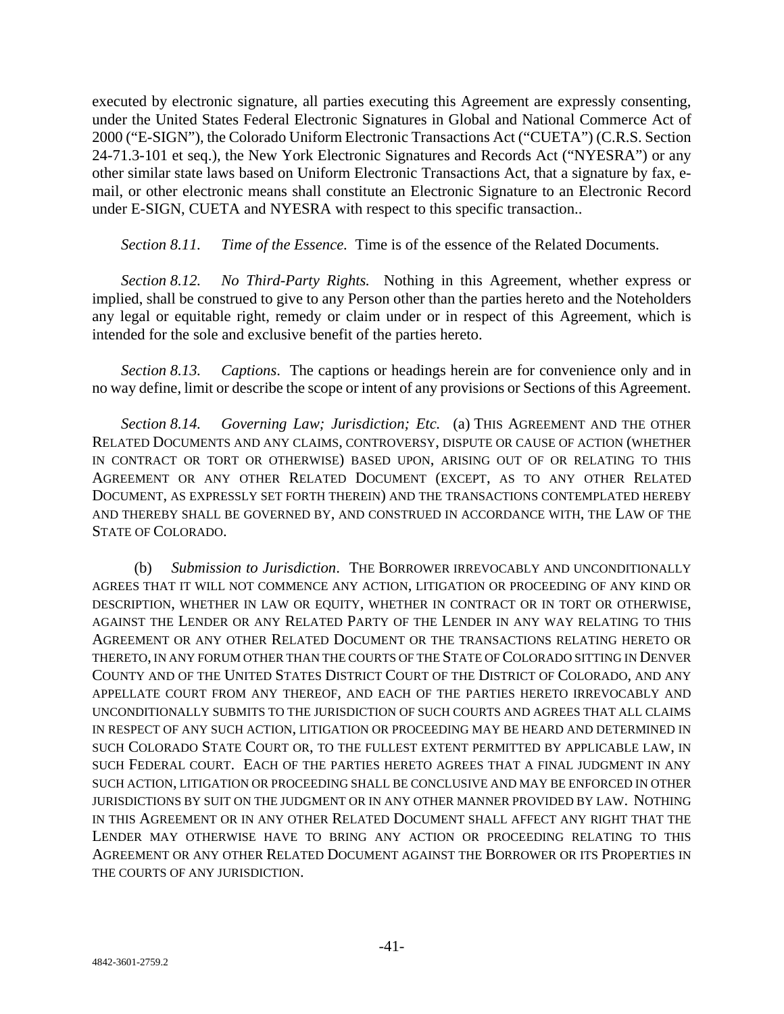executed by electronic signature, all parties executing this Agreement are expressly consenting, under the United States Federal Electronic Signatures in Global and National Commerce Act of 2000 ("E-SIGN"), the Colorado Uniform Electronic Transactions Act ("CUETA") (C.R.S. Section 24-71.3-101 et seq.), the New York Electronic Signatures and Records Act ("NYESRA") or any other similar state laws based on Uniform Electronic Transactions Act, that a signature by fax, email, or other electronic means shall constitute an Electronic Signature to an Electronic Record under E-SIGN, CUETA and NYESRA with respect to this specific transaction..

*Section 8.11. Time of the Essence.* Time is of the essence of the Related Documents.

*Section 8.12. No Third-Party Rights.* Nothing in this Agreement, whether express or implied, shall be construed to give to any Person other than the parties hereto and the Noteholders any legal or equitable right, remedy or claim under or in respect of this Agreement, which is intended for the sole and exclusive benefit of the parties hereto.

*Section 8.13. Captions*. The captions or headings herein are for convenience only and in no way define, limit or describe the scope or intent of any provisions or Sections of this Agreement.

*Section 8.14. Governing Law; Jurisdiction; Etc.* (a) THIS AGREEMENT AND THE OTHER RELATED DOCUMENTS AND ANY CLAIMS, CONTROVERSY, DISPUTE OR CAUSE OF ACTION (WHETHER IN CONTRACT OR TORT OR OTHERWISE) BASED UPON, ARISING OUT OF OR RELATING TO THIS AGREEMENT OR ANY OTHER RELATED DOCUMENT (EXCEPT, AS TO ANY OTHER RELATED DOCUMENT, AS EXPRESSLY SET FORTH THEREIN) AND THE TRANSACTIONS CONTEMPLATED HEREBY AND THEREBY SHALL BE GOVERNED BY, AND CONSTRUED IN ACCORDANCE WITH, THE LAW OF THE STATE OF COLORADO.

(b) *Submission to Jurisdiction*. THE BORROWER IRREVOCABLY AND UNCONDITIONALLY AGREES THAT IT WILL NOT COMMENCE ANY ACTION, LITIGATION OR PROCEEDING OF ANY KIND OR DESCRIPTION, WHETHER IN LAW OR EQUITY, WHETHER IN CONTRACT OR IN TORT OR OTHERWISE, AGAINST THE LENDER OR ANY RELATED PARTY OF THE LENDER IN ANY WAY RELATING TO THIS AGREEMENT OR ANY OTHER RELATED DOCUMENT OR THE TRANSACTIONS RELATING HERETO OR THERETO, IN ANY FORUM OTHER THAN THE COURTS OF THE STATE OF COLORADO SITTING IN DENVER COUNTY AND OF THE UNITED STATES DISTRICT COURT OF THE DISTRICT OF COLORADO, AND ANY APPELLATE COURT FROM ANY THEREOF, AND EACH OF THE PARTIES HERETO IRREVOCABLY AND UNCONDITIONALLY SUBMITS TO THE JURISDICTION OF SUCH COURTS AND AGREES THAT ALL CLAIMS IN RESPECT OF ANY SUCH ACTION, LITIGATION OR PROCEEDING MAY BE HEARD AND DETERMINED IN SUCH COLORADO STATE COURT OR, TO THE FULLEST EXTENT PERMITTED BY APPLICABLE LAW, IN SUCH FEDERAL COURT. EACH OF THE PARTIES HERETO AGREES THAT A FINAL JUDGMENT IN ANY SUCH ACTION, LITIGATION OR PROCEEDING SHALL BE CONCLUSIVE AND MAY BE ENFORCED IN OTHER JURISDICTIONS BY SUIT ON THE JUDGMENT OR IN ANY OTHER MANNER PROVIDED BY LAW. NOTHING IN THIS AGREEMENT OR IN ANY OTHER RELATED DOCUMENT SHALL AFFECT ANY RIGHT THAT THE LENDER MAY OTHERWISE HAVE TO BRING ANY ACTION OR PROCEEDING RELATING TO THIS AGREEMENT OR ANY OTHER RELATED DOCUMENT AGAINST THE BORROWER OR ITS PROPERTIES IN THE COURTS OF ANY JURISDICTION.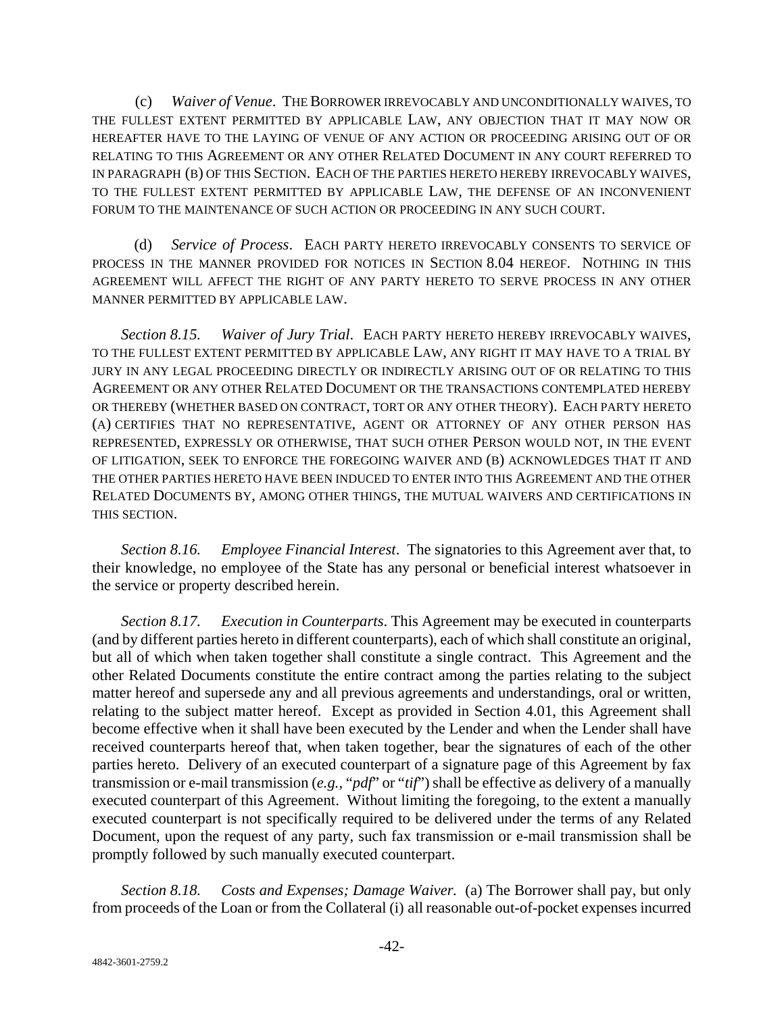(c) *Waiver of Venue*. THE BORROWER IRREVOCABLY AND UNCONDITIONALLY WAIVES, TO THE FULLEST EXTENT PERMITTED BY APPLICABLE LAW, ANY OBJECTION THAT IT MAY NOW OR HEREAFTER HAVE TO THE LAYING OF VENUE OF ANY ACTION OR PROCEEDING ARISING OUT OF OR RELATING TO THIS AGREEMENT OR ANY OTHER RELATED DOCUMENT IN ANY COURT REFERRED TO IN PARAGRAPH (B) OF THIS SECTION. EACH OF THE PARTIES HERETO HEREBY IRREVOCABLY WAIVES, TO THE FULLEST EXTENT PERMITTED BY APPLICABLE LAW, THE DEFENSE OF AN INCONVENIENT FORUM TO THE MAINTENANCE OF SUCH ACTION OR PROCEEDING IN ANY SUCH COURT.

(d) *Service of Process*. EACH PARTY HERETO IRREVOCABLY CONSENTS TO SERVICE OF PROCESS IN THE MANNER PROVIDED FOR NOTICES IN SECTION 8.04 HEREOF. NOTHING IN THIS AGREEMENT WILL AFFECT THE RIGHT OF ANY PARTY HERETO TO SERVE PROCESS IN ANY OTHER MANNER PERMITTED BY APPLICABLE LAW.

*Section 8.15. Waiver of Jury Trial*. EACH PARTY HERETO HEREBY IRREVOCABLY WAIVES, TO THE FULLEST EXTENT PERMITTED BY APPLICABLE LAW, ANY RIGHT IT MAY HAVE TO A TRIAL BY JURY IN ANY LEGAL PROCEEDING DIRECTLY OR INDIRECTLY ARISING OUT OF OR RELATING TO THIS AGREEMENT OR ANY OTHER RELATED DOCUMENT OR THE TRANSACTIONS CONTEMPLATED HEREBY OR THEREBY (WHETHER BASED ON CONTRACT, TORT OR ANY OTHER THEORY). EACH PARTY HERETO (A) CERTIFIES THAT NO REPRESENTATIVE, AGENT OR ATTORNEY OF ANY OTHER PERSON HAS REPRESENTED, EXPRESSLY OR OTHERWISE, THAT SUCH OTHER PERSON WOULD NOT, IN THE EVENT OF LITIGATION, SEEK TO ENFORCE THE FOREGOING WAIVER AND (B) ACKNOWLEDGES THAT IT AND THE OTHER PARTIES HERETO HAVE BEEN INDUCED TO ENTER INTO THIS AGREEMENT AND THE OTHER RELATED DOCUMENTS BY, AMONG OTHER THINGS, THE MUTUAL WAIVERS AND CERTIFICATIONS IN THIS SECTION.

*Section 8.16. Employee Financial Interest*. The signatories to this Agreement aver that, to their knowledge, no employee of the State has any personal or beneficial interest whatsoever in the service or property described herein.

*Section 8.17. Execution in Counterparts*. This Agreement may be executed in counterparts (and by different parties hereto in different counterparts), each of which shall constitute an original, but all of which when taken together shall constitute a single contract. This Agreement and the other Related Documents constitute the entire contract among the parties relating to the subject matter hereof and supersede any and all previous agreements and understandings, oral or written, relating to the subject matter hereof. Except as provided in Section 4.01, this Agreement shall become effective when it shall have been executed by the Lender and when the Lender shall have received counterparts hereof that, when taken together, bear the signatures of each of the other parties hereto. Delivery of an executed counterpart of a signature page of this Agreement by fax transmission or e-mail transmission (*e.g.,* "*pdf*" or "*tif*") shall be effective as delivery of a manually executed counterpart of this Agreement. Without limiting the foregoing, to the extent a manually executed counterpart is not specifically required to be delivered under the terms of any Related Document, upon the request of any party, such fax transmission or e-mail transmission shall be promptly followed by such manually executed counterpart.

*Section 8.18. Costs and Expenses; Damage Waiver.* (a) The Borrower shall pay, but only from proceeds of the Loan or from the Collateral (i) all reasonable out-of-pocket expenses incurred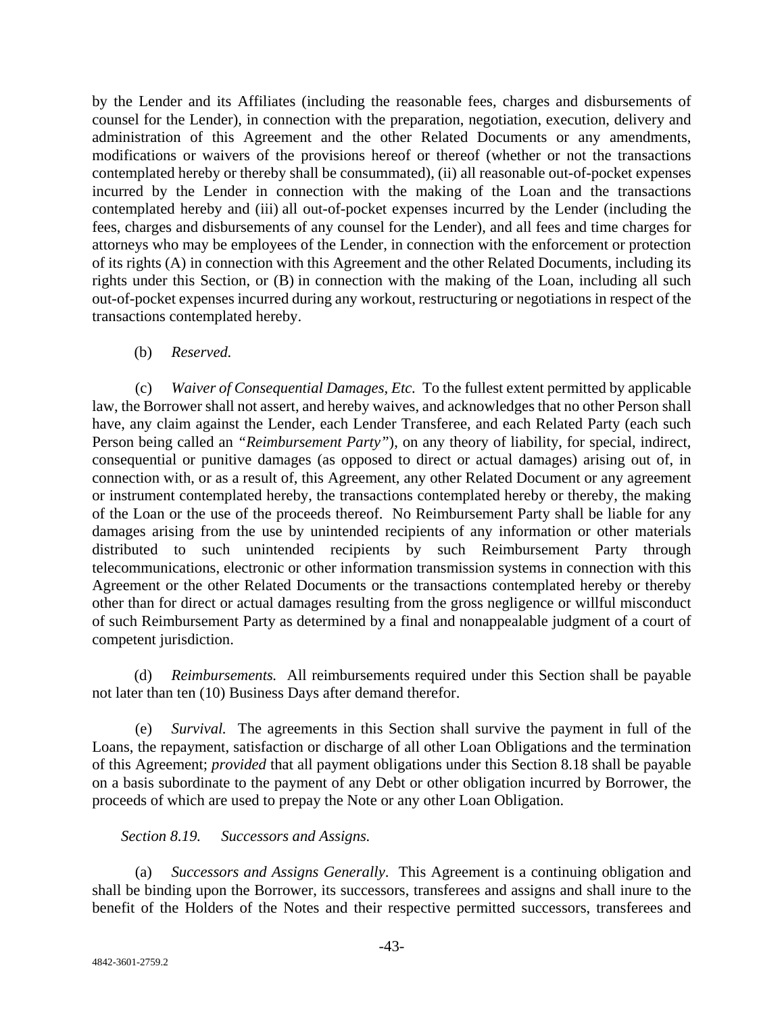by the Lender and its Affiliates (including the reasonable fees, charges and disbursements of counsel for the Lender), in connection with the preparation, negotiation, execution, delivery and administration of this Agreement and the other Related Documents or any amendments, modifications or waivers of the provisions hereof or thereof (whether or not the transactions contemplated hereby or thereby shall be consummated), (ii) all reasonable out-of-pocket expenses incurred by the Lender in connection with the making of the Loan and the transactions contemplated hereby and (iii) all out-of-pocket expenses incurred by the Lender (including the fees, charges and disbursements of any counsel for the Lender), and all fees and time charges for attorneys who may be employees of the Lender, in connection with the enforcement or protection of its rights (A) in connection with this Agreement and the other Related Documents, including its rights under this Section, or (B) in connection with the making of the Loan, including all such out-of-pocket expenses incurred during any workout, restructuring or negotiations in respect of the transactions contemplated hereby.

## (b) *Reserved.*

(c) *Waiver of Consequential Damages, Etc.* To the fullest extent permitted by applicable law, the Borrower shall not assert, and hereby waives, and acknowledges that no other Person shall have, any claim against the Lender, each Lender Transferee, and each Related Party (each such Person being called an *"Reimbursement Party"*), on any theory of liability, for special, indirect, consequential or punitive damages (as opposed to direct or actual damages) arising out of, in connection with, or as a result of, this Agreement, any other Related Document or any agreement or instrument contemplated hereby, the transactions contemplated hereby or thereby, the making of the Loan or the use of the proceeds thereof. No Reimbursement Party shall be liable for any damages arising from the use by unintended recipients of any information or other materials distributed to such unintended recipients by such Reimbursement Party through telecommunications, electronic or other information transmission systems in connection with this Agreement or the other Related Documents or the transactions contemplated hereby or thereby other than for direct or actual damages resulting from the gross negligence or willful misconduct of such Reimbursement Party as determined by a final and nonappealable judgment of a court of competent jurisdiction.

(d) *Reimbursements.* All reimbursements required under this Section shall be payable not later than ten (10) Business Days after demand therefor.

(e) *Survival.* The agreements in this Section shall survive the payment in full of the Loans, the repayment, satisfaction or discharge of all other Loan Obligations and the termination of this Agreement; *provided* that all payment obligations under this Section 8.18 shall be payable on a basis subordinate to the payment of any Debt or other obligation incurred by Borrower, the proceeds of which are used to prepay the Note or any other Loan Obligation.

## *Section 8.19. Successors and Assigns.*

(a) *Successors and Assigns Generally*. This Agreement is a continuing obligation and shall be binding upon the Borrower, its successors, transferees and assigns and shall inure to the benefit of the Holders of the Notes and their respective permitted successors, transferees and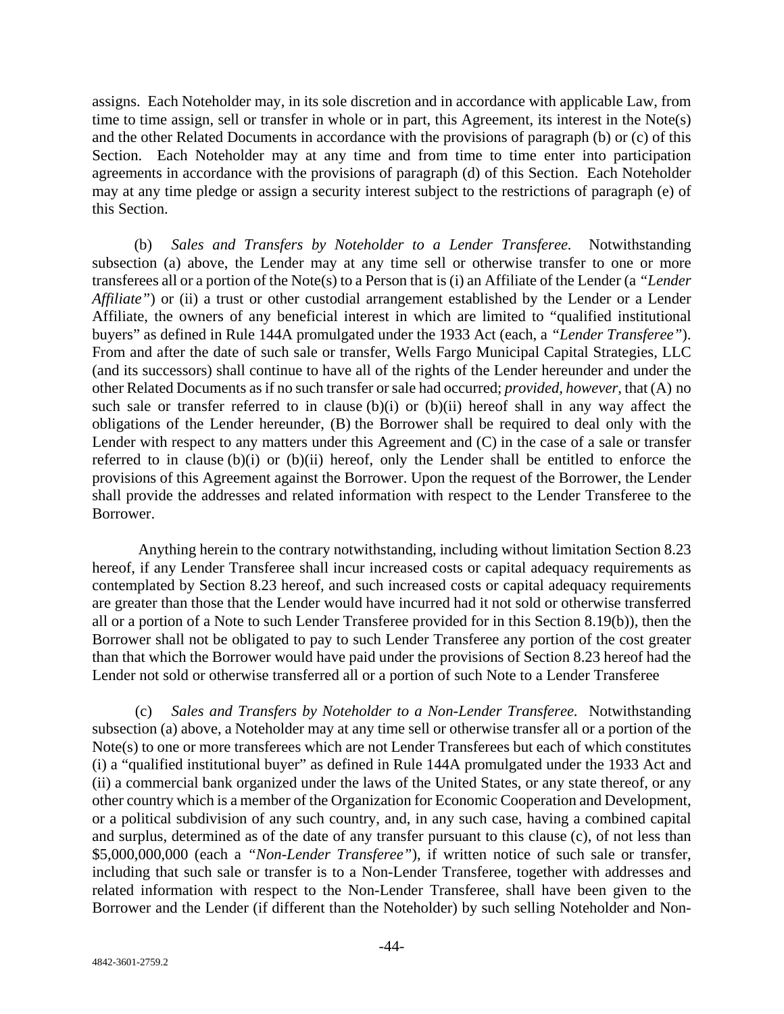assigns. Each Noteholder may, in its sole discretion and in accordance with applicable Law, from time to time assign, sell or transfer in whole or in part, this Agreement, its interest in the Note(s) and the other Related Documents in accordance with the provisions of paragraph (b) or (c) of this Section. Each Noteholder may at any time and from time to time enter into participation agreements in accordance with the provisions of paragraph (d) of this Section. Each Noteholder may at any time pledge or assign a security interest subject to the restrictions of paragraph (e) of this Section.

(b) *Sales and Transfers by Noteholder to a Lender Transferee.* Notwithstanding subsection (a) above, the Lender may at any time sell or otherwise transfer to one or more transferees all or a portion of the Note(s) to a Person that is (i) an Affiliate of the Lender (a *"Lender Affiliate"*) or (ii) a trust or other custodial arrangement established by the Lender or a Lender Affiliate, the owners of any beneficial interest in which are limited to "qualified institutional buyers" as defined in Rule 144A promulgated under the 1933 Act (each, a *"Lender Transferee"*). From and after the date of such sale or transfer, Wells Fargo Municipal Capital Strategies, LLC (and its successors) shall continue to have all of the rights of the Lender hereunder and under the other Related Documents as if no such transfer or sale had occurred; *provided, however,* that (A) no such sale or transfer referred to in clause  $(b)(i)$  or  $(b)(ii)$  hereof shall in any way affect the obligations of the Lender hereunder, (B) the Borrower shall be required to deal only with the Lender with respect to any matters under this Agreement and (C) in the case of a sale or transfer referred to in clause (b)(i) or (b)(ii) hereof, only the Lender shall be entitled to enforce the provisions of this Agreement against the Borrower. Upon the request of the Borrower, the Lender shall provide the addresses and related information with respect to the Lender Transferee to the Borrower.

Anything herein to the contrary notwithstanding, including without limitation Section 8.23 hereof, if any Lender Transferee shall incur increased costs or capital adequacy requirements as contemplated by Section 8.23 hereof, and such increased costs or capital adequacy requirements are greater than those that the Lender would have incurred had it not sold or otherwise transferred all or a portion of a Note to such Lender Transferee provided for in this Section 8.19(b)), then the Borrower shall not be obligated to pay to such Lender Transferee any portion of the cost greater than that which the Borrower would have paid under the provisions of Section 8.23 hereof had the Lender not sold or otherwise transferred all or a portion of such Note to a Lender Transferee

(c) *Sales and Transfers by Noteholder to a Non-Lender Transferee.* Notwithstanding subsection (a) above, a Noteholder may at any time sell or otherwise transfer all or a portion of the Note(s) to one or more transferees which are not Lender Transferees but each of which constitutes (i) a "qualified institutional buyer" as defined in Rule 144A promulgated under the 1933 Act and (ii) a commercial bank organized under the laws of the United States, or any state thereof, or any other country which is a member of the Organization for Economic Cooperation and Development, or a political subdivision of any such country, and, in any such case, having a combined capital and surplus, determined as of the date of any transfer pursuant to this clause (c), of not less than \$5,000,000,000 (each a *"Non-Lender Transferee"*), if written notice of such sale or transfer, including that such sale or transfer is to a Non-Lender Transferee, together with addresses and related information with respect to the Non-Lender Transferee, shall have been given to the Borrower and the Lender (if different than the Noteholder) by such selling Noteholder and Non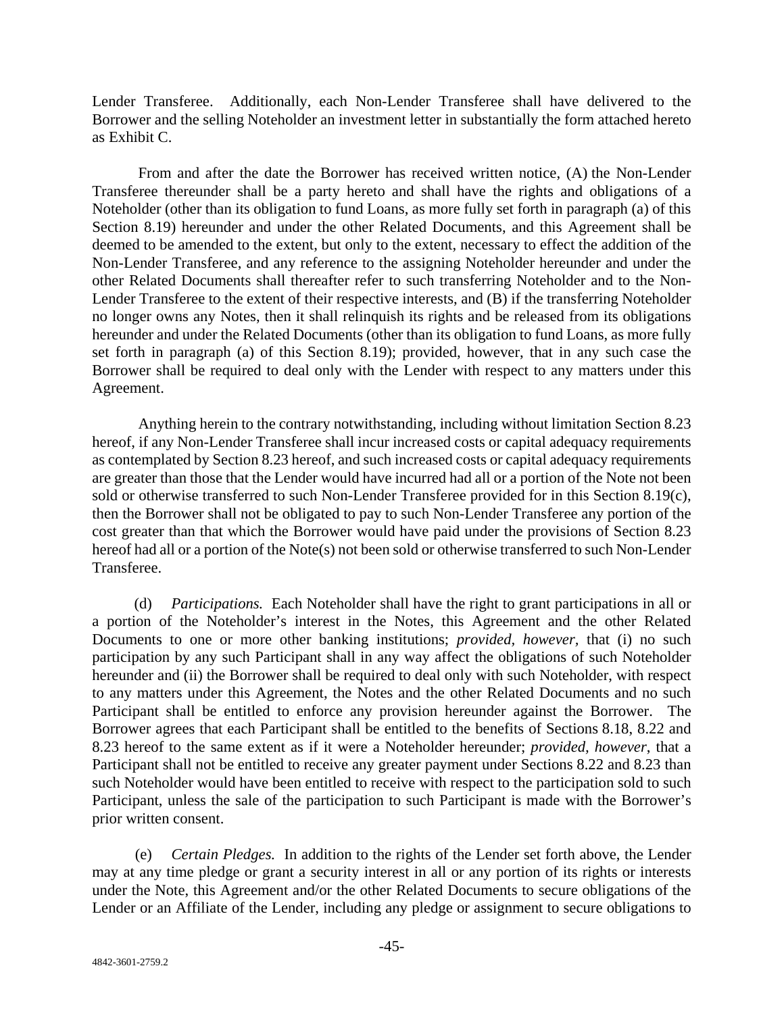Lender Transferee. Additionally, each Non-Lender Transferee shall have delivered to the Borrower and the selling Noteholder an investment letter in substantially the form attached hereto as Exhibit C.

From and after the date the Borrower has received written notice, (A) the Non-Lender Transferee thereunder shall be a party hereto and shall have the rights and obligations of a Noteholder (other than its obligation to fund Loans, as more fully set forth in paragraph (a) of this Section 8.19) hereunder and under the other Related Documents, and this Agreement shall be deemed to be amended to the extent, but only to the extent, necessary to effect the addition of the Non-Lender Transferee, and any reference to the assigning Noteholder hereunder and under the other Related Documents shall thereafter refer to such transferring Noteholder and to the Non-Lender Transferee to the extent of their respective interests, and (B) if the transferring Noteholder no longer owns any Notes, then it shall relinquish its rights and be released from its obligations hereunder and under the Related Documents (other than its obligation to fund Loans, as more fully set forth in paragraph (a) of this Section 8.19); provided, however, that in any such case the Borrower shall be required to deal only with the Lender with respect to any matters under this Agreement.

Anything herein to the contrary notwithstanding, including without limitation Section 8.23 hereof, if any Non-Lender Transferee shall incur increased costs or capital adequacy requirements as contemplated by Section 8.23 hereof, and such increased costs or capital adequacy requirements are greater than those that the Lender would have incurred had all or a portion of the Note not been sold or otherwise transferred to such Non-Lender Transferee provided for in this Section 8.19(c), then the Borrower shall not be obligated to pay to such Non-Lender Transferee any portion of the cost greater than that which the Borrower would have paid under the provisions of Section 8.23 hereof had all or a portion of the Note(s) not been sold or otherwise transferred to such Non-Lender Transferee.

(d) *Participations.* Each Noteholder shall have the right to grant participations in all or a portion of the Noteholder's interest in the Notes, this Agreement and the other Related Documents to one or more other banking institutions; *provided, however,* that (i) no such participation by any such Participant shall in any way affect the obligations of such Noteholder hereunder and (ii) the Borrower shall be required to deal only with such Noteholder, with respect to any matters under this Agreement, the Notes and the other Related Documents and no such Participant shall be entitled to enforce any provision hereunder against the Borrower. The Borrower agrees that each Participant shall be entitled to the benefits of Sections 8.18, 8.22 and 8.23 hereof to the same extent as if it were a Noteholder hereunder; *provided, however*, that a Participant shall not be entitled to receive any greater payment under Sections 8.22 and 8.23 than such Noteholder would have been entitled to receive with respect to the participation sold to such Participant, unless the sale of the participation to such Participant is made with the Borrower's prior written consent.

(e) *Certain Pledges.* In addition to the rights of the Lender set forth above, the Lender may at any time pledge or grant a security interest in all or any portion of its rights or interests under the Note, this Agreement and/or the other Related Documents to secure obligations of the Lender or an Affiliate of the Lender, including any pledge or assignment to secure obligations to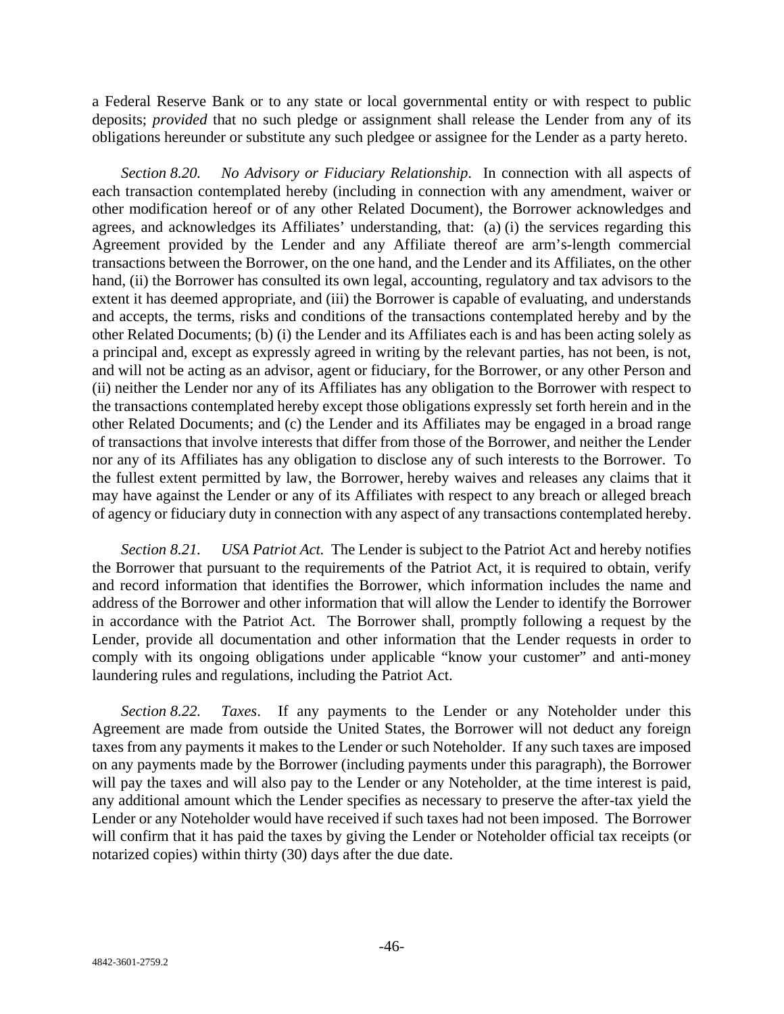a Federal Reserve Bank or to any state or local governmental entity or with respect to public deposits; *provided* that no such pledge or assignment shall release the Lender from any of its obligations hereunder or substitute any such pledgee or assignee for the Lender as a party hereto.

*Section 8.20. No Advisory or Fiduciary Relationship*. In connection with all aspects of each transaction contemplated hereby (including in connection with any amendment, waiver or other modification hereof or of any other Related Document), the Borrower acknowledges and agrees, and acknowledges its Affiliates' understanding, that: (a) (i) the services regarding this Agreement provided by the Lender and any Affiliate thereof are arm's-length commercial transactions between the Borrower, on the one hand, and the Lender and its Affiliates, on the other hand, (ii) the Borrower has consulted its own legal, accounting, regulatory and tax advisors to the extent it has deemed appropriate, and (iii) the Borrower is capable of evaluating, and understands and accepts, the terms, risks and conditions of the transactions contemplated hereby and by the other Related Documents; (b) (i) the Lender and its Affiliates each is and has been acting solely as a principal and, except as expressly agreed in writing by the relevant parties, has not been, is not, and will not be acting as an advisor, agent or fiduciary, for the Borrower, or any other Person and (ii) neither the Lender nor any of its Affiliates has any obligation to the Borrower with respect to the transactions contemplated hereby except those obligations expressly set forth herein and in the other Related Documents; and (c) the Lender and its Affiliates may be engaged in a broad range of transactions that involve interests that differ from those of the Borrower, and neither the Lender nor any of its Affiliates has any obligation to disclose any of such interests to the Borrower. To the fullest extent permitted by law, the Borrower, hereby waives and releases any claims that it may have against the Lender or any of its Affiliates with respect to any breach or alleged breach of agency or fiduciary duty in connection with any aspect of any transactions contemplated hereby.

*Section 8.21. USA Patriot Act.* The Lender is subject to the Patriot Act and hereby notifies the Borrower that pursuant to the requirements of the Patriot Act, it is required to obtain, verify and record information that identifies the Borrower, which information includes the name and address of the Borrower and other information that will allow the Lender to identify the Borrower in accordance with the Patriot Act. The Borrower shall, promptly following a request by the Lender, provide all documentation and other information that the Lender requests in order to comply with its ongoing obligations under applicable "know your customer" and anti-money laundering rules and regulations, including the Patriot Act.

*Section 8.22. Taxes*. If any payments to the Lender or any Noteholder under this Agreement are made from outside the United States, the Borrower will not deduct any foreign taxes from any payments it makes to the Lender or such Noteholder. If any such taxes are imposed on any payments made by the Borrower (including payments under this paragraph), the Borrower will pay the taxes and will also pay to the Lender or any Noteholder, at the time interest is paid, any additional amount which the Lender specifies as necessary to preserve the after-tax yield the Lender or any Noteholder would have received if such taxes had not been imposed. The Borrower will confirm that it has paid the taxes by giving the Lender or Noteholder official tax receipts (or notarized copies) within thirty (30) days after the due date.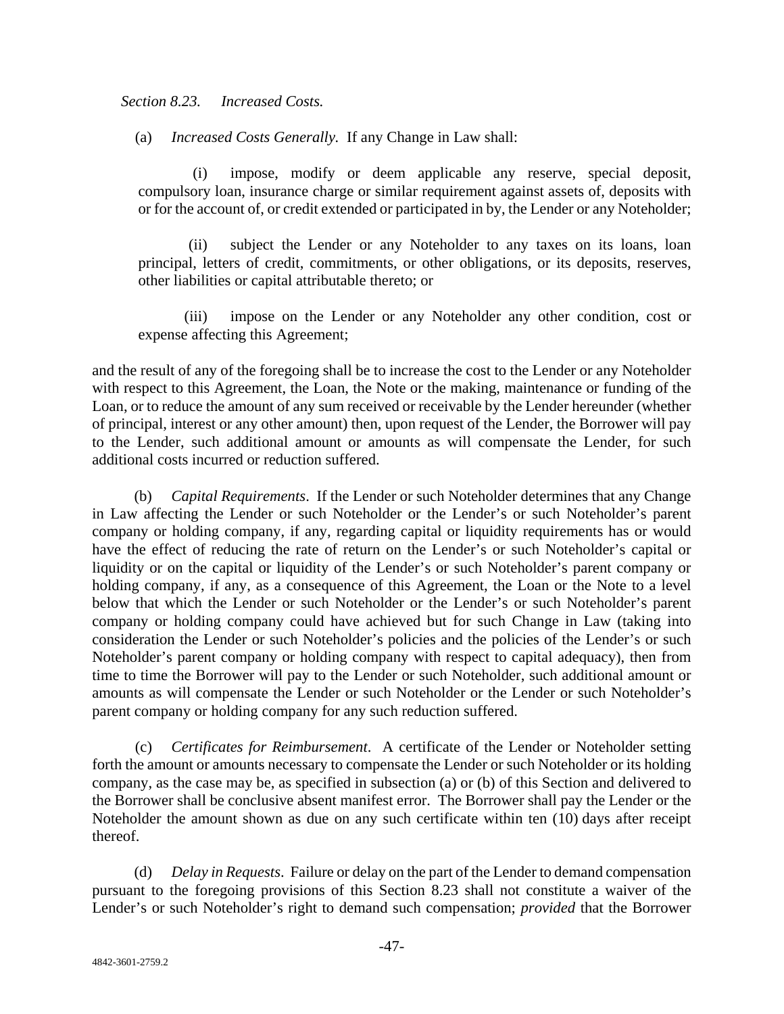*Section 8.23. Increased Costs.*

(a) *Increased Costs Generally.* If any Change in Law shall:

(i) impose, modify or deem applicable any reserve, special deposit, compulsory loan, insurance charge or similar requirement against assets of, deposits with or for the account of, or credit extended or participated in by, the Lender or any Noteholder;

(ii) subject the Lender or any Noteholder to any taxes on its loans, loan principal, letters of credit, commitments, or other obligations, or its deposits, reserves, other liabilities or capital attributable thereto; or

(iii) impose on the Lender or any Noteholder any other condition, cost or expense affecting this Agreement;

and the result of any of the foregoing shall be to increase the cost to the Lender or any Noteholder with respect to this Agreement, the Loan, the Note or the making, maintenance or funding of the Loan, or to reduce the amount of any sum received or receivable by the Lender hereunder (whether of principal, interest or any other amount) then, upon request of the Lender, the Borrower will pay to the Lender, such additional amount or amounts as will compensate the Lender, for such additional costs incurred or reduction suffered.

(b) *Capital Requirements*. If the Lender or such Noteholder determines that any Change in Law affecting the Lender or such Noteholder or the Lender's or such Noteholder's parent company or holding company, if any, regarding capital or liquidity requirements has or would have the effect of reducing the rate of return on the Lender's or such Noteholder's capital or liquidity or on the capital or liquidity of the Lender's or such Noteholder's parent company or holding company, if any, as a consequence of this Agreement, the Loan or the Note to a level below that which the Lender or such Noteholder or the Lender's or such Noteholder's parent company or holding company could have achieved but for such Change in Law (taking into consideration the Lender or such Noteholder's policies and the policies of the Lender's or such Noteholder's parent company or holding company with respect to capital adequacy), then from time to time the Borrower will pay to the Lender or such Noteholder, such additional amount or amounts as will compensate the Lender or such Noteholder or the Lender or such Noteholder's parent company or holding company for any such reduction suffered.

(c) *Certificates for Reimbursement*. A certificate of the Lender or Noteholder setting forth the amount or amounts necessary to compensate the Lender or such Noteholder or its holding company, as the case may be, as specified in subsection (a) or (b) of this Section and delivered to the Borrower shall be conclusive absent manifest error. The Borrower shall pay the Lender or the Noteholder the amount shown as due on any such certificate within ten (10) days after receipt thereof.

(d) *Delay in Requests*. Failure or delay on the part of the Lender to demand compensation pursuant to the foregoing provisions of this Section 8.23 shall not constitute a waiver of the Lender's or such Noteholder's right to demand such compensation; *provided* that the Borrower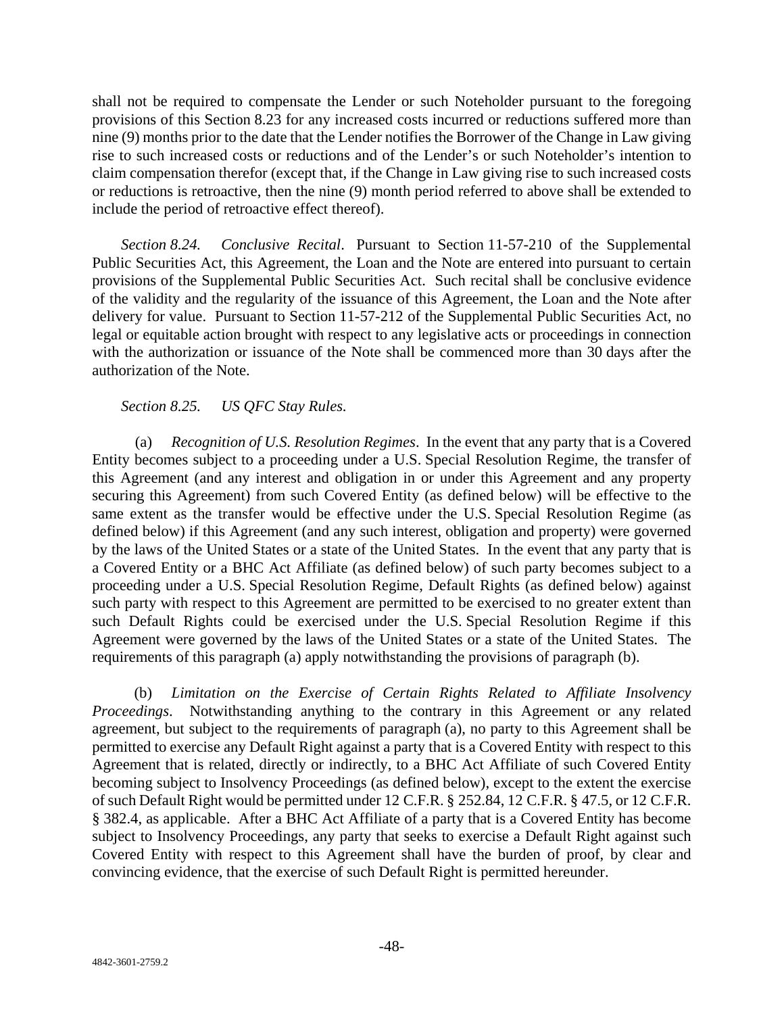shall not be required to compensate the Lender or such Noteholder pursuant to the foregoing provisions of this Section 8.23 for any increased costs incurred or reductions suffered more than nine (9) months prior to the date that the Lender notifies the Borrower of the Change in Law giving rise to such increased costs or reductions and of the Lender's or such Noteholder's intention to claim compensation therefor (except that, if the Change in Law giving rise to such increased costs or reductions is retroactive, then the nine (9) month period referred to above shall be extended to include the period of retroactive effect thereof).

*Section 8.24. Conclusive Recital*. Pursuant to Section 11-57-210 of the Supplemental Public Securities Act, this Agreement, the Loan and the Note are entered into pursuant to certain provisions of the Supplemental Public Securities Act. Such recital shall be conclusive evidence of the validity and the regularity of the issuance of this Agreement, the Loan and the Note after delivery for value. Pursuant to Section 11-57-212 of the Supplemental Public Securities Act, no legal or equitable action brought with respect to any legislative acts or proceedings in connection with the authorization or issuance of the Note shall be commenced more than 30 days after the authorization of the Note.

# *Section 8.25. US QFC Stay Rules.*

(a) *Recognition of U.S. Resolution Regimes*. In the event that any party that is a Covered Entity becomes subject to a proceeding under a U.S. Special Resolution Regime, the transfer of this Agreement (and any interest and obligation in or under this Agreement and any property securing this Agreement) from such Covered Entity (as defined below) will be effective to the same extent as the transfer would be effective under the U.S. Special Resolution Regime (as defined below) if this Agreement (and any such interest, obligation and property) were governed by the laws of the United States or a state of the United States. In the event that any party that is a Covered Entity or a BHC Act Affiliate (as defined below) of such party becomes subject to a proceeding under a U.S. Special Resolution Regime, Default Rights (as defined below) against such party with respect to this Agreement are permitted to be exercised to no greater extent than such Default Rights could be exercised under the U.S. Special Resolution Regime if this Agreement were governed by the laws of the United States or a state of the United States. The requirements of this paragraph (a) apply notwithstanding the provisions of paragraph (b).

(b) *Limitation on the Exercise of Certain Rights Related to Affiliate Insolvency Proceedings*. Notwithstanding anything to the contrary in this Agreement or any related agreement, but subject to the requirements of paragraph (a), no party to this Agreement shall be permitted to exercise any Default Right against a party that is a Covered Entity with respect to this Agreement that is related, directly or indirectly, to a BHC Act Affiliate of such Covered Entity becoming subject to Insolvency Proceedings (as defined below), except to the extent the exercise of such Default Right would be permitted under 12 C.F.R. § 252.84, 12 C.F.R. § 47.5, or 12 C.F.R. § 382.4, as applicable. After a BHC Act Affiliate of a party that is a Covered Entity has become subject to Insolvency Proceedings, any party that seeks to exercise a Default Right against such Covered Entity with respect to this Agreement shall have the burden of proof, by clear and convincing evidence, that the exercise of such Default Right is permitted hereunder.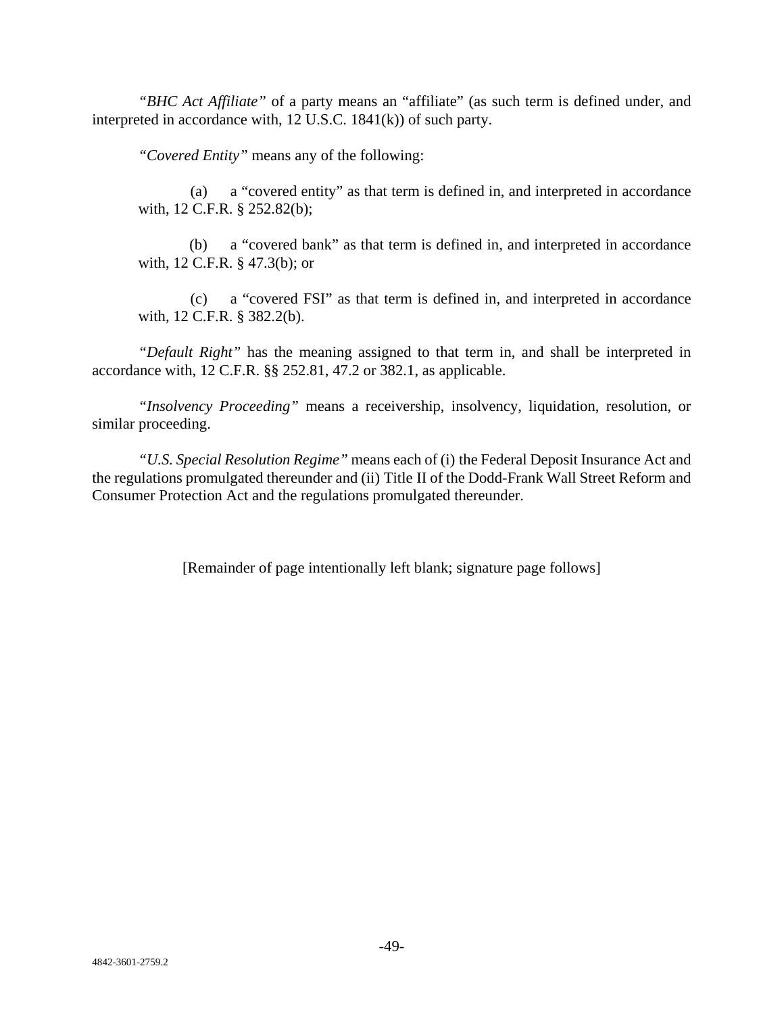*"BHC Act Affiliate"* of a party means an "affiliate" (as such term is defined under, and interpreted in accordance with, 12 U.S.C. 1841(k)) of such party.

*"Covered Entity"* means any of the following:

(a) a "covered entity" as that term is defined in, and interpreted in accordance with, 12 C.F.R. § 252.82(b);

(b) a "covered bank" as that term is defined in, and interpreted in accordance with, 12 C.F.R. § 47.3(b); or

(c) a "covered FSI" as that term is defined in, and interpreted in accordance with, 12 C.F.R. § 382.2(b).

*"Default Right"* has the meaning assigned to that term in, and shall be interpreted in accordance with, 12 C.F.R. §§ 252.81, 47.2 or 382.1, as applicable.

*"Insolvency Proceeding"* means a receivership, insolvency, liquidation, resolution, or similar proceeding.

*"U.S. Special Resolution Regime"* means each of (i) the Federal Deposit Insurance Act and the regulations promulgated thereunder and (ii) Title II of the Dodd-Frank Wall Street Reform and Consumer Protection Act and the regulations promulgated thereunder.

[Remainder of page intentionally left blank; signature page follows]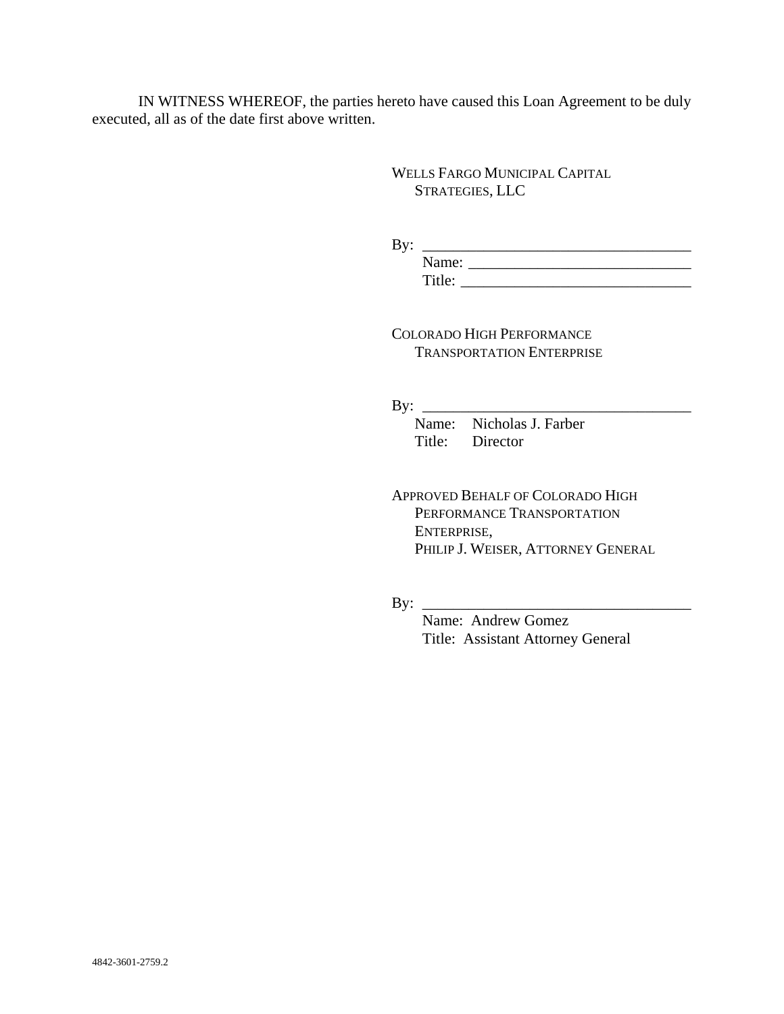IN WITNESS WHEREOF, the parties hereto have caused this Loan Agreement to be duly executed, all as of the date first above written.

> WELLS FARGO MUNICIPAL CAPITAL STRATEGIES, LLC

By: \_\_\_\_\_\_\_\_\_\_\_\_\_\_\_\_\_\_\_\_\_\_\_\_\_\_\_\_\_\_\_\_\_\_\_ Name: \_\_\_\_\_\_\_\_\_\_\_\_\_\_\_\_\_\_\_\_\_\_\_\_\_\_\_\_\_ Title: \_\_\_\_\_\_\_\_\_\_\_\_\_\_\_\_\_\_\_\_\_\_\_\_\_\_\_\_\_\_

COLORADO HIGH PERFORMANCE TRANSPORTATION ENTERPRISE

By: \_\_\_\_\_\_\_\_\_\_\_\_\_\_\_\_\_\_\_\_\_\_\_\_\_\_\_\_\_\_\_\_\_\_\_

Name: Nicholas J. Farber Title: Director

APPROVED BEHALF OF COLORADO HIGH PERFORMANCE TRANSPORTATION ENTERPRISE, PHILIP J. WEISER, ATTORNEY GENERAL

 $By: \_\_$ 

 Name: Andrew Gomez Title: Assistant Attorney General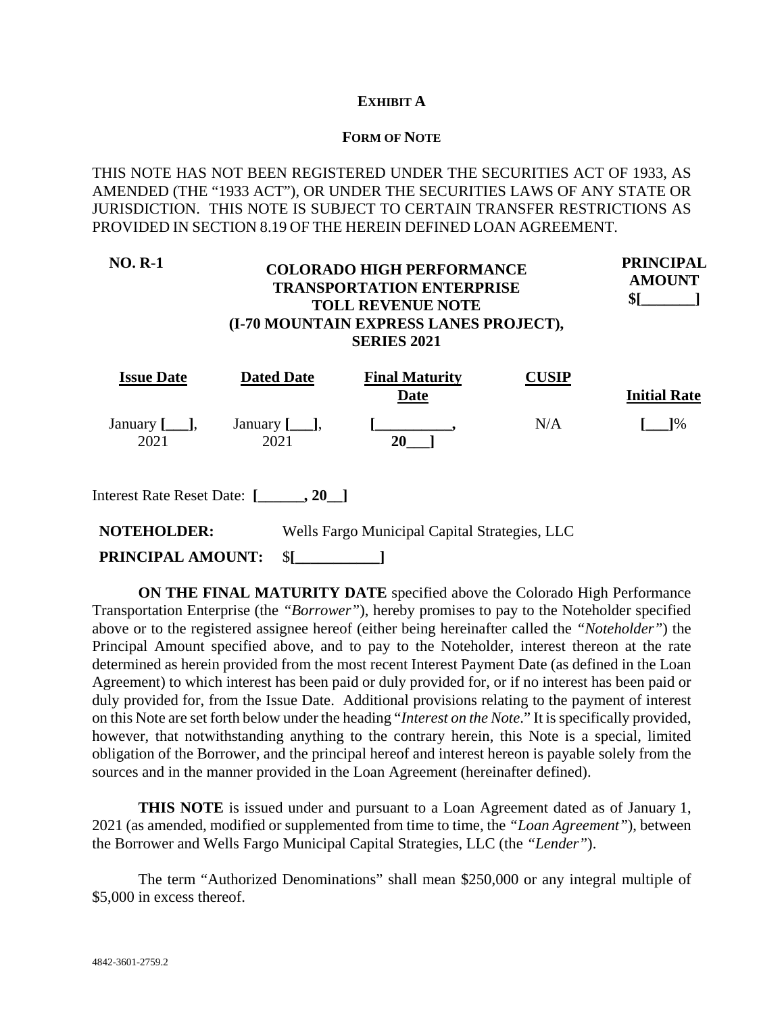## **EXHIBIT A**

#### **FORM OF NOTE**

THIS NOTE HAS NOT BEEN REGISTERED UNDER THE SECURITIES ACT OF 1933, AS AMENDED (THE "1933 ACT"), OR UNDER THE SECURITIES LAWS OF ANY STATE OR JURISDICTION. THIS NOTE IS SUBJECT TO CERTAIN TRANSFER RESTRICTIONS AS PROVIDED IN SECTION 8.19 OF THE HEREIN DEFINED LOAN AGREEMENT.

#### **NO. R-1 COLORADO HIGH PERFORMANCE TRANSPORTATION ENTERPRISE TOLL REVENUE NOTE (I-70 MOUNTAIN EXPRESS LANES PROJECT), SERIES 2021 PRINCIPAL AMOUNT \$[\_\_\_\_\_\_\_]**

| <b>Issue Date</b>         | <b>Dated Date</b>  | <b>Final Maturity</b> | USIP |                     |
|---------------------------|--------------------|-----------------------|------|---------------------|
|                           |                    | Date                  |      | <b>Initial Rate</b> |
| January $[\_\_],$<br>2021 | January I,<br>2021 | 20                    | N/A  | 1%                  |

Interest Rate Reset Date: **[\_\_\_\_\_\_, 20\_\_]**

**NOTEHOLDER:** Wells Fargo Municipal Capital Strategies, LLC

**PRINCIPAL AMOUNT:** \$**[\_\_\_\_\_\_\_\_\_\_\_]**

**ON THE FINAL MATURITY DATE** specified above the Colorado High Performance Transportation Enterprise (the *"Borrower"*), hereby promises to pay to the Noteholder specified above or to the registered assignee hereof (either being hereinafter called the *"Noteholder"*) the Principal Amount specified above, and to pay to the Noteholder, interest thereon at the rate determined as herein provided from the most recent Interest Payment Date (as defined in the Loan Agreement) to which interest has been paid or duly provided for, or if no interest has been paid or duly provided for, from the Issue Date. Additional provisions relating to the payment of interest on this Note are set forth below under the heading "*Interest on the Note*." It is specifically provided, however, that notwithstanding anything to the contrary herein, this Note is a special, limited obligation of the Borrower, and the principal hereof and interest hereon is payable solely from the sources and in the manner provided in the Loan Agreement (hereinafter defined).

**THIS NOTE** is issued under and pursuant to a Loan Agreement dated as of January 1, 2021 (as amended, modified or supplemented from time to time, the *"Loan Agreement"*), between the Borrower and Wells Fargo Municipal Capital Strategies, LLC (the *"Lender"*).

The term "Authorized Denominations" shall mean \$250,000 or any integral multiple of \$5,000 in excess thereof.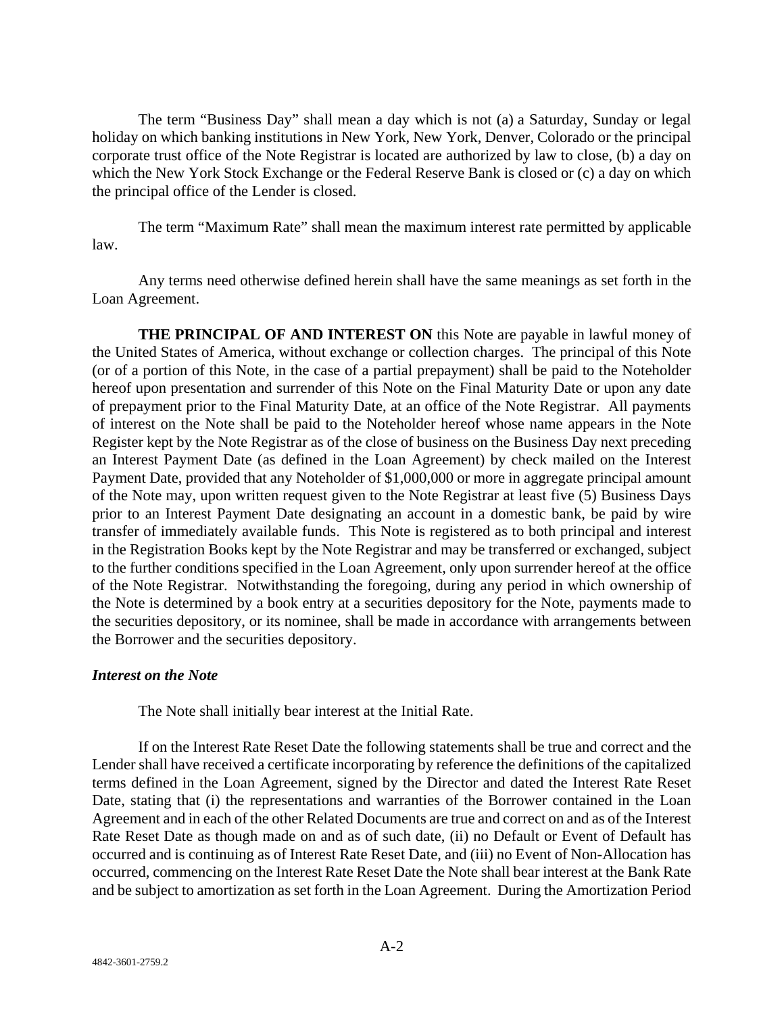The term "Business Day" shall mean a day which is not (a) a Saturday, Sunday or legal holiday on which banking institutions in New York, New York, Denver, Colorado or the principal corporate trust office of the Note Registrar is located are authorized by law to close, (b) a day on which the New York Stock Exchange or the Federal Reserve Bank is closed or (c) a day on which the principal office of the Lender is closed.

The term "Maximum Rate" shall mean the maximum interest rate permitted by applicable law.

Any terms need otherwise defined herein shall have the same meanings as set forth in the Loan Agreement.

**THE PRINCIPAL OF AND INTEREST ON** this Note are payable in lawful money of the United States of America, without exchange or collection charges. The principal of this Note (or of a portion of this Note, in the case of a partial prepayment) shall be paid to the Noteholder hereof upon presentation and surrender of this Note on the Final Maturity Date or upon any date of prepayment prior to the Final Maturity Date, at an office of the Note Registrar. All payments of interest on the Note shall be paid to the Noteholder hereof whose name appears in the Note Register kept by the Note Registrar as of the close of business on the Business Day next preceding an Interest Payment Date (as defined in the Loan Agreement) by check mailed on the Interest Payment Date, provided that any Noteholder of \$1,000,000 or more in aggregate principal amount of the Note may, upon written request given to the Note Registrar at least five (5) Business Days prior to an Interest Payment Date designating an account in a domestic bank, be paid by wire transfer of immediately available funds. This Note is registered as to both principal and interest in the Registration Books kept by the Note Registrar and may be transferred or exchanged, subject to the further conditions specified in the Loan Agreement, only upon surrender hereof at the office of the Note Registrar. Notwithstanding the foregoing, during any period in which ownership of the Note is determined by a book entry at a securities depository for the Note, payments made to the securities depository, or its nominee, shall be made in accordance with arrangements between the Borrower and the securities depository.

## *Interest on the Note*

The Note shall initially bear interest at the Initial Rate.

If on the Interest Rate Reset Date the following statements shall be true and correct and the Lender shall have received a certificate incorporating by reference the definitions of the capitalized terms defined in the Loan Agreement, signed by the Director and dated the Interest Rate Reset Date, stating that (i) the representations and warranties of the Borrower contained in the Loan Agreement and in each of the other Related Documents are true and correct on and as of the Interest Rate Reset Date as though made on and as of such date, (ii) no Default or Event of Default has occurred and is continuing as of Interest Rate Reset Date, and (iii) no Event of Non-Allocation has occurred, commencing on the Interest Rate Reset Date the Note shall bear interest at the Bank Rate and be subject to amortization as set forth in the Loan Agreement. During the Amortization Period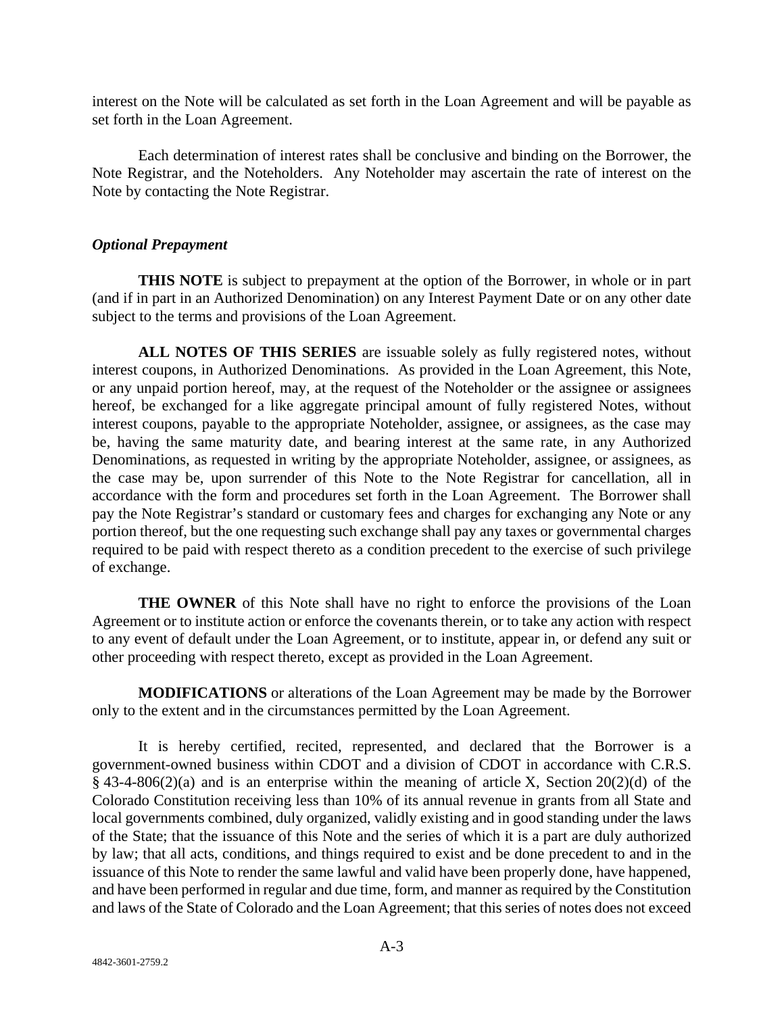interest on the Note will be calculated as set forth in the Loan Agreement and will be payable as set forth in the Loan Agreement.

Each determination of interest rates shall be conclusive and binding on the Borrower, the Note Registrar, and the Noteholders. Any Noteholder may ascertain the rate of interest on the Note by contacting the Note Registrar.

## *Optional Prepayment*

**THIS NOTE** is subject to prepayment at the option of the Borrower, in whole or in part (and if in part in an Authorized Denomination) on any Interest Payment Date or on any other date subject to the terms and provisions of the Loan Agreement.

**ALL NOTES OF THIS SERIES** are issuable solely as fully registered notes, without interest coupons, in Authorized Denominations. As provided in the Loan Agreement, this Note, or any unpaid portion hereof, may, at the request of the Noteholder or the assignee or assignees hereof, be exchanged for a like aggregate principal amount of fully registered Notes, without interest coupons, payable to the appropriate Noteholder, assignee, or assignees, as the case may be, having the same maturity date, and bearing interest at the same rate, in any Authorized Denominations, as requested in writing by the appropriate Noteholder, assignee, or assignees, as the case may be, upon surrender of this Note to the Note Registrar for cancellation, all in accordance with the form and procedures set forth in the Loan Agreement. The Borrower shall pay the Note Registrar's standard or customary fees and charges for exchanging any Note or any portion thereof, but the one requesting such exchange shall pay any taxes or governmental charges required to be paid with respect thereto as a condition precedent to the exercise of such privilege of exchange.

**THE OWNER** of this Note shall have no right to enforce the provisions of the Loan Agreement or to institute action or enforce the covenants therein, or to take any action with respect to any event of default under the Loan Agreement, or to institute, appear in, or defend any suit or other proceeding with respect thereto, except as provided in the Loan Agreement.

**MODIFICATIONS** or alterations of the Loan Agreement may be made by the Borrower only to the extent and in the circumstances permitted by the Loan Agreement.

It is hereby certified, recited, represented, and declared that the Borrower is a government-owned business within CDOT and a division of CDOT in accordance with C.R.S.  $§$  43-4-806(2)(a) and is an enterprise within the meaning of article X, Section 20(2)(d) of the Colorado Constitution receiving less than 10% of its annual revenue in grants from all State and local governments combined, duly organized, validly existing and in good standing under the laws of the State; that the issuance of this Note and the series of which it is a part are duly authorized by law; that all acts, conditions, and things required to exist and be done precedent to and in the issuance of this Note to render the same lawful and valid have been properly done, have happened, and have been performed in regular and due time, form, and manner as required by the Constitution and laws of the State of Colorado and the Loan Agreement; that this series of notes does not exceed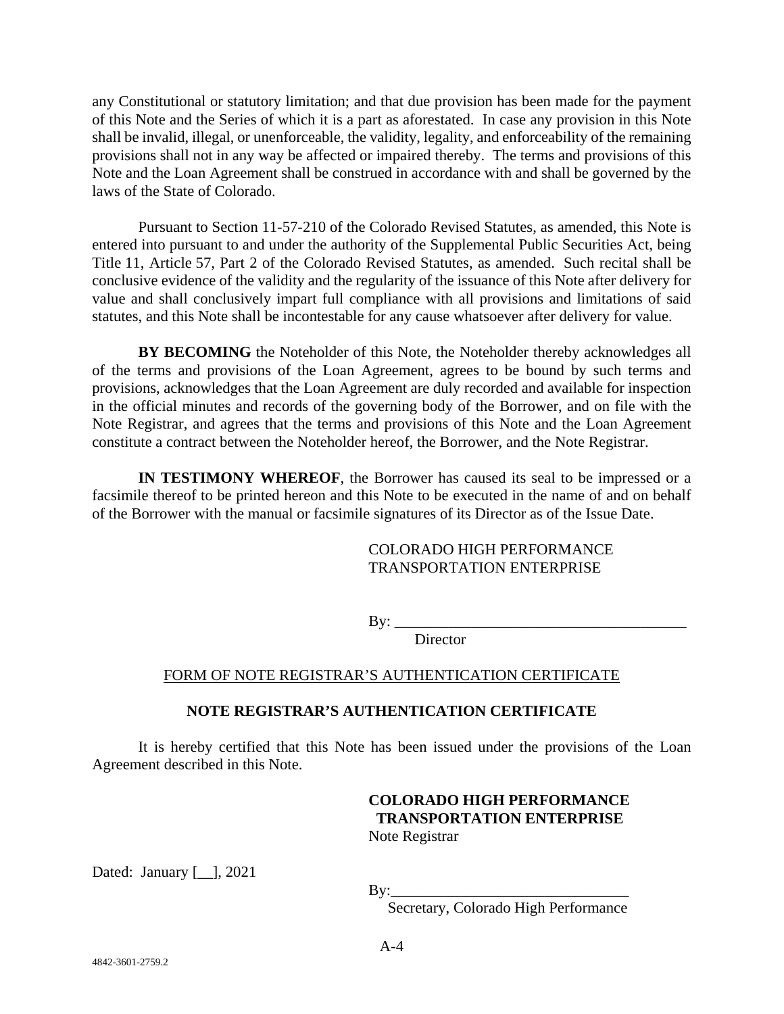any Constitutional or statutory limitation; and that due provision has been made for the payment of this Note and the Series of which it is a part as aforestated. In case any provision in this Note shall be invalid, illegal, or unenforceable, the validity, legality, and enforceability of the remaining provisions shall not in any way be affected or impaired thereby. The terms and provisions of this Note and the Loan Agreement shall be construed in accordance with and shall be governed by the laws of the State of Colorado.

Pursuant to Section 11-57-210 of the Colorado Revised Statutes, as amended, this Note is entered into pursuant to and under the authority of the Supplemental Public Securities Act, being Title 11, Article 57, Part 2 of the Colorado Revised Statutes, as amended. Such recital shall be conclusive evidence of the validity and the regularity of the issuance of this Note after delivery for value and shall conclusively impart full compliance with all provisions and limitations of said statutes, and this Note shall be incontestable for any cause whatsoever after delivery for value.

**BY BECOMING** the Noteholder of this Note, the Noteholder thereby acknowledges all of the terms and provisions of the Loan Agreement, agrees to be bound by such terms and provisions, acknowledges that the Loan Agreement are duly recorded and available for inspection in the official minutes and records of the governing body of the Borrower, and on file with the Note Registrar, and agrees that the terms and provisions of this Note and the Loan Agreement constitute a contract between the Noteholder hereof, the Borrower, and the Note Registrar.

**IN TESTIMONY WHEREOF**, the Borrower has caused its seal to be impressed or a facsimile thereof to be printed hereon and this Note to be executed in the name of and on behalf of the Borrower with the manual or facsimile signatures of its Director as of the Issue Date.

## COLORADO HIGH PERFORMANCE TRANSPORTATION ENTERPRISE

 $By:$ 

**Director** 

# FORM OF NOTE REGISTRAR'S AUTHENTICATION CERTIFICATE

# **NOTE REGISTRAR'S AUTHENTICATION CERTIFICATE**

It is hereby certified that this Note has been issued under the provisions of the Loan Agreement described in this Note.

# **COLORADO HIGH PERFORMANCE TRANSPORTATION ENTERPRISE**

Note Registrar

Dated: January [\_\_], 2021

By:\_\_\_\_\_\_\_\_\_\_\_\_\_\_\_\_\_\_\_\_\_\_\_\_\_\_\_\_\_\_\_

Secretary, Colorado High Performance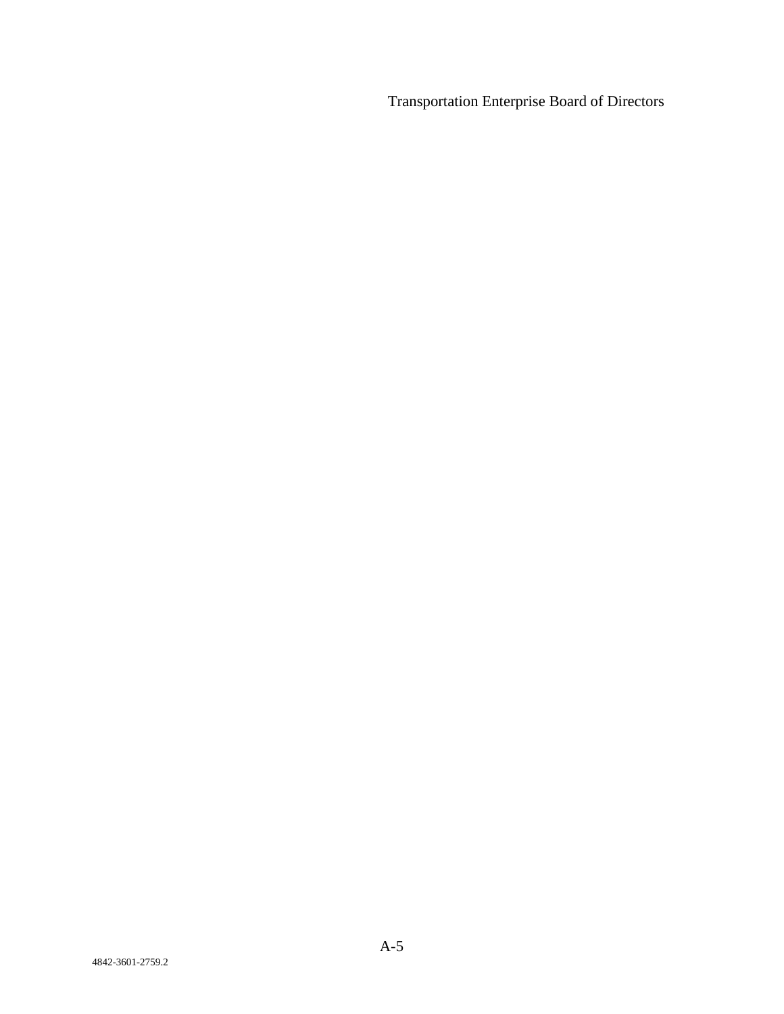Transportation Enterprise Board of Directors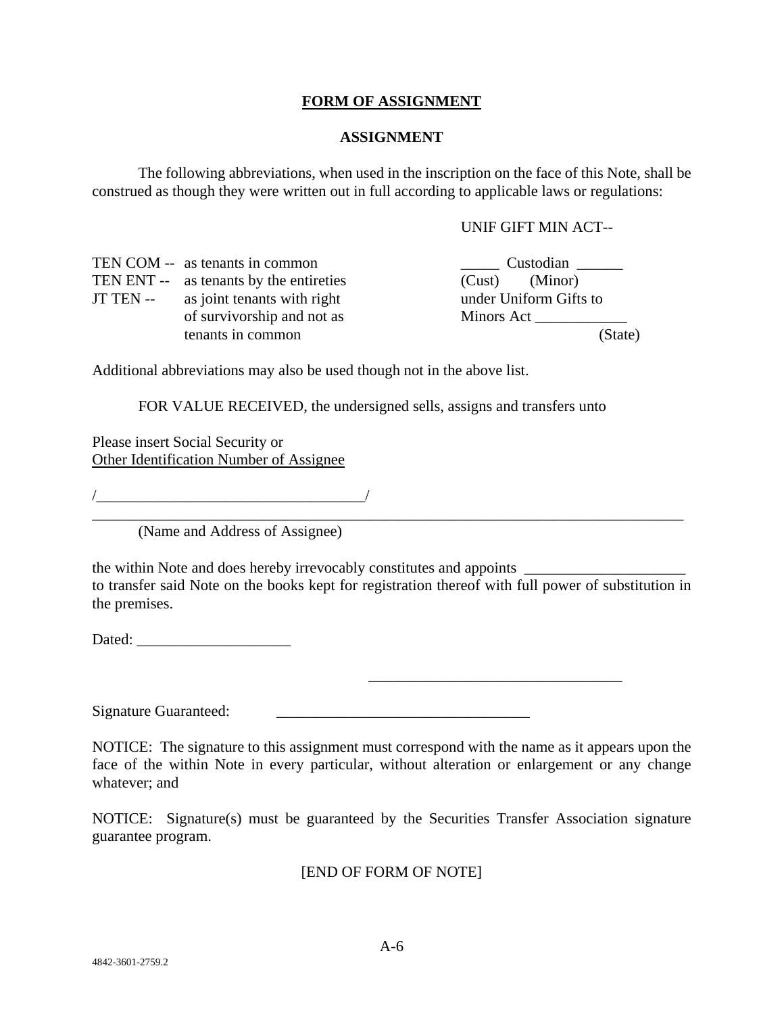## **FORM OF ASSIGNMENT**

#### **ASSIGNMENT**

The following abbreviations, when used in the inscription on the face of this Note, shall be construed as though they were written out in full according to applicable laws or regulations:

#### UNIF GIFT MIN ACT--

| TEN COM -- as tenants in common         | Custodian              |
|-----------------------------------------|------------------------|
| TEN ENT -- as tenants by the entireties | (Minor)<br>(Cust)      |
| JT TEN -- as joint tenants with right   | under Uniform Gifts to |
| of survivorship and not as              | Minors Act             |
| tenants in common                       | (State)                |

Additional abbreviations may also be used though not in the above list.

FOR VALUE RECEIVED, the undersigned sells, assigns and transfers unto

Please insert Social Security or Other Identification Number of Assignee

/\_\_\_\_\_\_\_\_\_\_\_\_\_\_\_\_\_\_\_\_\_\_\_\_\_\_\_\_\_\_\_\_\_\_\_/

(Name and Address of Assignee)

the within Note and does hereby irrevocably constitutes and appoints  $\Box$ to transfer said Note on the books kept for registration thereof with full power of substitution in the premises.

\_\_\_\_\_\_\_\_\_\_\_\_\_\_\_\_\_\_\_\_\_\_\_\_\_\_\_\_\_\_\_\_\_\_\_\_\_\_\_\_\_\_\_\_\_\_\_\_\_\_\_\_\_\_\_\_\_\_\_\_\_\_\_\_\_\_\_\_\_\_\_\_\_\_\_\_\_

Dated: \_\_\_\_\_\_\_\_\_\_\_\_\_\_\_\_\_\_\_\_

Signature Guaranteed:

NOTICE: The signature to this assignment must correspond with the name as it appears upon the face of the within Note in every particular, without alteration or enlargement or any change whatever; and

\_\_\_\_\_\_\_\_\_\_\_\_\_\_\_\_\_\_\_\_\_\_\_\_\_\_\_\_\_\_\_\_\_

NOTICE: Signature(s) must be guaranteed by the Securities Transfer Association signature guarantee program.

[END OF FORM OF NOTE]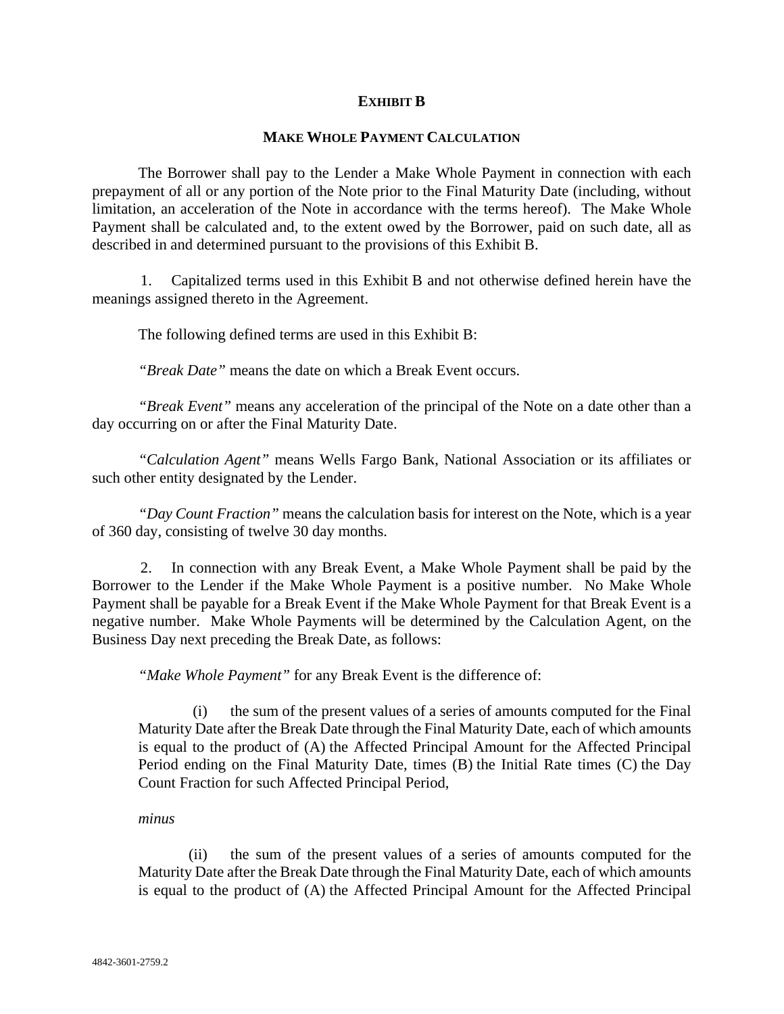## **EXHIBIT B**

#### **MAKE WHOLE PAYMENT CALCULATION**

The Borrower shall pay to the Lender a Make Whole Payment in connection with each prepayment of all or any portion of the Note prior to the Final Maturity Date (including, without limitation, an acceleration of the Note in accordance with the terms hereof). The Make Whole Payment shall be calculated and, to the extent owed by the Borrower, paid on such date, all as described in and determined pursuant to the provisions of this Exhibit B.

1. Capitalized terms used in this Exhibit B and not otherwise defined herein have the meanings assigned thereto in the Agreement.

The following defined terms are used in this Exhibit B:

*"Break Date"* means the date on which a Break Event occurs.

*"Break Event"* means any acceleration of the principal of the Note on a date other than a day occurring on or after the Final Maturity Date.

*"Calculation Agent"* means Wells Fargo Bank, National Association or its affiliates or such other entity designated by the Lender.

*"Day Count Fraction"* means the calculation basis for interest on the Note, which is a year of 360 day, consisting of twelve 30 day months.

2. In connection with any Break Event, a Make Whole Payment shall be paid by the Borrower to the Lender if the Make Whole Payment is a positive number. No Make Whole Payment shall be payable for a Break Event if the Make Whole Payment for that Break Event is a negative number. Make Whole Payments will be determined by the Calculation Agent, on the Business Day next preceding the Break Date, as follows:

*"Make Whole Payment"* for any Break Event is the difference of:

(i) the sum of the present values of a series of amounts computed for the Final Maturity Date after the Break Date through the Final Maturity Date, each of which amounts is equal to the product of (A) the Affected Principal Amount for the Affected Principal Period ending on the Final Maturity Date, times (B) the Initial Rate times (C) the Day Count Fraction for such Affected Principal Period,

*minus*

(ii) the sum of the present values of a series of amounts computed for the Maturity Date after the Break Date through the Final Maturity Date, each of which amounts is equal to the product of (A) the Affected Principal Amount for the Affected Principal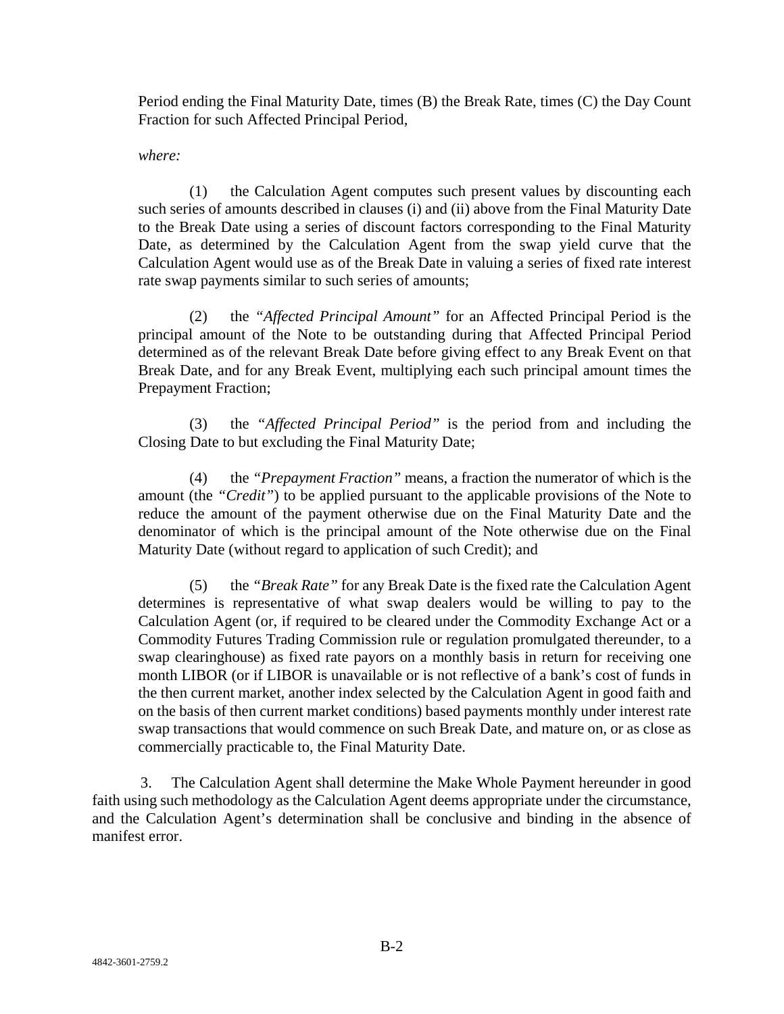Period ending the Final Maturity Date, times (B) the Break Rate, times (C) the Day Count Fraction for such Affected Principal Period,

*where:*

(1) the Calculation Agent computes such present values by discounting each such series of amounts described in clauses (i) and (ii) above from the Final Maturity Date to the Break Date using a series of discount factors corresponding to the Final Maturity Date, as determined by the Calculation Agent from the swap yield curve that the Calculation Agent would use as of the Break Date in valuing a series of fixed rate interest rate swap payments similar to such series of amounts;

(2) the *"Affected Principal Amount"* for an Affected Principal Period is the principal amount of the Note to be outstanding during that Affected Principal Period determined as of the relevant Break Date before giving effect to any Break Event on that Break Date, and for any Break Event, multiplying each such principal amount times the Prepayment Fraction;

(3) the *"Affected Principal Period"* is the period from and including the Closing Date to but excluding the Final Maturity Date;

(4) the *"Prepayment Fraction"* means, a fraction the numerator of which is the amount (the *"Credit"*) to be applied pursuant to the applicable provisions of the Note to reduce the amount of the payment otherwise due on the Final Maturity Date and the denominator of which is the principal amount of the Note otherwise due on the Final Maturity Date (without regard to application of such Credit); and

(5) the *"Break Rate"* for any Break Date is the fixed rate the Calculation Agent determines is representative of what swap dealers would be willing to pay to the Calculation Agent (or, if required to be cleared under the Commodity Exchange Act or a Commodity Futures Trading Commission rule or regulation promulgated thereunder, to a swap clearinghouse) as fixed rate payors on a monthly basis in return for receiving one month LIBOR (or if LIBOR is unavailable or is not reflective of a bank's cost of funds in the then current market, another index selected by the Calculation Agent in good faith and on the basis of then current market conditions) based payments monthly under interest rate swap transactions that would commence on such Break Date, and mature on, or as close as commercially practicable to, the Final Maturity Date.

3. The Calculation Agent shall determine the Make Whole Payment hereunder in good faith using such methodology as the Calculation Agent deems appropriate under the circumstance, and the Calculation Agent's determination shall be conclusive and binding in the absence of manifest error.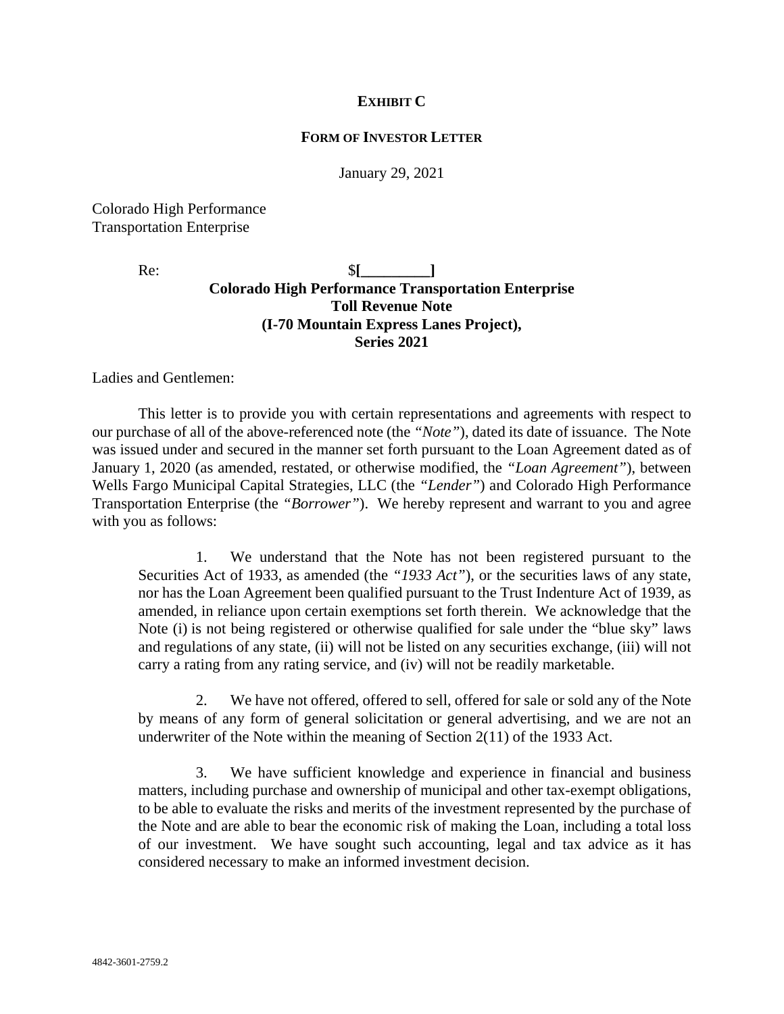## **EXHIBIT C**

#### **FORM OF INVESTOR LETTER**

January 29, 2021

Colorado High Performance Transportation Enterprise

Re: \$<sup>[1]</sup> **Colorado High Performance Transportation Enterprise Toll Revenue Note (I-70 Mountain Express Lanes Project), Series 2021**

Ladies and Gentlemen:

This letter is to provide you with certain representations and agreements with respect to our purchase of all of the above-referenced note (the *"Note"*), dated its date of issuance. The Note was issued under and secured in the manner set forth pursuant to the Loan Agreement dated as of January 1, 2020 (as amended, restated, or otherwise modified, the *"Loan Agreement"*), between Wells Fargo Municipal Capital Strategies, LLC (the *"Lender"*) and Colorado High Performance Transportation Enterprise (the *"Borrower"*). We hereby represent and warrant to you and agree with you as follows:

1. We understand that the Note has not been registered pursuant to the Securities Act of 1933, as amended (the *"1933 Act"*), or the securities laws of any state, nor has the Loan Agreement been qualified pursuant to the Trust Indenture Act of 1939, as amended, in reliance upon certain exemptions set forth therein. We acknowledge that the Note (i) is not being registered or otherwise qualified for sale under the "blue sky" laws and regulations of any state, (ii) will not be listed on any securities exchange, (iii) will not carry a rating from any rating service, and (iv) will not be readily marketable.

2. We have not offered, offered to sell, offered for sale or sold any of the Note by means of any form of general solicitation or general advertising, and we are not an underwriter of the Note within the meaning of Section 2(11) of the 1933 Act.

3. We have sufficient knowledge and experience in financial and business matters, including purchase and ownership of municipal and other tax-exempt obligations, to be able to evaluate the risks and merits of the investment represented by the purchase of the Note and are able to bear the economic risk of making the Loan, including a total loss of our investment. We have sought such accounting, legal and tax advice as it has considered necessary to make an informed investment decision.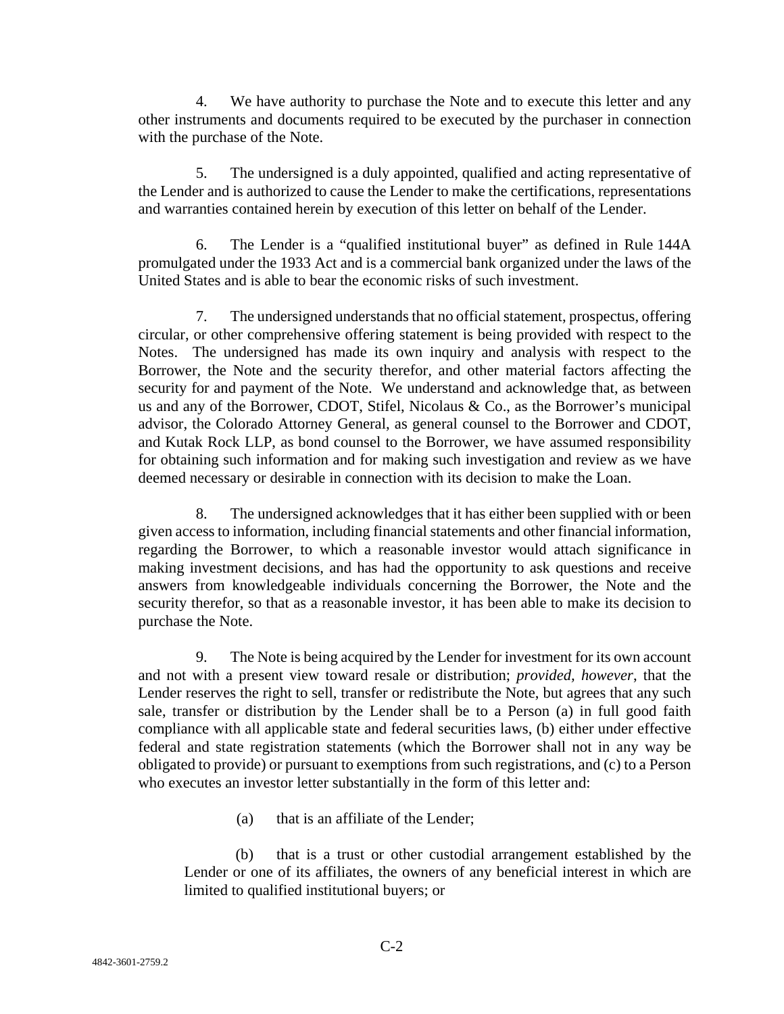4. We have authority to purchase the Note and to execute this letter and any other instruments and documents required to be executed by the purchaser in connection with the purchase of the Note.

5. The undersigned is a duly appointed, qualified and acting representative of the Lender and is authorized to cause the Lender to make the certifications, representations and warranties contained herein by execution of this letter on behalf of the Lender.

6. The Lender is a "qualified institutional buyer" as defined in Rule 144A promulgated under the 1933 Act and is a commercial bank organized under the laws of the United States and is able to bear the economic risks of such investment.

7. The undersigned understands that no official statement, prospectus, offering circular, or other comprehensive offering statement is being provided with respect to the Notes. The undersigned has made its own inquiry and analysis with respect to the Borrower, the Note and the security therefor, and other material factors affecting the security for and payment of the Note. We understand and acknowledge that, as between us and any of the Borrower, CDOT, Stifel, Nicolaus & Co., as the Borrower's municipal advisor, the Colorado Attorney General, as general counsel to the Borrower and CDOT, and Kutak Rock LLP, as bond counsel to the Borrower, we have assumed responsibility for obtaining such information and for making such investigation and review as we have deemed necessary or desirable in connection with its decision to make the Loan.

8. The undersigned acknowledges that it has either been supplied with or been given access to information, including financial statements and other financial information, regarding the Borrower, to which a reasonable investor would attach significance in making investment decisions, and has had the opportunity to ask questions and receive answers from knowledgeable individuals concerning the Borrower, the Note and the security therefor, so that as a reasonable investor, it has been able to make its decision to purchase the Note.

9. The Note is being acquired by the Lender for investment for its own account and not with a present view toward resale or distribution; *provided, however*, that the Lender reserves the right to sell, transfer or redistribute the Note, but agrees that any such sale, transfer or distribution by the Lender shall be to a Person (a) in full good faith compliance with all applicable state and federal securities laws, (b) either under effective federal and state registration statements (which the Borrower shall not in any way be obligated to provide) or pursuant to exemptions from such registrations, and (c) to a Person who executes an investor letter substantially in the form of this letter and:

(a) that is an affiliate of the Lender;

(b) that is a trust or other custodial arrangement established by the Lender or one of its affiliates, the owners of any beneficial interest in which are limited to qualified institutional buyers; or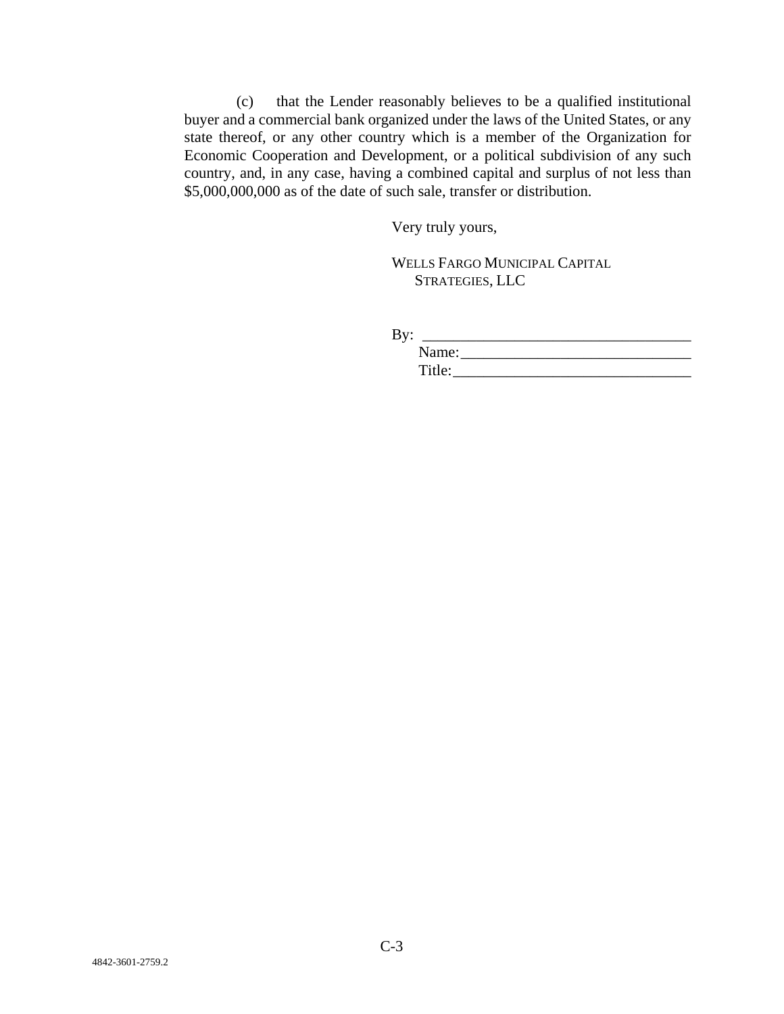(c) that the Lender reasonably believes to be a qualified institutional buyer and a commercial bank organized under the laws of the United States, or any state thereof, or any other country which is a member of the Organization for Economic Cooperation and Development, or a political subdivision of any such country, and, in any case, having a combined capital and surplus of not less than \$5,000,000,000 as of the date of such sale, transfer or distribution.

Very truly yours,

WELLS FARGO MUNICIPAL CAPITAL STRATEGIES, LLC

By: \_\_\_\_\_\_\_\_\_\_\_\_\_\_\_\_\_\_\_\_\_\_\_\_\_\_\_\_\_\_\_\_\_\_\_ Name: Title:\_\_\_\_\_\_\_\_\_\_\_\_\_\_\_\_\_\_\_\_\_\_\_\_\_\_\_\_\_\_\_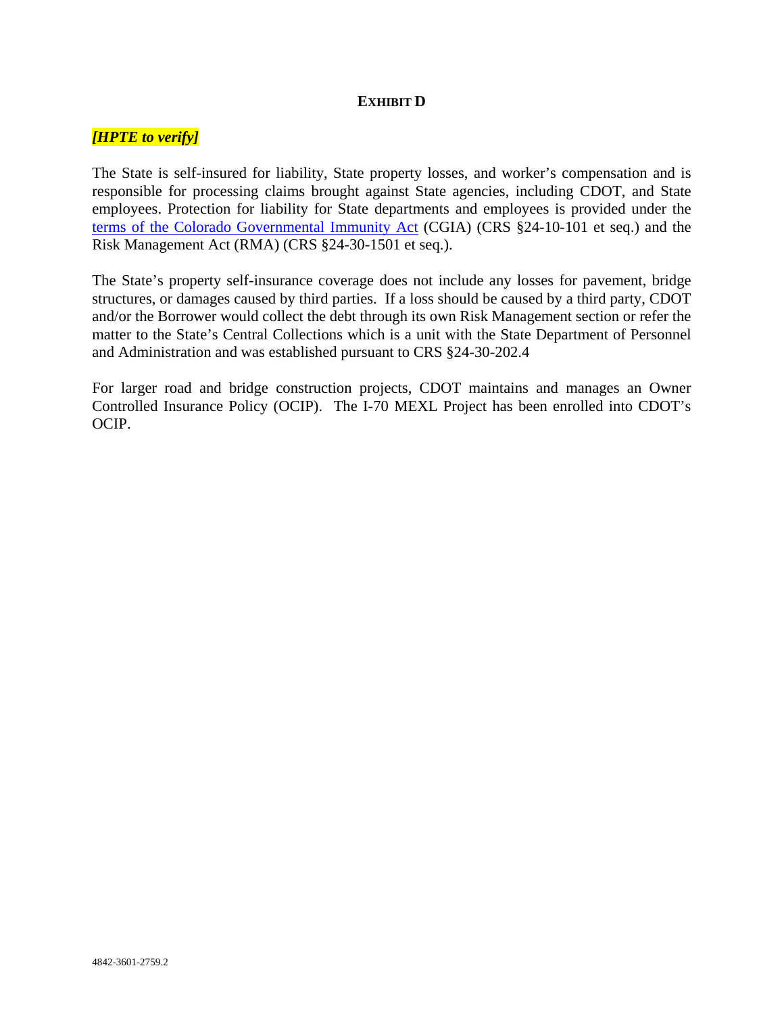## **EXHIBIT D**

## *[HPTE to verify]*

The State is self-insured for liability, State property losses, and worker's compensation and is responsible for processing claims brought against State agencies, including CDOT, and State employees. Protection for liability for State departments and employees is provided under the [terms of the Colorado Governmental Immunity Act](http://coloradoc2.prod.acquia-sites.com/dhr/cgia-summary) (CGIA) (CRS §24-10-101 et seq.) and the Risk Management Act (RMA) (CRS §24-30-1501 et seq.).

The State's property self-insurance coverage does not include any losses for pavement, bridge structures, or damages caused by third parties. If a loss should be caused by a third party, CDOT and/or the Borrower would collect the debt through its own Risk Management section or refer the matter to the State's Central Collections which is a unit with the State Department of Personnel and Administration and was established pursuant to CRS §24-30-202.4

For larger road and bridge construction projects, CDOT maintains and manages an Owner Controlled Insurance Policy (OCIP). The I-70 MEXL Project has been enrolled into CDOT's OCIP.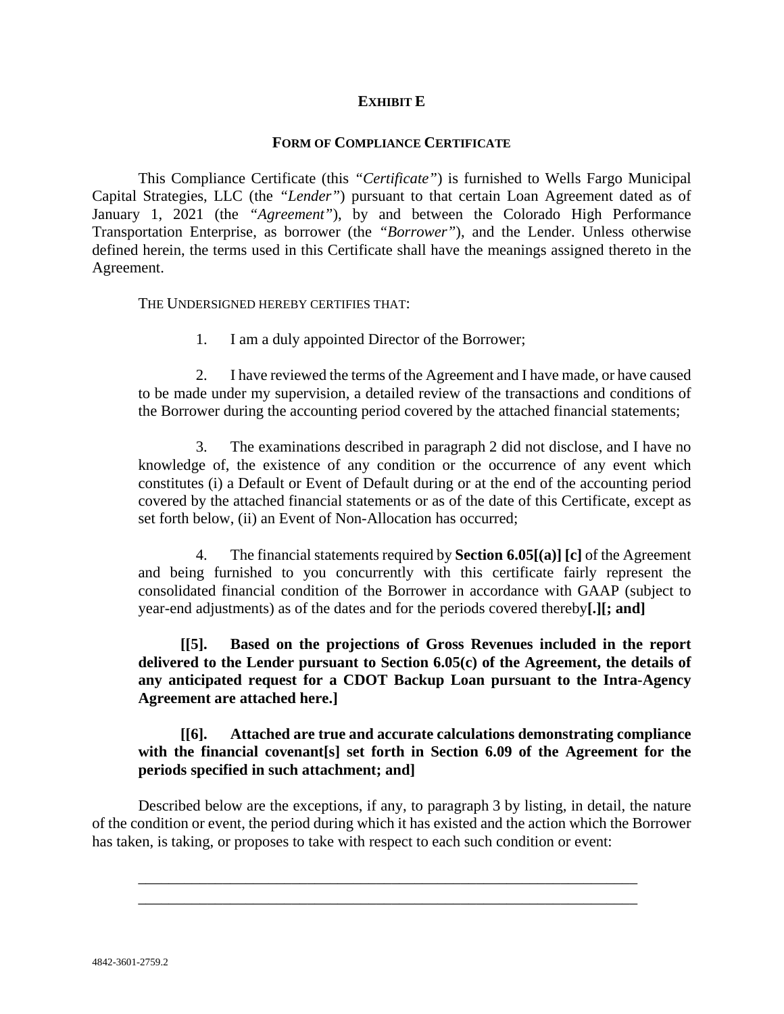## **EXHIBIT E**

#### **FORM OF COMPLIANCE CERTIFICATE**

This Compliance Certificate (this *"Certificate"*) is furnished to Wells Fargo Municipal Capital Strategies, LLC (the *"Lender"*) pursuant to that certain Loan Agreement dated as of January 1, 2021 (the *"Agreement"*), by and between the Colorado High Performance Transportation Enterprise, as borrower (the *"Borrower"*), and the Lender. Unless otherwise defined herein, the terms used in this Certificate shall have the meanings assigned thereto in the Agreement.

THE UNDERSIGNED HEREBY CERTIFIES THAT:

1. I am a duly appointed Director of the Borrower;

2. I have reviewed the terms of the Agreement and I have made, or have caused to be made under my supervision, a detailed review of the transactions and conditions of the Borrower during the accounting period covered by the attached financial statements;

3. The examinations described in paragraph 2 did not disclose, and I have no knowledge of, the existence of any condition or the occurrence of any event which constitutes (i) a Default or Event of Default during or at the end of the accounting period covered by the attached financial statements or as of the date of this Certificate, except as set forth below, (ii) an Event of Non-Allocation has occurred;

4. The financial statements required by **Section 6.05[(a)] [c]** of the Agreement and being furnished to you concurrently with this certificate fairly represent the consolidated financial condition of the Borrower in accordance with GAAP (subject to year-end adjustments) as of the dates and for the periods covered thereby**[.][; and]**

**[[5]. Based on the projections of Gross Revenues included in the report delivered to the Lender pursuant to Section 6.05(c) of the Agreement, the details of any anticipated request for a CDOT Backup Loan pursuant to the Intra-Agency Agreement are attached here.]**

## **[[6]. Attached are true and accurate calculations demonstrating compliance with the financial covenant[s] set forth in Section 6.09 of the Agreement for the periods specified in such attachment; and]**

Described below are the exceptions, if any, to paragraph 3 by listing, in detail, the nature of the condition or event, the period during which it has existed and the action which the Borrower has taken, is taking, or proposes to take with respect to each such condition or event:

\_\_\_\_\_\_\_\_\_\_\_\_\_\_\_\_\_\_\_\_\_\_\_\_\_\_\_\_\_\_\_\_\_\_\_\_\_\_\_\_\_\_\_\_\_\_\_\_\_\_\_\_\_\_\_\_\_\_\_\_\_\_\_\_\_ \_\_\_\_\_\_\_\_\_\_\_\_\_\_\_\_\_\_\_\_\_\_\_\_\_\_\_\_\_\_\_\_\_\_\_\_\_\_\_\_\_\_\_\_\_\_\_\_\_\_\_\_\_\_\_\_\_\_\_\_\_\_\_\_\_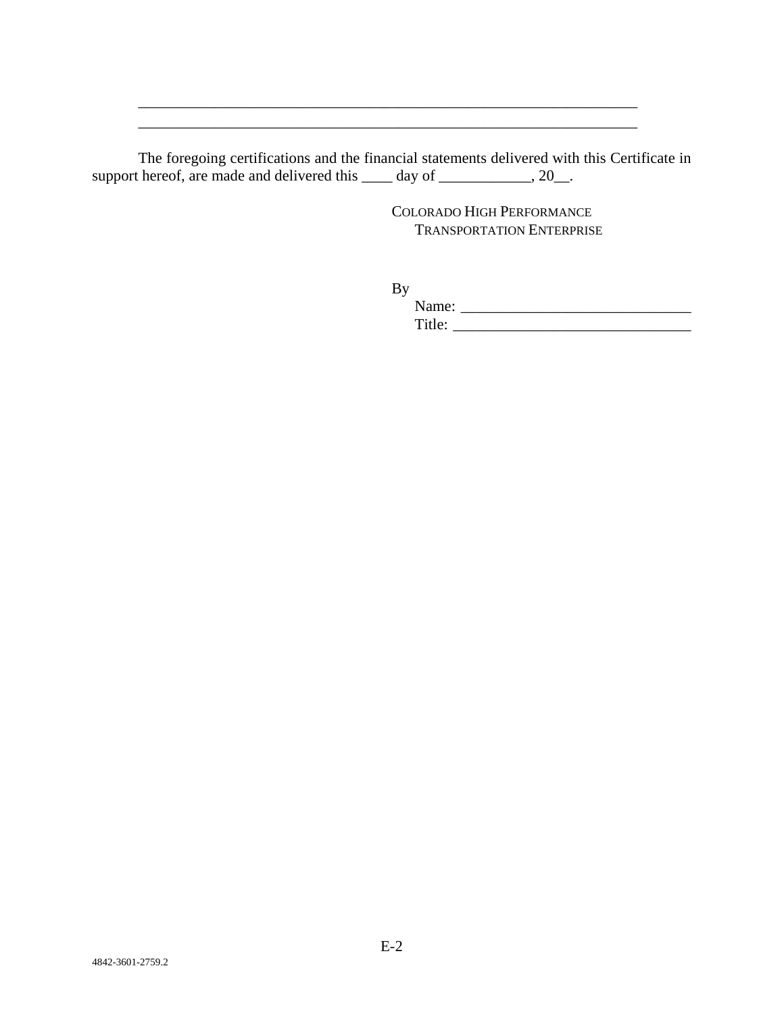The foregoing certifications and the financial statements delivered with this Certificate in support hereof, are made and delivered this  $\_\_\_\_$  day of  $\_\_\_\_\_\_\_$ , 20 $\_\_\_\_\$ .

\_\_\_\_\_\_\_\_\_\_\_\_\_\_\_\_\_\_\_\_\_\_\_\_\_\_\_\_\_\_\_\_\_\_\_\_\_\_\_\_\_\_\_\_\_\_\_\_\_\_\_\_\_\_\_\_\_\_\_\_\_\_\_\_\_ \_\_\_\_\_\_\_\_\_\_\_\_\_\_\_\_\_\_\_\_\_\_\_\_\_\_\_\_\_\_\_\_\_\_\_\_\_\_\_\_\_\_\_\_\_\_\_\_\_\_\_\_\_\_\_\_\_\_\_\_\_\_\_\_\_

> COLORADO HIGH PERFORMANCE TRANSPORTATION ENTERPRISE

By

Name: \_\_\_\_\_\_\_\_\_\_\_\_\_\_\_\_\_\_\_\_\_\_\_\_\_\_\_\_\_\_ Title: \_\_\_\_\_\_\_\_\_\_\_\_\_\_\_\_\_\_\_\_\_\_\_\_\_\_\_\_\_\_\_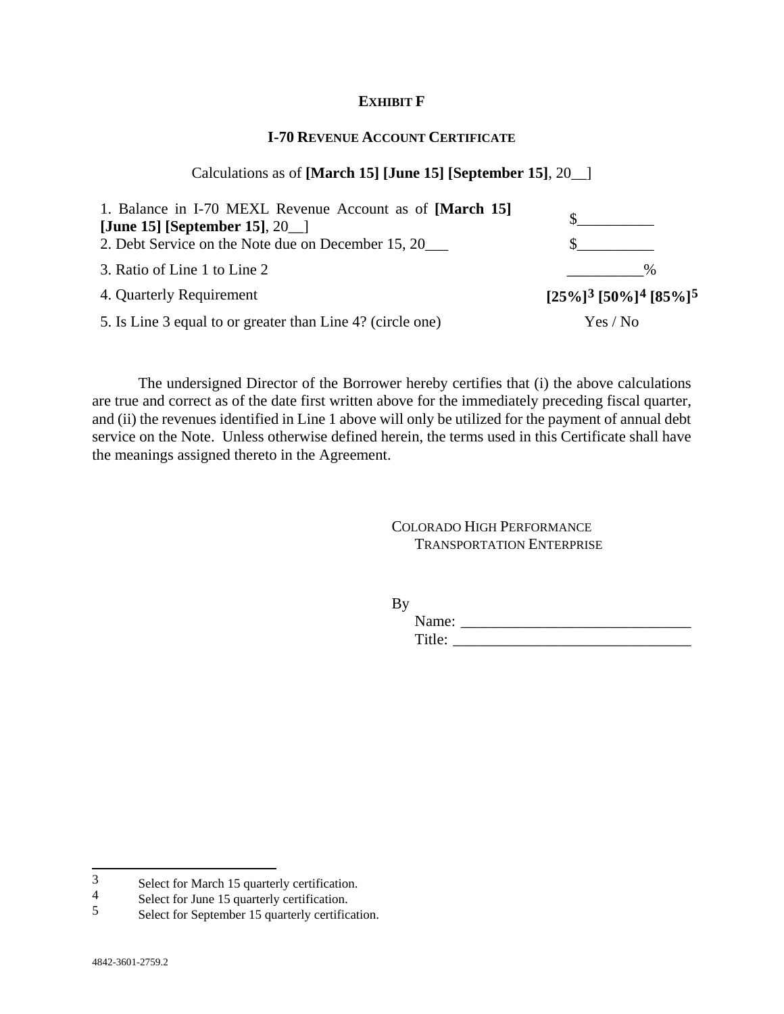#### **EXHIBIT F**

## **I-70 REVENUE ACCOUNT CERTIFICATE**

#### Calculations as of **[March 15] [June 15] [September 15]**, 20\_\_]

| 1. Balance in I-70 MEXL Revenue Account as of [March 15]   |                                                             |
|------------------------------------------------------------|-------------------------------------------------------------|
| [June 15] [September 15], $20$ ]                           |                                                             |
| 2. Debt Service on the Note due on December 15, 20         |                                                             |
| 3. Ratio of Line 1 to Line 2                               | $\%$                                                        |
| 4. Quarterly Requirement                                   | $[25\%]$ <sup>3</sup> [50%] <sup>4</sup> [85%] <sup>5</sup> |
| 5. Is Line 3 equal to or greater than Line 4? (circle one) | Yes / No                                                    |

The undersigned Director of the Borrower hereby certifies that (i) the above calculations are true and correct as of the date first written above for the immediately preceding fiscal quarter, and (ii) the revenues identified in Line 1 above will only be utilized for the payment of annual debt service on the Note. Unless otherwise defined herein, the terms used in this Certificate shall have the meanings assigned thereto in the Agreement.

> COLORADO HIGH PERFORMANCE TRANSPORTATION ENTERPRISE

By

Name: \_\_\_\_\_\_\_\_\_\_\_\_\_\_\_\_\_\_\_\_\_\_\_\_\_\_\_\_\_\_ Title: \_\_\_\_\_\_\_\_\_\_\_\_\_\_\_\_\_\_\_\_\_\_\_\_\_\_\_\_\_\_\_

<span id="page-68-0"></span><sup>3&</sup>lt;br>Select for March 15 quarterly certification.<br>4<br>Select for June 15 quarterly certification.

<span id="page-68-1"></span> $\frac{4}{5}$  Select for June 15 quarterly certification.

<span id="page-68-2"></span><sup>5</sup> Select for September 15 quarterly certification.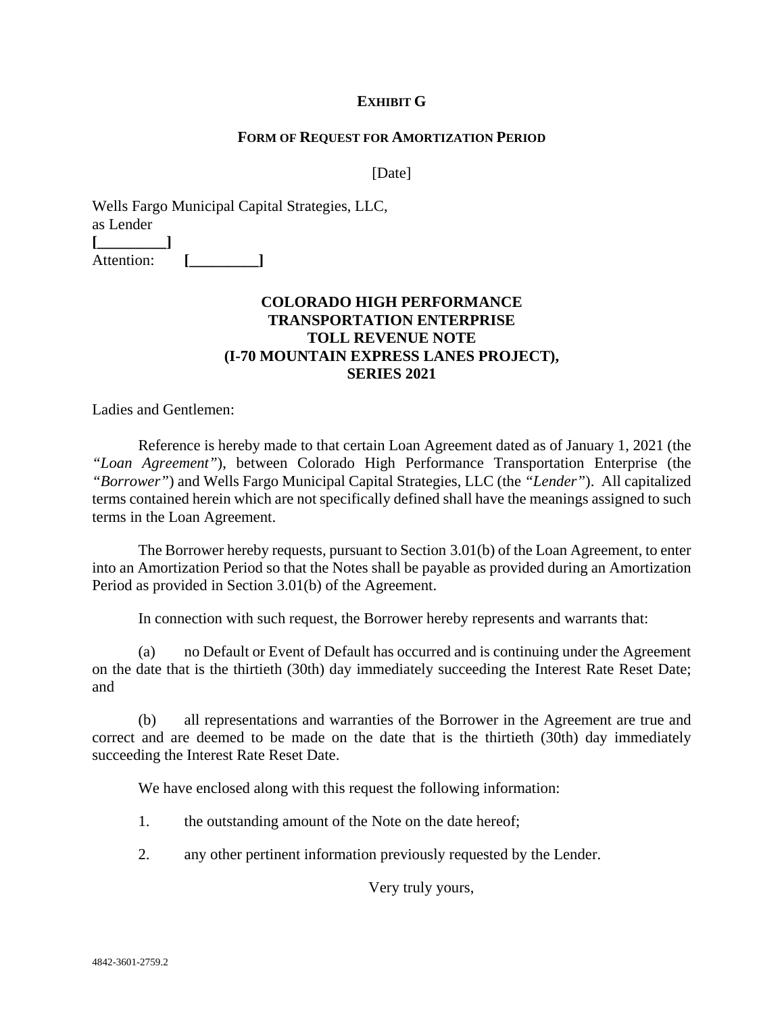## **EXHIBIT G**

#### **FORM OF REQUEST FOR AMORTIZATION PERIOD**

[Date]

Wells Fargo Municipal Capital Strategies, LLC, as Lender **[\_\_\_\_\_\_\_\_\_]** Attention: [

# **COLORADO HIGH PERFORMANCE TRANSPORTATION ENTERPRISE TOLL REVENUE NOTE (I-70 MOUNTAIN EXPRESS LANES PROJECT), SERIES 2021**

Ladies and Gentlemen:

Reference is hereby made to that certain Loan Agreement dated as of January 1, 2021 (the *"Loan Agreement"*), between Colorado High Performance Transportation Enterprise (the *"Borrower"*) and Wells Fargo Municipal Capital Strategies, LLC (the *"Lender"*). All capitalized terms contained herein which are not specifically defined shall have the meanings assigned to such terms in the Loan Agreement.

The Borrower hereby requests, pursuant to Section 3.01(b) of the Loan Agreement, to enter into an Amortization Period so that the Notes shall be payable as provided during an Amortization Period as provided in Section 3.01(b) of the Agreement.

In connection with such request, the Borrower hereby represents and warrants that:

(a) no Default or Event of Default has occurred and is continuing under the Agreement on the date that is the thirtieth (30th) day immediately succeeding the Interest Rate Reset Date; and

(b) all representations and warranties of the Borrower in the Agreement are true and correct and are deemed to be made on the date that is the thirtieth (30th) day immediately succeeding the Interest Rate Reset Date.

We have enclosed along with this request the following information:

- 1. the outstanding amount of the Note on the date hereof;
- 2. any other pertinent information previously requested by the Lender.

Very truly yours,